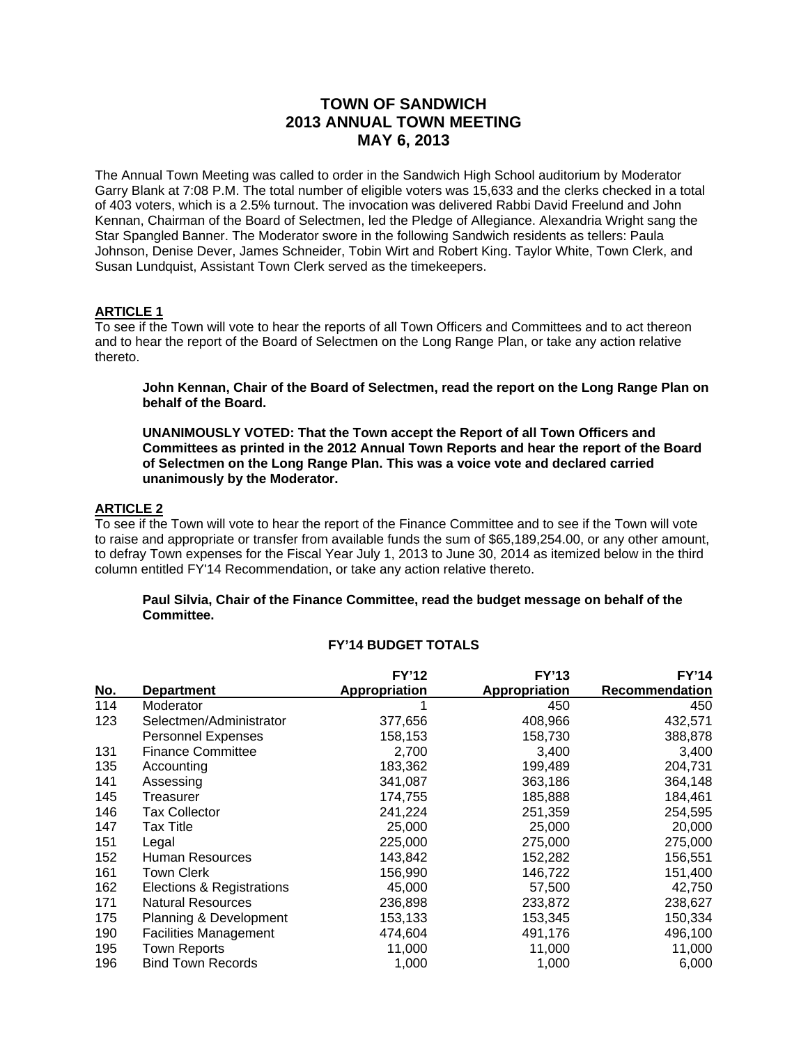# **TOWN OF SANDWICH 2013 ANNUAL TOWN MEETING MAY 6, 2013**

The Annual Town Meeting was called to order in the Sandwich High School auditorium by Moderator Garry Blank at 7:08 P.M. The total number of eligible voters was 15,633 and the clerks checked in a total of 403 voters, which is a 2.5% turnout. The invocation was delivered Rabbi David Freelund and John Kennan, Chairman of the Board of Selectmen, led the Pledge of Allegiance. Alexandria Wright sang the Star Spangled Banner. The Moderator swore in the following Sandwich residents as tellers: Paula Johnson, Denise Dever, James Schneider, Tobin Wirt and Robert King. Taylor White, Town Clerk, and Susan Lundquist, Assistant Town Clerk served as the timekeepers.

### **ARTICLE 1**

To see if the Town will vote to hear the reports of all Town Officers and Committees and to act thereon and to hear the report of the Board of Selectmen on the Long Range Plan, or take any action relative thereto.

**John Kennan, Chair of the Board of Selectmen, read the report on the Long Range Plan on behalf of the Board.** 

**UNANIMOUSLY VOTED: That the Town accept the Report of all Town Officers and Committees as printed in the 2012 Annual Town Reports and hear the report of the Board of Selectmen on the Long Range Plan. This was a voice vote and declared carried unanimously by the Moderator.** 

### **ARTICLE 2**

To see if the Town will vote to hear the report of the Finance Committee and to see if the Town will vote to raise and appropriate or transfer from available funds the sum of \$65,189,254.00, or any other amount, to defray Town expenses for the Fiscal Year July 1, 2013 to June 30, 2014 as itemized below in the third column entitled FY'14 Recommendation, or take any action relative thereto.

### **Paul Silvia, Chair of the Finance Committee, read the budget message on behalf of the Committee.**

|            |                              | <b>FY'12</b>  | <b>FY'13</b>         | <b>FY'14</b>   |
|------------|------------------------------|---------------|----------------------|----------------|
| <u>No.</u> | <b>Department</b>            | Appropriation | <b>Appropriation</b> | Recommendation |
| 114        | Moderator                    |               | 450                  | 450            |
| 123        | Selectmen/Administrator      | 377,656       | 408,966              | 432,571        |
|            | <b>Personnel Expenses</b>    | 158,153       | 158,730              | 388,878        |
| 131        | <b>Finance Committee</b>     | 2,700         | 3,400                | 3,400          |
| 135        | Accounting                   | 183,362       | 199,489              | 204,731        |
| 141        | Assessing                    | 341,087       | 363,186              | 364,148        |
| 145        | Treasurer                    | 174,755       | 185,888              | 184,461        |
| 146        | Tax Collector                | 241,224       | 251,359              | 254,595        |
| 147        | Tax Title                    | 25,000        | 25,000               | 20,000         |
| 151        | Legal                        | 225,000       | 275,000              | 275,000        |
| 152        | <b>Human Resources</b>       | 143,842       | 152,282              | 156,551        |
| 161        | Town Clerk                   | 156,990       | 146,722              | 151,400        |
| 162        | Elections & Registrations    | 45,000        | 57,500               | 42,750         |
| 171        | <b>Natural Resources</b>     | 236,898       | 233,872              | 238,627        |
| 175        | Planning & Development       | 153,133       | 153,345              | 150,334        |
| 190        | <b>Facilities Management</b> | 474,604       | 491,176              | 496,100        |
| 195        | <b>Town Reports</b>          | 11,000        | 11,000               | 11,000         |
| 196        | <b>Bind Town Records</b>     | 1,000         | 1,000                | 6,000          |

# **FY'14 BUDGET TOTALS**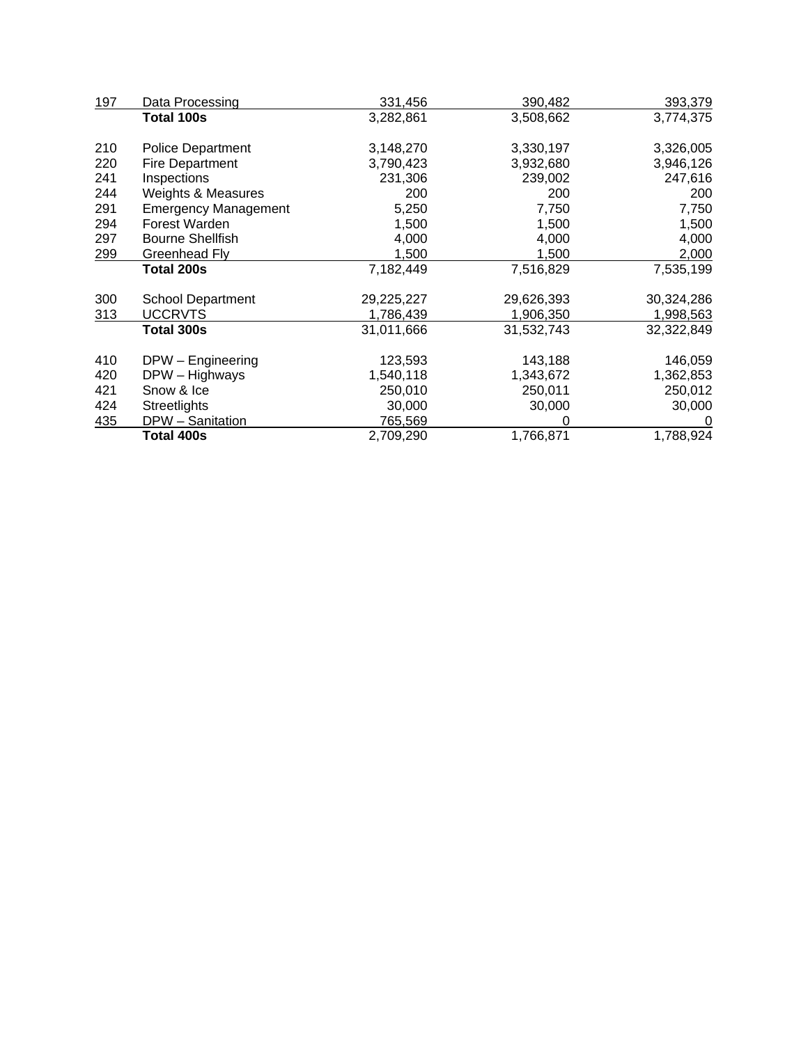| 197 | Data Processing             | 331,456    | 390,482    | 393,379    |
|-----|-----------------------------|------------|------------|------------|
|     | Total 100s                  | 3,282,861  | 3,508,662  | 3,774,375  |
| 210 | Police Department           | 3,148,270  | 3,330,197  | 3,326,005  |
| 220 | <b>Fire Department</b>      | 3,790,423  | 3,932,680  | 3,946,126  |
| 241 | Inspections                 | 231,306    | 239,002    | 247,616    |
| 244 | Weights & Measures          | 200        | 200        | 200        |
| 291 | <b>Emergency Management</b> | 5,250      | 7,750      | 7,750      |
| 294 | Forest Warden               | 1,500      | 1,500      | 1,500      |
| 297 | <b>Bourne Shellfish</b>     | 4,000      | 4,000      | 4,000      |
| 299 | Greenhead Fly               | 1,500      | 1,500      | 2,000      |
|     | Total 200s                  | 7,182,449  | 7,516,829  | 7,535,199  |
| 300 | <b>School Department</b>    | 29,225,227 | 29,626,393 | 30,324,286 |
| 313 | <b>UCCRVTS</b>              | 1,786,439  | 1,906,350  | 1,998,563  |
|     | Total 300s                  | 31,011,666 | 31,532,743 | 32,322,849 |
| 410 | DPW - Engineering           | 123,593    | 143,188    | 146,059    |
| 420 | DPW - Highways              | 1,540,118  | 1,343,672  | 1,362,853  |
| 421 | Snow & Ice                  | 250,010    | 250,011    | 250,012    |
| 424 | <b>Streetlights</b>         | 30,000     | 30,000     | 30,000     |
| 435 | DPW - Sanitation            | 765,569    | 0          | 0          |
|     | Total 400s                  | 2,709,290  | 1,766,871  | 1,788,924  |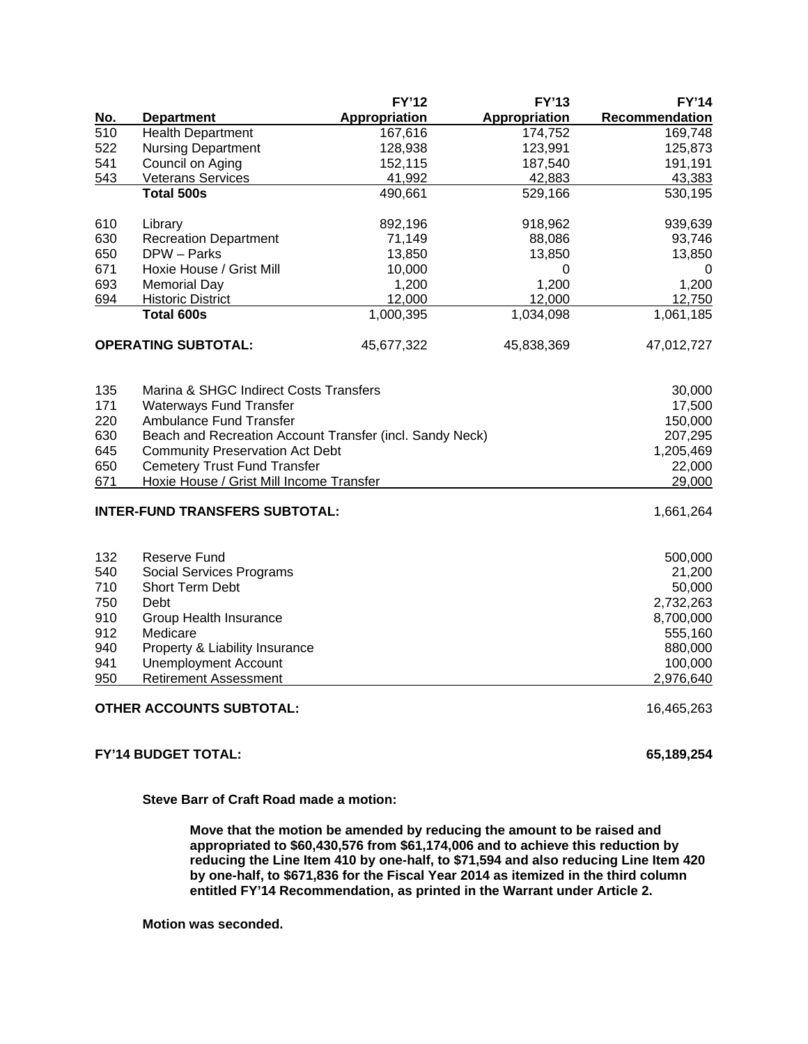|     |                                                          | <b>FY'12</b>         | <b>FY'13</b>         | <b>FY'14</b>   |  |  |
|-----|----------------------------------------------------------|----------------------|----------------------|----------------|--|--|
| No. | <b>Department</b>                                        | <b>Appropriation</b> | <b>Appropriation</b> | Recommendation |  |  |
| 510 | <b>Health Department</b>                                 | 167,616              | 174,752              | 169,748        |  |  |
| 522 | <b>Nursing Department</b>                                | 128,938              | 123,991              | 125,873        |  |  |
| 541 | Council on Aging                                         | 152,115              | 187,540              | 191,191        |  |  |
| 543 | <b>Veterans Services</b>                                 | 41,992               | 42,883               | 43,383         |  |  |
|     | <b>Total 500s</b>                                        | 490,661              | 529,166              | 530,195        |  |  |
| 610 | Library                                                  | 892,196              | 918,962              | 939,639        |  |  |
| 630 | <b>Recreation Department</b>                             | 71,149               | 88,086               | 93,746         |  |  |
| 650 | DPW - Parks                                              | 13,850               | 13,850               | 13,850         |  |  |
| 671 | Hoxie House / Grist Mill                                 | 10,000               | 0                    | 0              |  |  |
| 693 | <b>Memorial Day</b>                                      | 1,200                | 1,200                | 1,200          |  |  |
| 694 | <b>Historic District</b>                                 | 12,000               | 12,000               | 12,750         |  |  |
|     | <b>Total 600s</b>                                        | 1,000,395            | 1,034,098            | 1,061,185      |  |  |
|     | <b>OPERATING SUBTOTAL:</b>                               | 45,677,322           | 45,838,369           | 47,012,727     |  |  |
| 135 | Marina & SHGC Indirect Costs Transfers                   |                      |                      | 30,000         |  |  |
| 171 | Waterways Fund Transfer                                  |                      |                      | 17,500         |  |  |
| 220 | <b>Ambulance Fund Transfer</b>                           |                      |                      | 150,000        |  |  |
| 630 | Beach and Recreation Account Transfer (incl. Sandy Neck) |                      |                      | 207,295        |  |  |
| 645 | <b>Community Preservation Act Debt</b>                   |                      |                      | 1,205,469      |  |  |
| 650 | <b>Cemetery Trust Fund Transfer</b>                      |                      |                      | 22,000         |  |  |
| 671 | Hoxie House / Grist Mill Income Transfer                 |                      |                      | 29,000         |  |  |
|     | <b>INTER-FUND TRANSFERS SUBTOTAL:</b>                    |                      |                      | 1,661,264      |  |  |
| 132 | <b>Reserve Fund</b>                                      |                      |                      | 500,000        |  |  |
| 540 | Social Services Programs                                 |                      |                      | 21,200         |  |  |
| 710 | Short Term Debt                                          |                      |                      | 50,000         |  |  |
| 750 | Debt                                                     |                      |                      | 2,732,263      |  |  |
| 910 | Group Health Insurance                                   |                      |                      | 8,700,000      |  |  |
| 912 | Medicare                                                 |                      |                      | 555,160        |  |  |
| 940 | Property & Liability Insurance                           |                      |                      | 880,000        |  |  |
| 941 | <b>Unemployment Account</b>                              |                      |                      | 100,000        |  |  |
| 950 | <b>Retirement Assessment</b>                             |                      |                      | 2,976,640      |  |  |
|     | <b>OTHER ACCOUNTS SUBTOTAL:</b>                          |                      |                      | 16,465,263     |  |  |
|     |                                                          |                      |                      |                |  |  |

# **FY'14 BUDGET TOTAL: 65,189,254**

**Steve Barr of Craft Road made a motion:** 

**Move that the motion be amended by reducing the amount to be raised and appropriated to \$60,430,576 from \$61,174,006 and to achieve this reduction by reducing the Line Item 410 by one-half, to \$71,594 and also reducing Line Item 420 by one-half, to \$671,836 for the Fiscal Year 2014 as itemized in the third column entitled FY'14 Recommendation, as printed in the Warrant under Article 2.** 

**Motion was seconded.**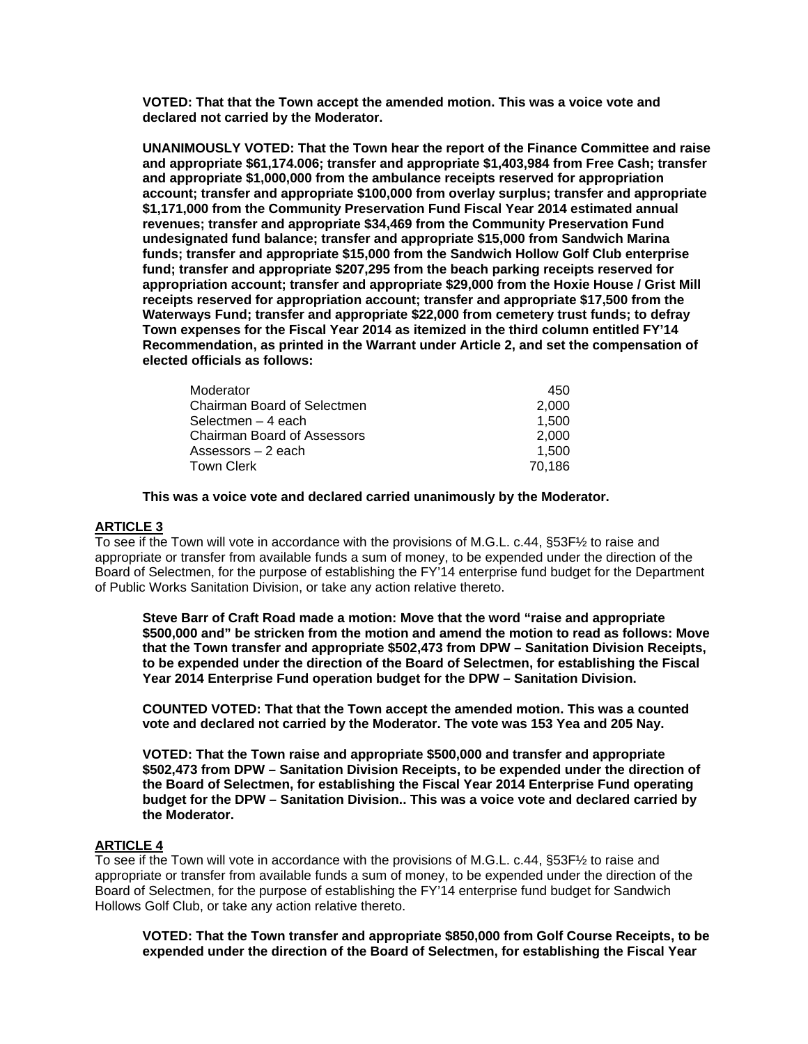**VOTED: That that the Town accept the amended motion. This was a voice vote and declared not carried by the Moderator.** 

**UNANIMOUSLY VOTED: That the Town hear the report of the Finance Committee and raise and appropriate \$61,174.006; transfer and appropriate \$1,403,984 from Free Cash; transfer and appropriate \$1,000,000 from the ambulance receipts reserved for appropriation account; transfer and appropriate \$100,000 from overlay surplus; transfer and appropriate \$1,171,000 from the Community Preservation Fund Fiscal Year 2014 estimated annual revenues; transfer and appropriate \$34,469 from the Community Preservation Fund undesignated fund balance; transfer and appropriate \$15,000 from Sandwich Marina funds; transfer and appropriate \$15,000 from the Sandwich Hollow Golf Club enterprise fund; transfer and appropriate \$207,295 from the beach parking receipts reserved for appropriation account; transfer and appropriate \$29,000 from the Hoxie House / Grist Mill receipts reserved for appropriation account; transfer and appropriate \$17,500 from the Waterways Fund; transfer and appropriate \$22,000 from cemetery trust funds; to defray Town expenses for the Fiscal Year 2014 as itemized in the third column entitled FY'14 Recommendation, as printed in the Warrant under Article 2, and set the compensation of elected officials as follows:** 

| 450    |
|--------|
| 2.000  |
| 1.500  |
| 2.000  |
| 1.500  |
| 70.186 |
|        |

**This was a voice vote and declared carried unanimously by the Moderator.** 

### **ARTICLE 3**

To see if the Town will vote in accordance with the provisions of M.G.L. c.44, §53F½ to raise and appropriate or transfer from available funds a sum of money, to be expended under the direction of the Board of Selectmen, for the purpose of establishing the FY'14 enterprise fund budget for the Department of Public Works Sanitation Division, or take any action relative thereto.

**Steve Barr of Craft Road made a motion: Move that the word "raise and appropriate \$500,000 and" be stricken from the motion and amend the motion to read as follows: Move that the Town transfer and appropriate \$502,473 from DPW – Sanitation Division Receipts, to be expended under the direction of the Board of Selectmen, for establishing the Fiscal Year 2014 Enterprise Fund operation budget for the DPW – Sanitation Division.** 

**COUNTED VOTED: That that the Town accept the amended motion. This was a counted vote and declared not carried by the Moderator. The vote was 153 Yea and 205 Nay.** 

**VOTED: That the Town raise and appropriate \$500,000 and transfer and appropriate \$502,473 from DPW – Sanitation Division Receipts, to be expended under the direction of the Board of Selectmen, for establishing the Fiscal Year 2014 Enterprise Fund operating budget for the DPW – Sanitation Division.. This was a voice vote and declared carried by the Moderator.** 

### **ARTICLE 4**

To see if the Town will vote in accordance with the provisions of M.G.L. c.44, §53F½ to raise and appropriate or transfer from available funds a sum of money, to be expended under the direction of the Board of Selectmen, for the purpose of establishing the FY'14 enterprise fund budget for Sandwich Hollows Golf Club, or take any action relative thereto.

**VOTED: That the Town transfer and appropriate \$850,000 from Golf Course Receipts, to be expended under the direction of the Board of Selectmen, for establishing the Fiscal Year**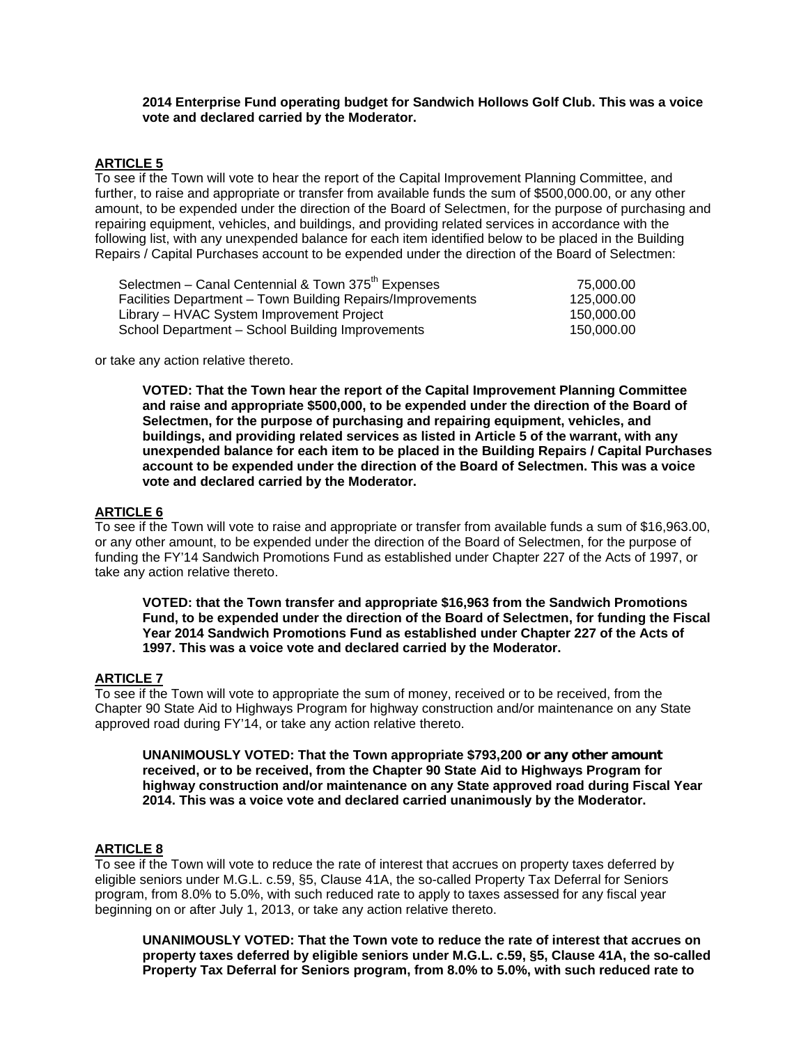### **2014 Enterprise Fund operating budget for Sandwich Hollows Golf Club. This was a voice vote and declared carried by the Moderator.**

# **ARTICLE 5**

To see if the Town will vote to hear the report of the Capital Improvement Planning Committee, and further, to raise and appropriate or transfer from available funds the sum of \$500,000.00, or any other amount, to be expended under the direction of the Board of Selectmen, for the purpose of purchasing and repairing equipment, vehicles, and buildings, and providing related services in accordance with the following list, with any unexpended balance for each item identified below to be placed in the Building Repairs / Capital Purchases account to be expended under the direction of the Board of Selectmen:

| Selectmen - Canal Centennial & Town 375 <sup>th</sup> Expenses | 75,000,00  |
|----------------------------------------------------------------|------------|
| Facilities Department - Town Building Repairs/Improvements     | 125,000.00 |
| Library – HVAC System Improvement Project                      | 150,000.00 |
| School Department - School Building Improvements               | 150,000.00 |

or take any action relative thereto.

**VOTED: That the Town hear the report of the Capital Improvement Planning Committee and raise and appropriate \$500,000, to be expended under the direction of the Board of Selectmen, for the purpose of purchasing and repairing equipment, vehicles, and buildings, and providing related services as listed in Article 5 of the warrant, with any unexpended balance for each item to be placed in the Building Repairs / Capital Purchases account to be expended under the direction of the Board of Selectmen. This was a voice vote and declared carried by the Moderator.** 

### **ARTICLE 6**

To see if the Town will vote to raise and appropriate or transfer from available funds a sum of \$16,963.00, or any other amount, to be expended under the direction of the Board of Selectmen, for the purpose of funding the FY'14 Sandwich Promotions Fund as established under Chapter 227 of the Acts of 1997, or take any action relative thereto.

**VOTED: that the Town transfer and appropriate \$16,963 from the Sandwich Promotions Fund, to be expended under the direction of the Board of Selectmen, for funding the Fiscal Year 2014 Sandwich Promotions Fund as established under Chapter 227 of the Acts of 1997. This was a voice vote and declared carried by the Moderator.** 

### **ARTICLE 7**

To see if the Town will vote to appropriate the sum of money, received or to be received, from the Chapter 90 State Aid to Highways Program for highway construction and/or maintenance on any State approved road during FY'14, or take any action relative thereto.

**UNANIMOUSLY VOTED: That the Town appropriate \$793,200 or any other amount received, or to be received, from the Chapter 90 State Aid to Highways Program for highway construction and/or maintenance on any State approved road during Fiscal Year 2014. This was a voice vote and declared carried unanimously by the Moderator.** 

# **ARTICLE 8**

To see if the Town will vote to reduce the rate of interest that accrues on property taxes deferred by eligible seniors under M.G.L. c.59, §5, Clause 41A, the so-called Property Tax Deferral for Seniors program, from 8.0% to 5.0%, with such reduced rate to apply to taxes assessed for any fiscal year beginning on or after July 1, 2013, or take any action relative thereto.

**UNANIMOUSLY VOTED: That the Town vote to reduce the rate of interest that accrues on property taxes deferred by eligible seniors under M.G.L. c.59, §5, Clause 41A, the so-called Property Tax Deferral for Seniors program, from 8.0% to 5.0%, with such reduced rate to**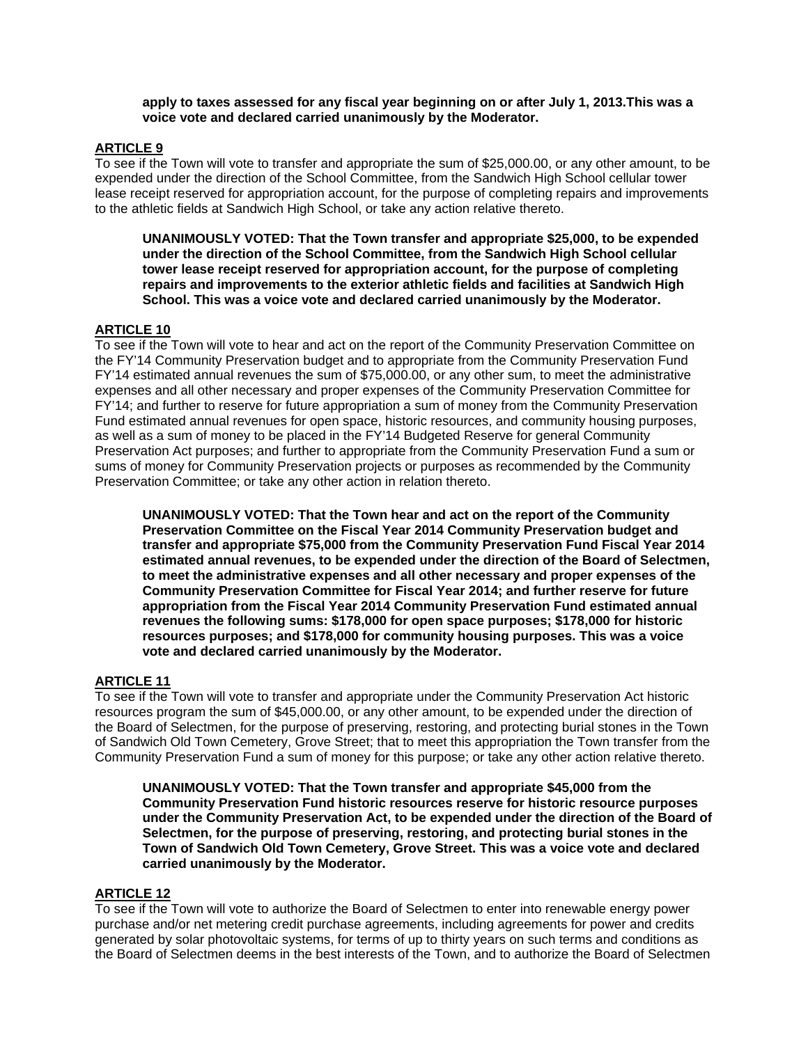**apply to taxes assessed for any fiscal year beginning on or after July 1, 2013.This was a voice vote and declared carried unanimously by the Moderator.** 

# **ARTICLE 9**

To see if the Town will vote to transfer and appropriate the sum of \$25,000.00, or any other amount, to be expended under the direction of the School Committee, from the Sandwich High School cellular tower lease receipt reserved for appropriation account, for the purpose of completing repairs and improvements to the athletic fields at Sandwich High School, or take any action relative thereto.

**UNANIMOUSLY VOTED: That the Town transfer and appropriate \$25,000, to be expended under the direction of the School Committee, from the Sandwich High School cellular tower lease receipt reserved for appropriation account, for the purpose of completing repairs and improvements to the exterior athletic fields and facilities at Sandwich High School. This was a voice vote and declared carried unanimously by the Moderator.** 

### **ARTICLE 10**

To see if the Town will vote to hear and act on the report of the Community Preservation Committee on the FY'14 Community Preservation budget and to appropriate from the Community Preservation Fund FY'14 estimated annual revenues the sum of \$75,000.00, or any other sum, to meet the administrative expenses and all other necessary and proper expenses of the Community Preservation Committee for FY'14; and further to reserve for future appropriation a sum of money from the Community Preservation Fund estimated annual revenues for open space, historic resources, and community housing purposes, as well as a sum of money to be placed in the FY'14 Budgeted Reserve for general Community Preservation Act purposes; and further to appropriate from the Community Preservation Fund a sum or sums of money for Community Preservation projects or purposes as recommended by the Community Preservation Committee; or take any other action in relation thereto.

**UNANIMOUSLY VOTED: That the Town hear and act on the report of the Community Preservation Committee on the Fiscal Year 2014 Community Preservation budget and transfer and appropriate \$75,000 from the Community Preservation Fund Fiscal Year 2014 estimated annual revenues, to be expended under the direction of the Board of Selectmen, to meet the administrative expenses and all other necessary and proper expenses of the Community Preservation Committee for Fiscal Year 2014; and further reserve for future appropriation from the Fiscal Year 2014 Community Preservation Fund estimated annual revenues the following sums: \$178,000 for open space purposes; \$178,000 for historic resources purposes; and \$178,000 for community housing purposes. This was a voice vote and declared carried unanimously by the Moderator.**

### **ARTICLE 11**

To see if the Town will vote to transfer and appropriate under the Community Preservation Act historic resources program the sum of \$45,000.00, or any other amount, to be expended under the direction of the Board of Selectmen, for the purpose of preserving, restoring, and protecting burial stones in the Town of Sandwich Old Town Cemetery, Grove Street; that to meet this appropriation the Town transfer from the Community Preservation Fund a sum of money for this purpose; or take any other action relative thereto.

 **UNANIMOUSLY VOTED: That the Town transfer and appropriate \$45,000 from the Community Preservation Fund historic resources reserve for historic resource purposes under the Community Preservation Act, to be expended under the direction of the Board of Selectmen, for the purpose of preserving, restoring, and protecting burial stones in the Town of Sandwich Old Town Cemetery, Grove Street. This was a voice vote and declared carried unanimously by the Moderator.** 

### **ARTICLE 12**

To see if the Town will vote to authorize the Board of Selectmen to enter into renewable energy power purchase and/or net metering credit purchase agreements, including agreements for power and credits generated by solar photovoltaic systems, for terms of up to thirty years on such terms and conditions as the Board of Selectmen deems in the best interests of the Town, and to authorize the Board of Selectmen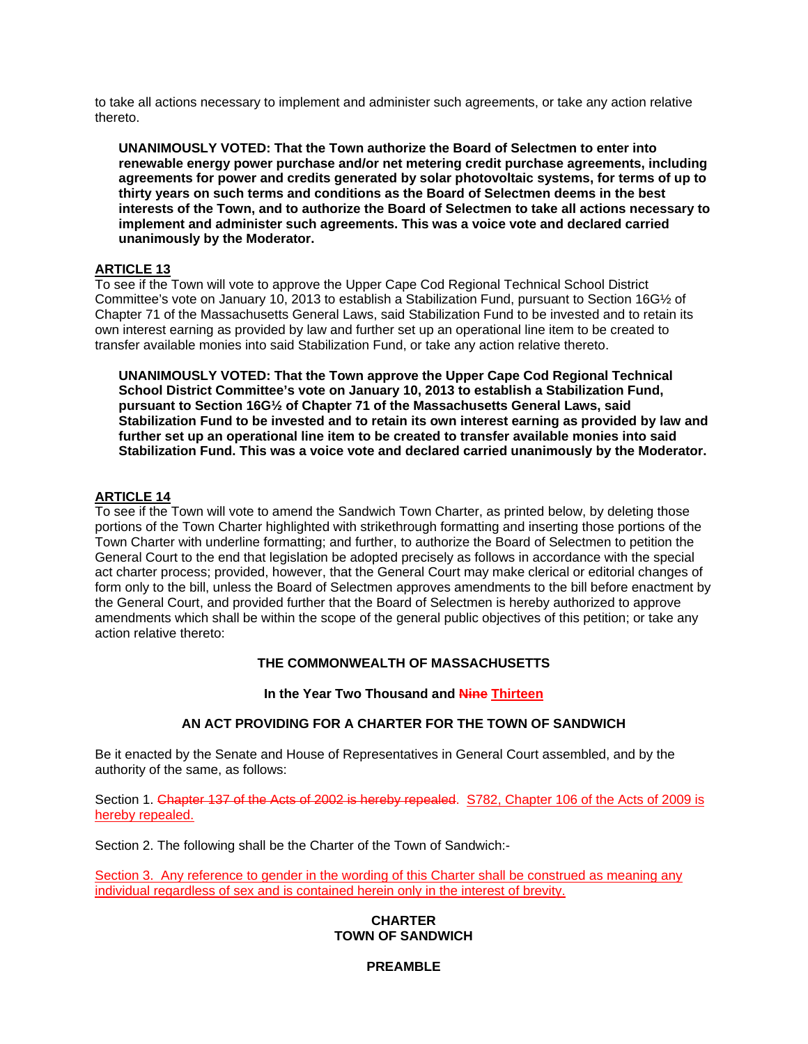to take all actions necessary to implement and administer such agreements, or take any action relative thereto.

**UNANIMOUSLY VOTED: That the Town authorize the Board of Selectmen to enter into renewable energy power purchase and/or net metering credit purchase agreements, including agreements for power and credits generated by solar photovoltaic systems, for terms of up to thirty years on such terms and conditions as the Board of Selectmen deems in the best interests of the Town, and to authorize the Board of Selectmen to take all actions necessary to implement and administer such agreements. This was a voice vote and declared carried unanimously by the Moderator.** 

# **ARTICLE 13**

To see if the Town will vote to approve the Upper Cape Cod Regional Technical School District Committee's vote on January 10, 2013 to establish a Stabilization Fund, pursuant to Section 16G½ of Chapter 71 of the Massachusetts General Laws, said Stabilization Fund to be invested and to retain its own interest earning as provided by law and further set up an operational line item to be created to transfer available monies into said Stabilization Fund, or take any action relative thereto.

**UNANIMOUSLY VOTED: That the Town approve the Upper Cape Cod Regional Technical School District Committee's vote on January 10, 2013 to establish a Stabilization Fund, pursuant to Section 16G½ of Chapter 71 of the Massachusetts General Laws, said Stabilization Fund to be invested and to retain its own interest earning as provided by law and further set up an operational line item to be created to transfer available monies into said Stabilization Fund. This was a voice vote and declared carried unanimously by the Moderator.** 

# **ARTICLE 14**

To see if the Town will vote to amend the Sandwich Town Charter, as printed below, by deleting those portions of the Town Charter highlighted with strikethrough formatting and inserting those portions of the Town Charter with underline formatting; and further, to authorize the Board of Selectmen to petition the General Court to the end that legislation be adopted precisely as follows in accordance with the special act charter process; provided, however, that the General Court may make clerical or editorial changes of form only to the bill, unless the Board of Selectmen approves amendments to the bill before enactment by the General Court, and provided further that the Board of Selectmen is hereby authorized to approve amendments which shall be within the scope of the general public objectives of this petition; or take any action relative thereto:

# **THE COMMONWEALTH OF MASSACHUSETTS**

**In the Year Two Thousand and Nine Thirteen** 

### **AN ACT PROVIDING FOR A CHARTER FOR THE TOWN OF SANDWICH**

Be it enacted by the Senate and House of Representatives in General Court assembled, and by the authority of the same, as follows:

Section 1. Chapter 137 of the Acts of 2002 is hereby repealed. S782, Chapter 106 of the Acts of 2009 is hereby repealed.

Section 2. The following shall be the Charter of the Town of Sandwich:-

Section 3. Any reference to gender in the wording of this Charter shall be construed as meaning any individual regardless of sex and is contained herein only in the interest of brevity.

### **CHARTER TOWN OF SANDWICH**

### **PREAMBLE**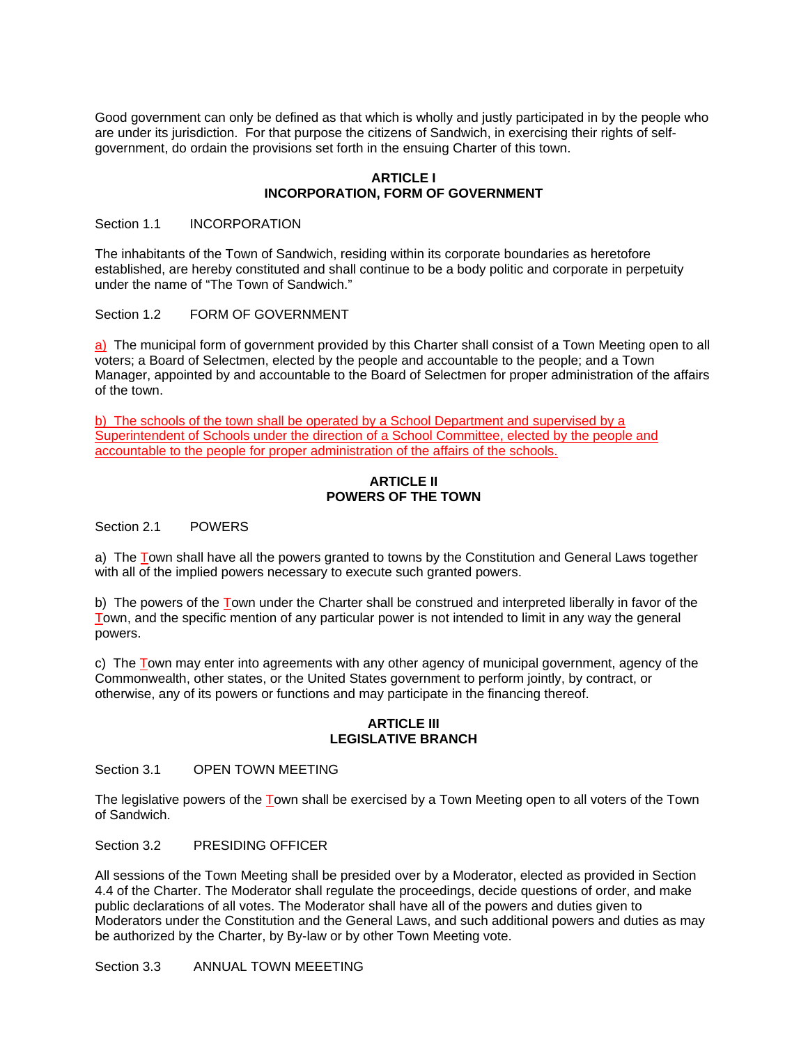Good government can only be defined as that which is wholly and justly participated in by the people who are under its jurisdiction. For that purpose the citizens of Sandwich, in exercising their rights of selfgovernment, do ordain the provisions set forth in the ensuing Charter of this town.

### **ARTICLE I INCORPORATION, FORM OF GOVERNMENT**

#### Section 1.1 **INCORPORATION**

The inhabitants of the Town of Sandwich, residing within its corporate boundaries as heretofore established, are hereby constituted and shall continue to be a body politic and corporate in perpetuity under the name of "The Town of Sandwich."

Section 1.2 FORM OF GOVERNMENT

a) The municipal form of government provided by this Charter shall consist of a Town Meeting open to all voters; a Board of Selectmen, elected by the people and accountable to the people; and a Town Manager, appointed by and accountable to the Board of Selectmen for proper administration of the affairs of the town.

b) The schools of the town shall be operated by a School Department and supervised by a Superintendent of Schools under the direction of a School Committee, elected by the people and accountable to the people for proper administration of the affairs of the schools.

### **ARTICLE II POWERS OF THE TOWN**

Section 2.1 POWERS

a) The Town shall have all the powers granted to towns by the Constitution and General Laws together with all of the implied powers necessary to execute such granted powers.

b) The powers of the Town under the Charter shall be construed and interpreted liberally in favor of the Town, and the specific mention of any particular power is not intended to limit in any way the general powers.

c) The Town may enter into agreements with any other agency of municipal government, agency of the Commonwealth, other states, or the United States government to perform jointly, by contract, or otherwise, any of its powers or functions and may participate in the financing thereof.

#### **ARTICLE III LEGISLATIVE BRANCH**

Section 3.1 OPEN TOWN MEETING

The legislative powers of the Town shall be exercised by a Town Meeting open to all voters of the Town of Sandwich.

Section 3.2 PRESIDING OFFICER

All sessions of the Town Meeting shall be presided over by a Moderator, elected as provided in Section 4.4 of the Charter. The Moderator shall regulate the proceedings, decide questions of order, and make public declarations of all votes. The Moderator shall have all of the powers and duties given to Moderators under the Constitution and the General Laws, and such additional powers and duties as may be authorized by the Charter, by By-law or by other Town Meeting vote.

Section 3.3 ANNUAL TOWN MEEETING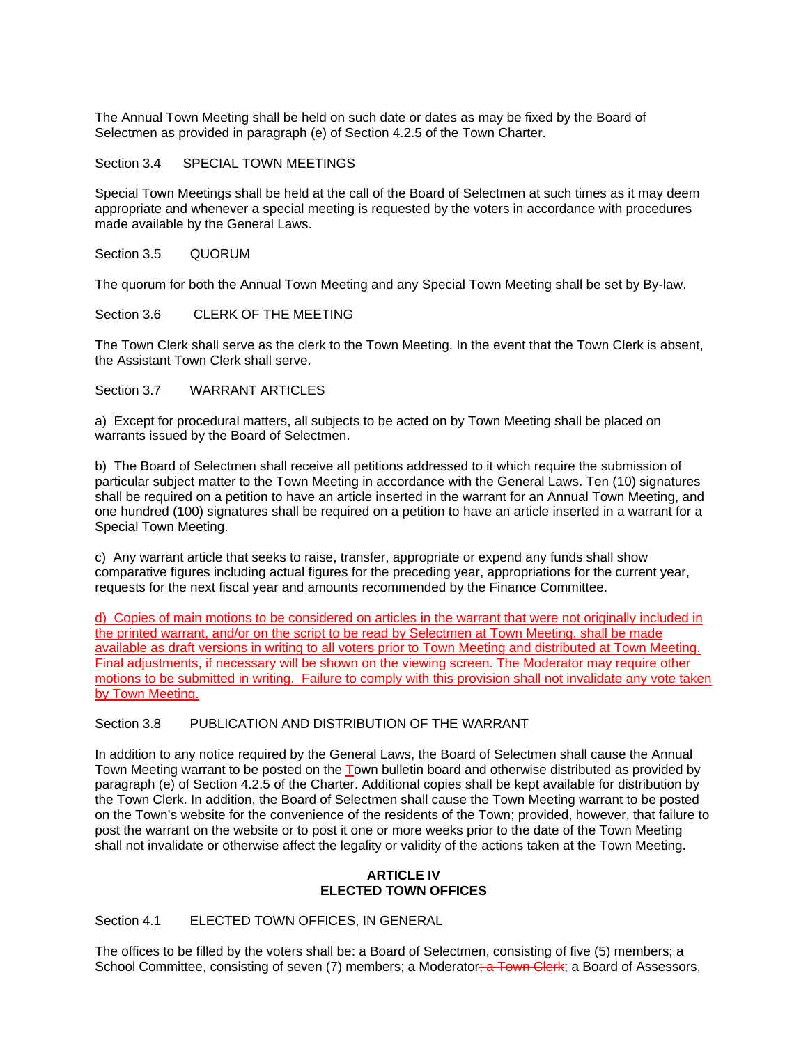The Annual Town Meeting shall be held on such date or dates as may be fixed by the Board of Selectmen as provided in paragraph (e) of Section 4.2.5 of the Town Charter.

#### Section 3.4 SPECIAL TOWN MEETINGS

Special Town Meetings shall be held at the call of the Board of Selectmen at such times as it may deem appropriate and whenever a special meeting is requested by the voters in accordance with procedures made available by the General Laws.

#### Section 3.5 QUORUM

The quorum for both the Annual Town Meeting and any Special Town Meeting shall be set by By-law.

#### Section 3.6 CLERK OF THE MEETING

The Town Clerk shall serve as the clerk to the Town Meeting. In the event that the Town Clerk is absent, the Assistant Town Clerk shall serve.

# Section 3.7 WARRANT ARTICLES

a) Except for procedural matters, all subjects to be acted on by Town Meeting shall be placed on warrants issued by the Board of Selectmen.

b) The Board of Selectmen shall receive all petitions addressed to it which require the submission of particular subject matter to the Town Meeting in accordance with the General Laws. Ten (10) signatures shall be required on a petition to have an article inserted in the warrant for an Annual Town Meeting, and one hundred (100) signatures shall be required on a petition to have an article inserted in a warrant for a Special Town Meeting.

c) Any warrant article that seeks to raise, transfer, appropriate or expend any funds shall show comparative figures including actual figures for the preceding year, appropriations for the current year, requests for the next fiscal year and amounts recommended by the Finance Committee.

d) Copies of main motions to be considered on articles in the warrant that were not originally included in the printed warrant, and/or on the script to be read by Selectmen at Town Meeting, shall be made available as draft versions in writing to all voters prior to Town Meeting and distributed at Town Meeting. Final adjustments, if necessary will be shown on the viewing screen. The Moderator may require other motions to be submitted in writing. Failure to comply with this provision shall not invalidate any vote taken by Town Meeting.

### Section 3.8 PUBLICATION AND DISTRIBUTION OF THE WARRANT

In addition to any notice required by the General Laws, the Board of Selectmen shall cause the Annual Town Meeting warrant to be posted on the Town bulletin board and otherwise distributed as provided by paragraph (e) of Section 4.2.5 of the Charter. Additional copies shall be kept available for distribution by the Town Clerk. In addition, the Board of Selectmen shall cause the Town Meeting warrant to be posted on the Town's website for the convenience of the residents of the Town; provided, however, that failure to post the warrant on the website or to post it one or more weeks prior to the date of the Town Meeting shall not invalidate or otherwise affect the legality or validity of the actions taken at the Town Meeting.

### **ARTICLE IV ELECTED TOWN OFFICES**

# Section 4.1 ELECTED TOWN OFFICES, IN GENERAL

The offices to be filled by the voters shall be: a Board of Selectmen, consisting of five (5) members; a School Committee, consisting of seven (7) members; a Moderator<del>; a Town Clerk</del>; a Board of Assessors,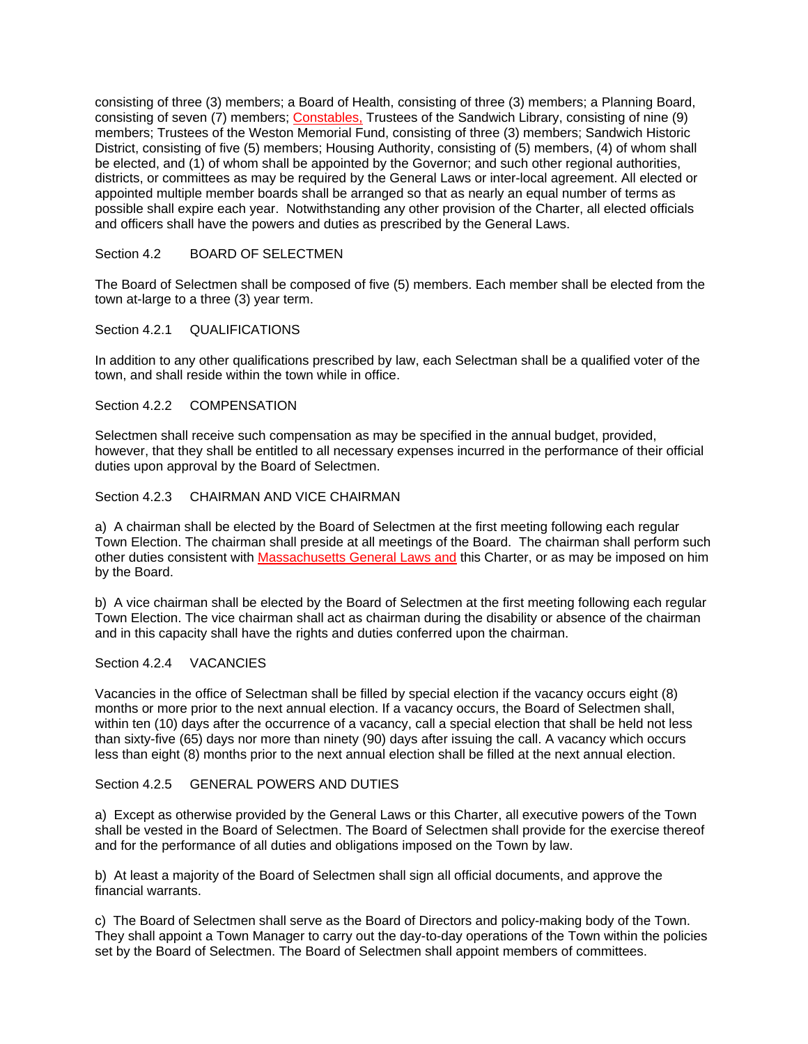consisting of three (3) members; a Board of Health, consisting of three (3) members; a Planning Board, consisting of seven (7) members; Constables, Trustees of the Sandwich Library, consisting of nine (9) members; Trustees of the Weston Memorial Fund, consisting of three (3) members; Sandwich Historic District, consisting of five (5) members; Housing Authority, consisting of (5) members, (4) of whom shall be elected, and (1) of whom shall be appointed by the Governor; and such other regional authorities, districts, or committees as may be required by the General Laws or inter-local agreement. All elected or appointed multiple member boards shall be arranged so that as nearly an equal number of terms as possible shall expire each year. Notwithstanding any other provision of the Charter, all elected officials and officers shall have the powers and duties as prescribed by the General Laws.

# Section 4.2 BOARD OF SELECTMEN

The Board of Selectmen shall be composed of five (5) members. Each member shall be elected from the town at-large to a three (3) year term.

### Section 4.2.1 QUALIFICATIONS

In addition to any other qualifications prescribed by law, each Selectman shall be a qualified voter of the town, and shall reside within the town while in office.

### Section 4.2.2 COMPENSATION

Selectmen shall receive such compensation as may be specified in the annual budget, provided, however, that they shall be entitled to all necessary expenses incurred in the performance of their official duties upon approval by the Board of Selectmen.

### Section 4.2.3 CHAIRMAN AND VICE CHAIRMAN

a) A chairman shall be elected by the Board of Selectmen at the first meeting following each regular Town Election. The chairman shall preside at all meetings of the Board. The chairman shall perform such other duties consistent with Massachusetts General Laws and this Charter, or as may be imposed on him by the Board.

b) A vice chairman shall be elected by the Board of Selectmen at the first meeting following each regular Town Election. The vice chairman shall act as chairman during the disability or absence of the chairman and in this capacity shall have the rights and duties conferred upon the chairman.

### Section 4.2.4 VACANCIES

Vacancies in the office of Selectman shall be filled by special election if the vacancy occurs eight (8) months or more prior to the next annual election. If a vacancy occurs, the Board of Selectmen shall, within ten (10) days after the occurrence of a vacancy, call a special election that shall be held not less than sixty-five (65) days nor more than ninety (90) days after issuing the call. A vacancy which occurs less than eight (8) months prior to the next annual election shall be filled at the next annual election.

# Section 4.2.5 GENERAL POWERS AND DUTIES

a) Except as otherwise provided by the General Laws or this Charter, all executive powers of the Town shall be vested in the Board of Selectmen. The Board of Selectmen shall provide for the exercise thereof and for the performance of all duties and obligations imposed on the Town by law.

b) At least a majority of the Board of Selectmen shall sign all official documents, and approve the financial warrants.

c) The Board of Selectmen shall serve as the Board of Directors and policy-making body of the Town. They shall appoint a Town Manager to carry out the day-to-day operations of the Town within the policies set by the Board of Selectmen. The Board of Selectmen shall appoint members of committees.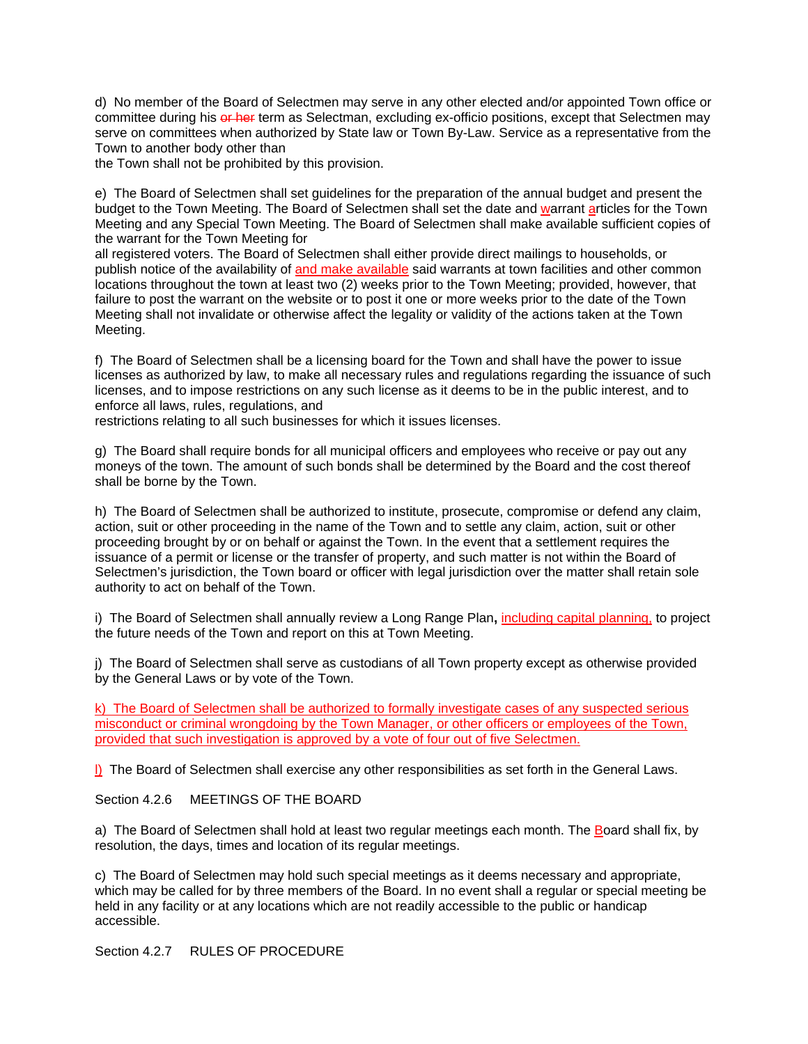d) No member of the Board of Selectmen may serve in any other elected and/or appointed Town office or committee during his or her term as Selectman, excluding ex-officio positions, except that Selectmen may serve on committees when authorized by State law or Town By-Law. Service as a representative from the Town to another body other than

the Town shall not be prohibited by this provision.

e) The Board of Selectmen shall set guidelines for the preparation of the annual budget and present the budget to the Town Meeting. The Board of Selectmen shall set the date and warrant articles for the Town Meeting and any Special Town Meeting. The Board of Selectmen shall make available sufficient copies of the warrant for the Town Meeting for

all registered voters. The Board of Selectmen shall either provide direct mailings to households, or publish notice of the availability of and make available said warrants at town facilities and other common locations throughout the town at least two (2) weeks prior to the Town Meeting; provided, however, that failure to post the warrant on the website or to post it one or more weeks prior to the date of the Town Meeting shall not invalidate or otherwise affect the legality or validity of the actions taken at the Town Meeting.

f) The Board of Selectmen shall be a licensing board for the Town and shall have the power to issue licenses as authorized by law, to make all necessary rules and regulations regarding the issuance of such licenses, and to impose restrictions on any such license as it deems to be in the public interest, and to enforce all laws, rules, regulations, and

restrictions relating to all such businesses for which it issues licenses.

g) The Board shall require bonds for all municipal officers and employees who receive or pay out any moneys of the town. The amount of such bonds shall be determined by the Board and the cost thereof shall be borne by the Town.

h) The Board of Selectmen shall be authorized to institute, prosecute, compromise or defend any claim, action, suit or other proceeding in the name of the Town and to settle any claim, action, suit or other proceeding brought by or on behalf or against the Town. In the event that a settlement requires the issuance of a permit or license or the transfer of property, and such matter is not within the Board of Selectmen's jurisdiction, the Town board or officer with legal jurisdiction over the matter shall retain sole authority to act on behalf of the Town.

i) The Board of Selectmen shall annually review a Long Range Plan**,** including capital planning, to project the future needs of the Town and report on this at Town Meeting.

j) The Board of Selectmen shall serve as custodians of all Town property except as otherwise provided by the General Laws or by vote of the Town.

k) The Board of Selectmen shall be authorized to formally investigate cases of any suspected serious misconduct or criminal wrongdoing by the Town Manager, or other officers or employees of the Town, provided that such investigation is approved by a vote of four out of five Selectmen.

l) The Board of Selectmen shall exercise any other responsibilities as set forth in the General Laws.

Section 4.2.6 MEETINGS OF THE BOARD

a) The Board of Selectmen shall hold at least two regular meetings each month. The Board shall fix, by resolution, the days, times and location of its regular meetings.

c) The Board of Selectmen may hold such special meetings as it deems necessary and appropriate, which may be called for by three members of the Board. In no event shall a regular or special meeting be held in any facility or at any locations which are not readily accessible to the public or handicap accessible.

Section 4.2.7 RULES OF PROCEDURE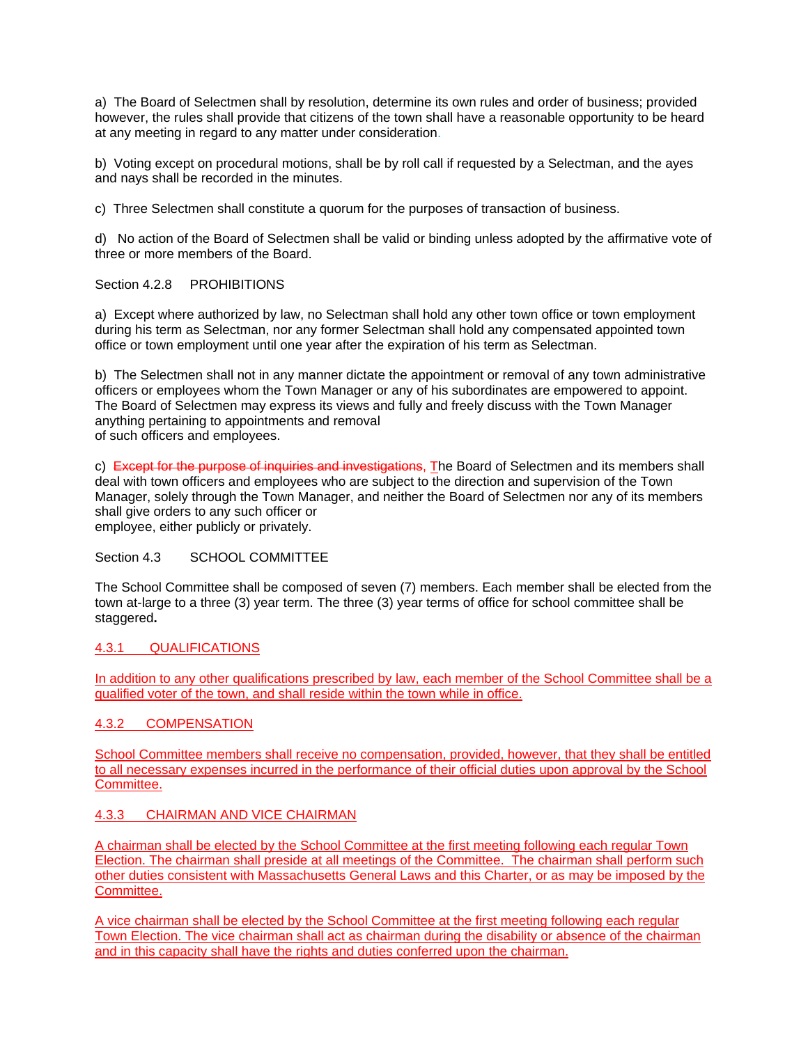a) The Board of Selectmen shall by resolution, determine its own rules and order of business; provided however, the rules shall provide that citizens of the town shall have a reasonable opportunity to be heard at any meeting in regard to any matter under consideration.

b) Voting except on procedural motions, shall be by roll call if requested by a Selectman, and the ayes and nays shall be recorded in the minutes.

c) Three Selectmen shall constitute a quorum for the purposes of transaction of business.

d) No action of the Board of Selectmen shall be valid or binding unless adopted by the affirmative vote of three or more members of the Board.

Section 4.2.8 PROHIBITIONS

a) Except where authorized by law, no Selectman shall hold any other town office or town employment during his term as Selectman, nor any former Selectman shall hold any compensated appointed town office or town employment until one year after the expiration of his term as Selectman.

b) The Selectmen shall not in any manner dictate the appointment or removal of any town administrative officers or employees whom the Town Manager or any of his subordinates are empowered to appoint. The Board of Selectmen may express its views and fully and freely discuss with the Town Manager anything pertaining to appointments and removal

of such officers and employees.

c) Except for the purpose of inquiries and investigations. The Board of Selectmen and its members shall deal with town officers and employees who are subject to the direction and supervision of the Town Manager, solely through the Town Manager, and neither the Board of Selectmen nor any of its members shall give orders to any such officer or employee, either publicly or privately.

Section 4.3 SCHOOL COMMITTEE

The School Committee shall be composed of seven (7) members. Each member shall be elected from the town at-large to a three (3) year term. The three (3) year terms of office for school committee shall be staggered**.** 

# 4.3.1 QUALIFICATIONS

In addition to any other qualifications prescribed by law, each member of the School Committee shall be a qualified voter of the town, and shall reside within the town while in office.

# 4.3.2 COMPENSATION

School Committee members shall receive no compensation, provided, however, that they shall be entitled to all necessary expenses incurred in the performance of their official duties upon approval by the School Committee.

### 4.3.3 CHAIRMAN AND VICE CHAIRMAN

A chairman shall be elected by the School Committee at the first meeting following each regular Town Election. The chairman shall preside at all meetings of the Committee. The chairman shall perform such other duties consistent with Massachusetts General Laws and this Charter, or as may be imposed by the Committee.

A vice chairman shall be elected by the School Committee at the first meeting following each regular Town Election. The vice chairman shall act as chairman during the disability or absence of the chairman and in this capacity shall have the rights and duties conferred upon the chairman.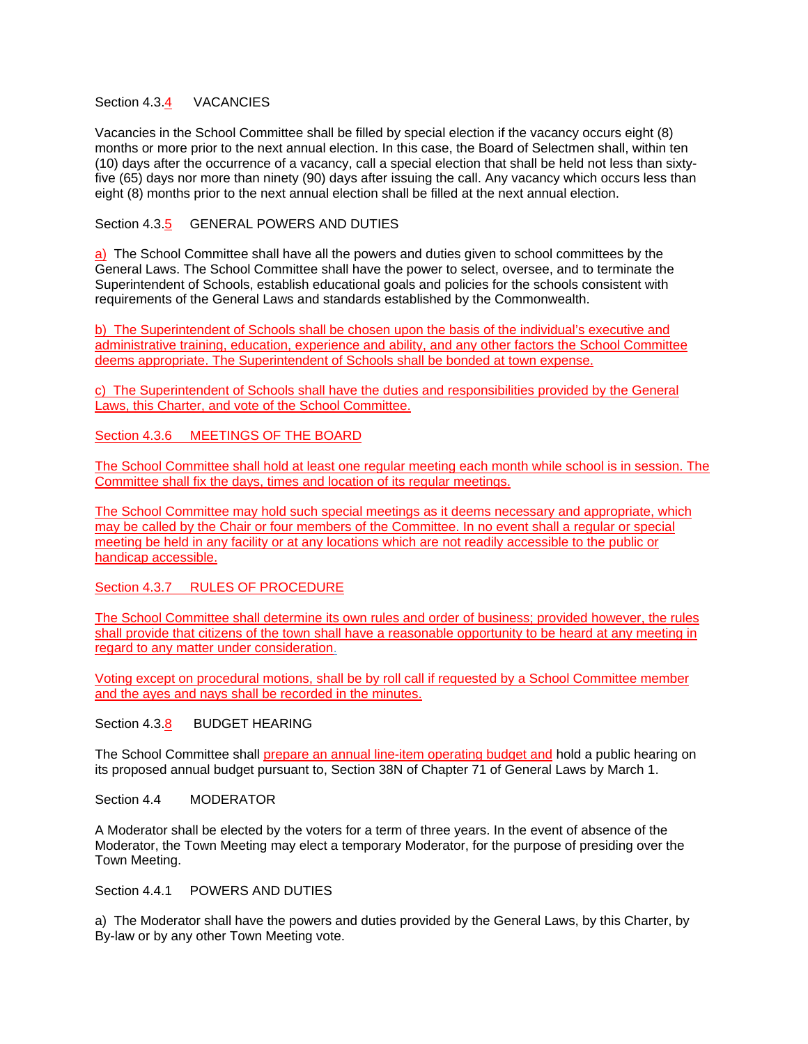### Section 4.3.4 VACANCIES

Vacancies in the School Committee shall be filled by special election if the vacancy occurs eight (8) months or more prior to the next annual election. In this case, the Board of Selectmen shall, within ten (10) days after the occurrence of a vacancy, call a special election that shall be held not less than sixtyfive (65) days nor more than ninety (90) days after issuing the call. Any vacancy which occurs less than eight (8) months prior to the next annual election shall be filled at the next annual election.

# Section 4.3.5 GENERAL POWERS AND DUTIES

a)The School Committee shall have all the powers and duties given to school committees by the General Laws. The School Committee shall have the power to select, oversee, and to terminate the Superintendent of Schools, establish educational goals and policies for the schools consistent with requirements of the General Laws and standards established by the Commonwealth.

b) The Superintendent of Schools shall be chosen upon the basis of the individual's executive and administrative training, education, experience and ability, and any other factors the School Committee deems appropriate. The Superintendent of Schools shall be bonded at town expense.

c) The Superintendent of Schools shall have the duties and responsibilities provided by the General Laws, this Charter, and vote of the School Committee.

## Section 4.3.6 MEETINGS OF THE BOARD

The School Committee shall hold at least one regular meeting each month while school is in session. The Committee shall fix the days, times and location of its regular meetings.

The School Committee may hold such special meetings as it deems necessary and appropriate, which may be called by the Chair or four members of the Committee. In no event shall a regular or special meeting be held in any facility or at any locations which are not readily accessible to the public or handicap accessible.

Section 4.3.7 RULES OF PROCEDURE

The School Committee shall determine its own rules and order of business; provided however, the rules shall provide that citizens of the town shall have a reasonable opportunity to be heard at any meeting in regard to any matter under consideration.

Voting except on procedural motions, shall be by roll call if requested by a School Committee member and the ayes and nays shall be recorded in the minutes.

### Section 4.3.8 BUDGET HEARING

The School Committee shall prepare an annual line-item operating budget and hold a public hearing on its proposed annual budget pursuant to, Section 38N of Chapter 71 of General Laws by March 1.

Section 4.4 MODERATOR

A Moderator shall be elected by the voters for a term of three years. In the event of absence of the Moderator, the Town Meeting may elect a temporary Moderator, for the purpose of presiding over the Town Meeting.

Section 4.4.1 POWERS AND DUTIES

a) The Moderator shall have the powers and duties provided by the General Laws, by this Charter, by By-law or by any other Town Meeting vote.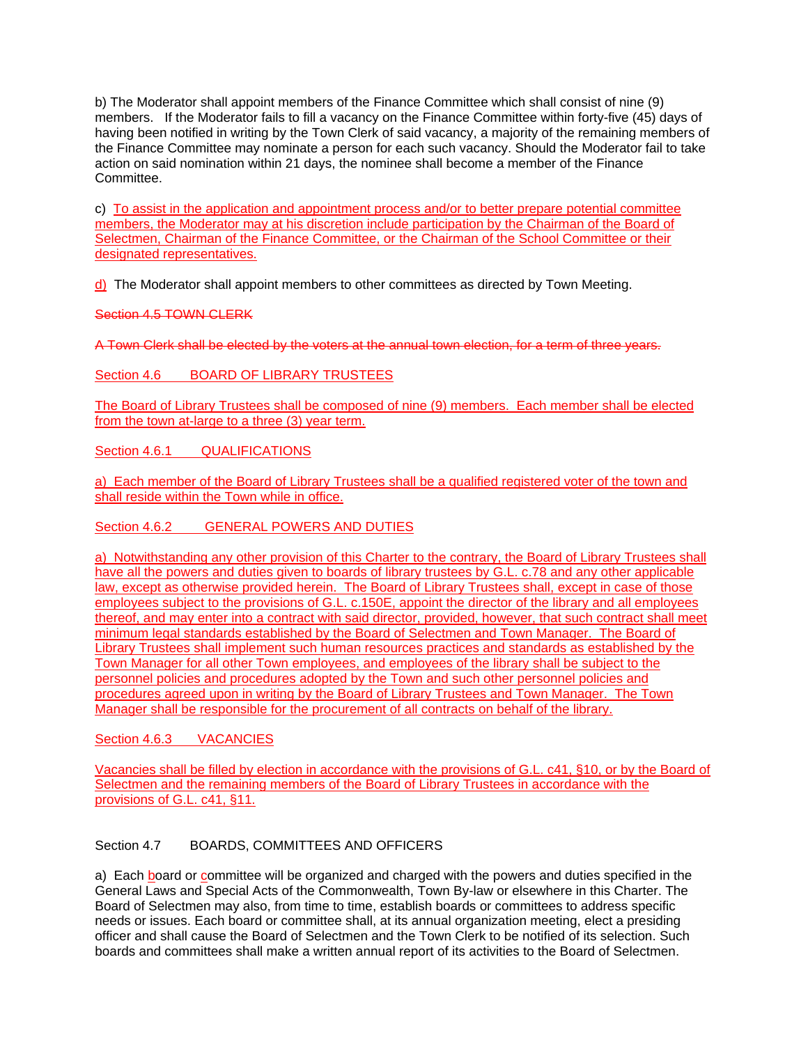b) The Moderator shall appoint members of the Finance Committee which shall consist of nine (9) members. If the Moderator fails to fill a vacancy on the Finance Committee within forty-five (45) days of having been notified in writing by the Town Clerk of said vacancy, a majority of the remaining members of the Finance Committee may nominate a person for each such vacancy. Should the Moderator fail to take action on said nomination within 21 days, the nominee shall become a member of the Finance Committee.

c) To assist in the application and appointment process and/or to better prepare potential committee members, the Moderator may at his discretion include participation by the Chairman of the Board of Selectmen, Chairman of the Finance Committee, or the Chairman of the School Committee or their designated representatives.

d) The Moderator shall appoint members to other committees as directed by Town Meeting.

# Section 4.5 TOWN CLERK

A Town Clerk shall be elected by the voters at the annual town election, for a term of three years.

# Section 4.6 BOARD OF LIBRARY TRUSTEES

The Board of Library Trustees shall be composed of nine (9) members. Each member shall be elected from the town at-large to a three (3) year term.

Section 4.6.1 QUALIFICATIONS

a) Each member of the Board of Library Trustees shall be a qualified registered voter of the town and shall reside within the Town while in office.

Section 4.6.2 GENERAL POWERS AND DUTIES

a) Notwithstanding any other provision of this Charter to the contrary, the Board of Library Trustees shall have all the powers and duties given to boards of library trustees by G.L. c.78 and any other applicable law, except as otherwise provided herein. The Board of Library Trustees shall, except in case of those employees subject to the provisions of G.L. c.150E, appoint the director of the library and all employees thereof, and may enter into a contract with said director, provided, however, that such contract shall meet minimum legal standards established by the Board of Selectmen and Town Manager. The Board of Library Trustees shall implement such human resources practices and standards as established by the Town Manager for all other Town employees, and employees of the library shall be subject to the personnel policies and procedures adopted by the Town and such other personnel policies and procedures agreed upon in writing by the Board of Library Trustees and Town Manager. The Town Manager shall be responsible for the procurement of all contracts on behalf of the library.

# Section 4.6.3 VACANCIES

Vacancies shall be filled by election in accordance with the provisions of G.L. c41, §10, or by the Board of Selectmen and the remaining members of the Board of Library Trustees in accordance with the provisions of G.L. c41, §11.

# Section 4.7 BOARDS, COMMITTEES AND OFFICERS

a) Each board or committee will be organized and charged with the powers and duties specified in the General Laws and Special Acts of the Commonwealth, Town By-law or elsewhere in this Charter. The Board of Selectmen may also, from time to time, establish boards or committees to address specific needs or issues. Each board or committee shall, at its annual organization meeting, elect a presiding officer and shall cause the Board of Selectmen and the Town Clerk to be notified of its selection. Such boards and committees shall make a written annual report of its activities to the Board of Selectmen.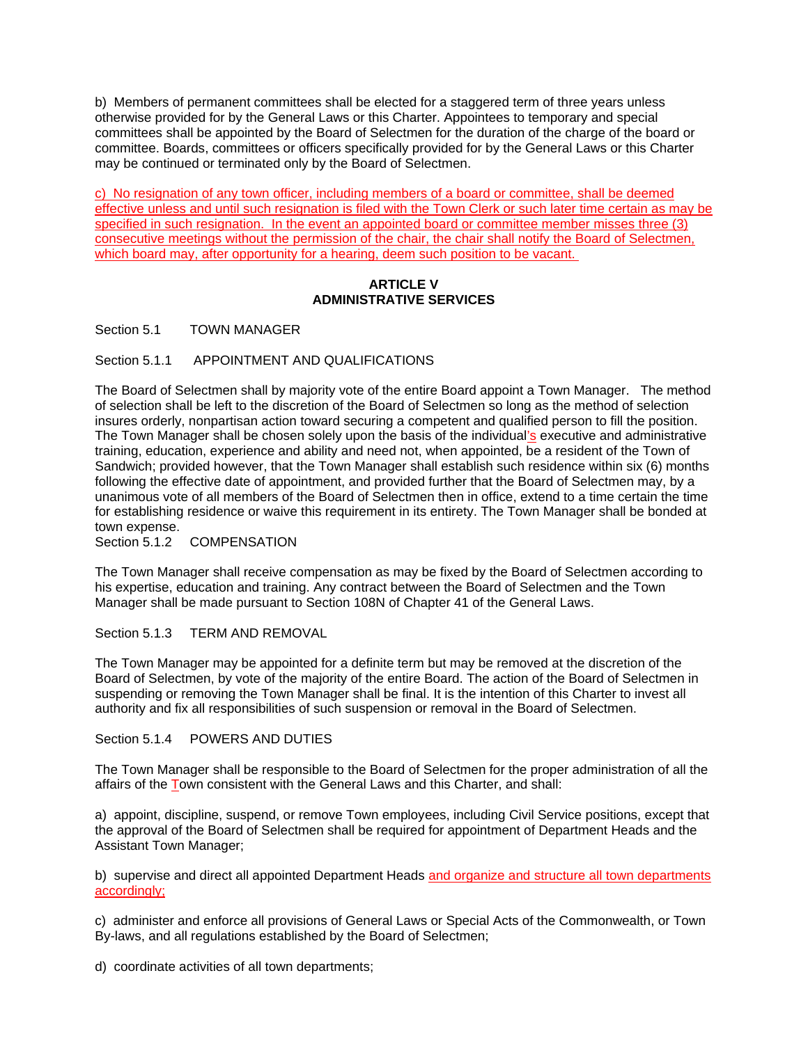b) Members of permanent committees shall be elected for a staggered term of three years unless otherwise provided for by the General Laws or this Charter. Appointees to temporary and special committees shall be appointed by the Board of Selectmen for the duration of the charge of the board or committee. Boards, committees or officers specifically provided for by the General Laws or this Charter may be continued or terminated only by the Board of Selectmen.

c) No resignation of any town officer, including members of a board or committee, shall be deemed effective unless and until such resignation is filed with the Town Clerk or such later time certain as may be specified in such resignation. In the event an appointed board or committee member misses three (3) consecutive meetings without the permission of the chair, the chair shall notify the Board of Selectmen, which board may, after opportunity for a hearing, deem such position to be vacant.

### **ARTICLE V ADMINISTRATIVE SERVICES**

Section 5.1 TOWN MANAGER

# Section 5.1.1 APPOINTMENT AND QUALIFICATIONS

The Board of Selectmen shall by majority vote of the entire Board appoint a Town Manager. The method of selection shall be left to the discretion of the Board of Selectmen so long as the method of selection insures orderly, nonpartisan action toward securing a competent and qualified person to fill the position. The Town Manager shall be chosen solely upon the basis of the individual's executive and administrative training, education, experience and ability and need not, when appointed, be a resident of the Town of Sandwich; provided however, that the Town Manager shall establish such residence within six (6) months following the effective date of appointment, and provided further that the Board of Selectmen may, by a unanimous vote of all members of the Board of Selectmen then in office, extend to a time certain the time for establishing residence or waive this requirement in its entirety. The Town Manager shall be bonded at town expense.

### Section 5.1.2 COMPENSATION

The Town Manager shall receive compensation as may be fixed by the Board of Selectmen according to his expertise, education and training. Any contract between the Board of Selectmen and the Town Manager shall be made pursuant to Section 108N of Chapter 41 of the General Laws.

Section 5.1.3 TERM AND REMOVAL

The Town Manager may be appointed for a definite term but may be removed at the discretion of the Board of Selectmen, by vote of the majority of the entire Board. The action of the Board of Selectmen in suspending or removing the Town Manager shall be final. It is the intention of this Charter to invest all authority and fix all responsibilities of such suspension or removal in the Board of Selectmen.

# Section 5.1.4 POWERS AND DUTIES

The Town Manager shall be responsible to the Board of Selectmen for the proper administration of all the affairs of the Town consistent with the General Laws and this Charter, and shall:

a) appoint, discipline, suspend, or remove Town employees, including Civil Service positions, except that the approval of the Board of Selectmen shall be required for appointment of Department Heads and the Assistant Town Manager;

b) supervise and direct all appointed Department Heads and organize and structure all town departments accordingly;

c) administer and enforce all provisions of General Laws or Special Acts of the Commonwealth, or Town By-laws, and all regulations established by the Board of Selectmen;

d) coordinate activities of all town departments;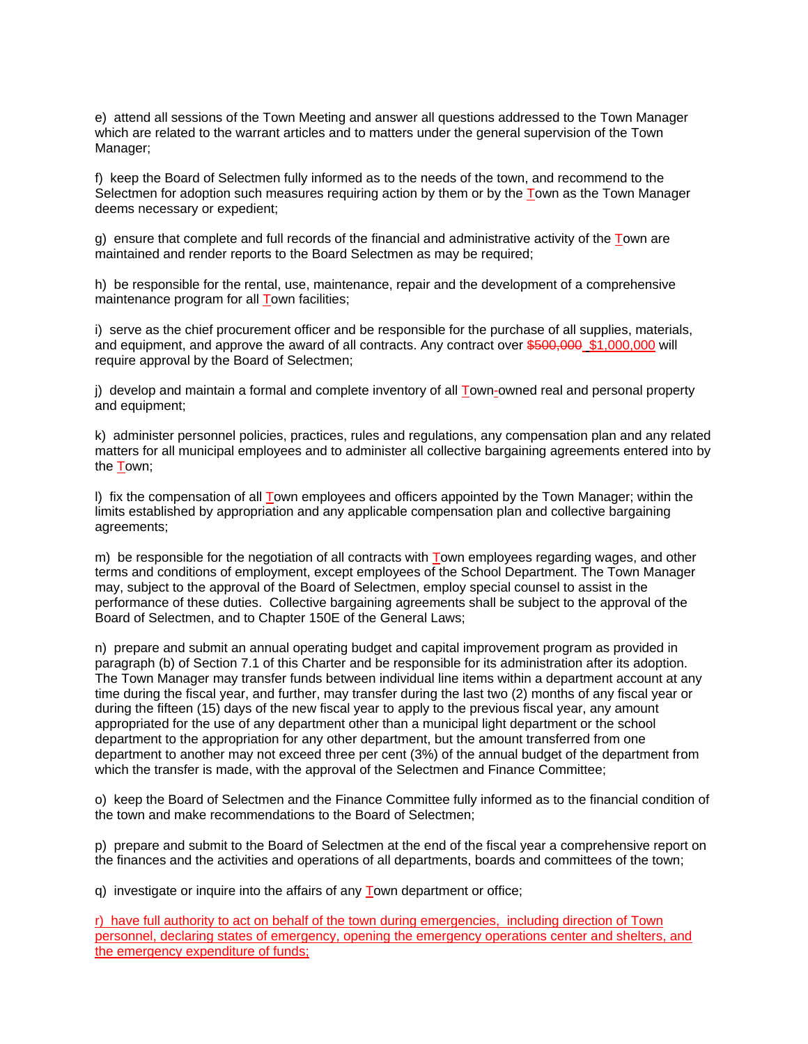e) attend all sessions of the Town Meeting and answer all questions addressed to the Town Manager which are related to the warrant articles and to matters under the general supervision of the Town Manager;

f) keep the Board of Selectmen fully informed as to the needs of the town, and recommend to the Selectmen for adoption such measures requiring action by them or by the Town as the Town Manager deems necessary or expedient;

g) ensure that complete and full records of the financial and administrative activity of the Town are maintained and render reports to the Board Selectmen as may be required;

h) be responsible for the rental, use, maintenance, repair and the development of a comprehensive maintenance program for all Town facilities;

i) serve as the chief procurement officer and be responsible for the purchase of all supplies, materials, and equipment, and approve the award of all contracts. Any contract over \$500,000 \$1,000,000 will require approval by the Board of Selectmen;

j) develop and maintain a formal and complete inventory of all Town-owned real and personal property and equipment;

k) administer personnel policies, practices, rules and regulations, any compensation plan and any related matters for all municipal employees and to administer all collective bargaining agreements entered into by the Town;

l) fix the compensation of all Town employees and officers appointed by the Town Manager; within the limits established by appropriation and any applicable compensation plan and collective bargaining agreements;

m) be responsible for the negotiation of all contracts with Town employees regarding wages, and other terms and conditions of employment, except employees of the School Department. The Town Manager may, subject to the approval of the Board of Selectmen, employ special counsel to assist in the performance of these duties. Collective bargaining agreements shall be subject to the approval of the Board of Selectmen, and to Chapter 150E of the General Laws;

n) prepare and submit an annual operating budget and capital improvement program as provided in paragraph (b) of Section 7.1 of this Charter and be responsible for its administration after its adoption. The Town Manager may transfer funds between individual line items within a department account at any time during the fiscal year, and further, may transfer during the last two (2) months of any fiscal year or during the fifteen (15) days of the new fiscal year to apply to the previous fiscal year, any amount appropriated for the use of any department other than a municipal light department or the school department to the appropriation for any other department, but the amount transferred from one department to another may not exceed three per cent (3%) of the annual budget of the department from which the transfer is made, with the approval of the Selectmen and Finance Committee;

o) keep the Board of Selectmen and the Finance Committee fully informed as to the financial condition of the town and make recommendations to the Board of Selectmen;

p) prepare and submit to the Board of Selectmen at the end of the fiscal year a comprehensive report on the finances and the activities and operations of all departments, boards and committees of the town;

q) investigate or inquire into the affairs of any Town department or office;

r) have full authority to act on behalf of the town during emergencies, including direction of Town personnel, declaring states of emergency, opening the emergency operations center and shelters, and the emergency expenditure of funds;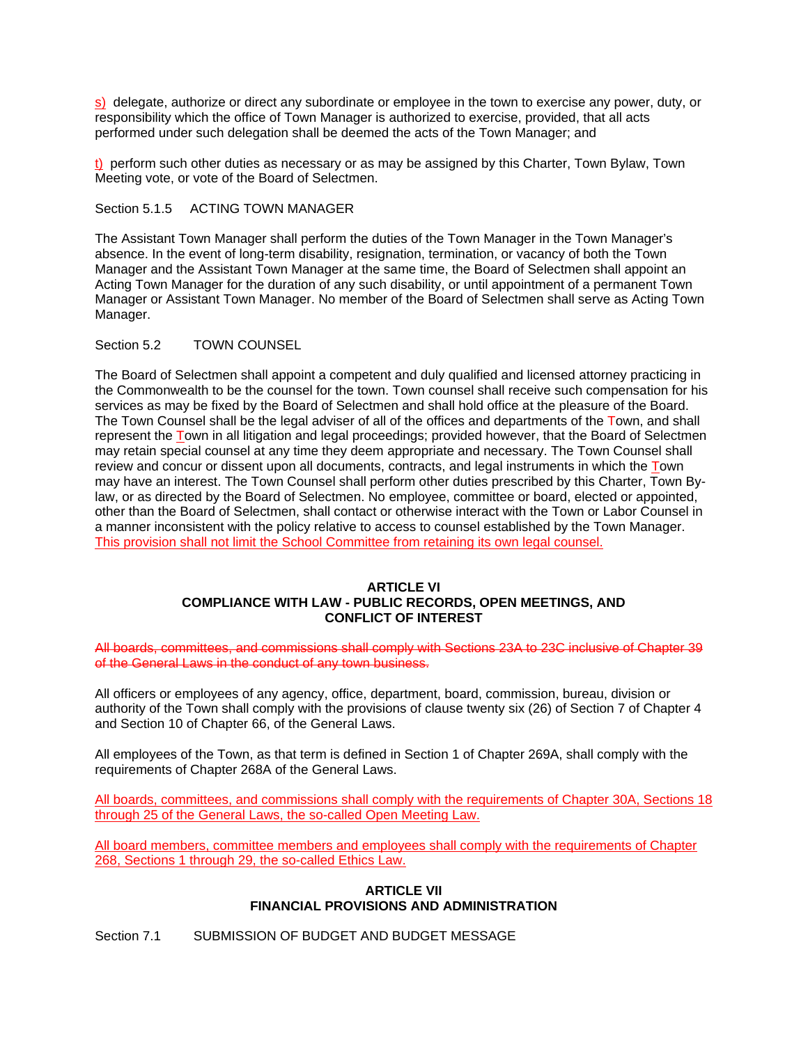s) delegate, authorize or direct any subordinate or employee in the town to exercise any power, duty, or responsibility which the office of Town Manager is authorized to exercise, provided, that all acts performed under such delegation shall be deemed the acts of the Town Manager; and

t) perform such other duties as necessary or as may be assigned by this Charter, Town Bylaw, Town Meeting vote, or vote of the Board of Selectmen.

Section 5.1.5 ACTING TOWN MANAGER

The Assistant Town Manager shall perform the duties of the Town Manager in the Town Manager's absence. In the event of long-term disability, resignation, termination, or vacancy of both the Town Manager and the Assistant Town Manager at the same time, the Board of Selectmen shall appoint an Acting Town Manager for the duration of any such disability, or until appointment of a permanent Town Manager or Assistant Town Manager. No member of the Board of Selectmen shall serve as Acting Town Manager.

### Section 5.2 TOWN COUNSEL

The Board of Selectmen shall appoint a competent and duly qualified and licensed attorney practicing in the Commonwealth to be the counsel for the town. Town counsel shall receive such compensation for his services as may be fixed by the Board of Selectmen and shall hold office at the pleasure of the Board. The Town Counsel shall be the legal adviser of all of the offices and departments of the Town, and shall represent the Town in all litigation and legal proceedings; provided however, that the Board of Selectmen may retain special counsel at any time they deem appropriate and necessary. The Town Counsel shall review and concur or dissent upon all documents, contracts, and legal instruments in which the Town may have an interest. The Town Counsel shall perform other duties prescribed by this Charter, Town Bylaw, or as directed by the Board of Selectmen. No employee, committee or board, elected or appointed, other than the Board of Selectmen, shall contact or otherwise interact with the Town or Labor Counsel in a manner inconsistent with the policy relative to access to counsel established by the Town Manager. This provision shall not limit the School Committee from retaining its own legal counsel.

### **ARTICLE VI COMPLIANCE WITH LAW - PUBLIC RECORDS, OPEN MEETINGS, AND CONFLICT OF INTEREST**

All boards, committees, and commissions shall comply with Sections 23A to 23C inclusive of Chapter 39 of the General Laws in the conduct of any town business.

All officers or employees of any agency, office, department, board, commission, bureau, division or authority of the Town shall comply with the provisions of clause twenty six (26) of Section 7 of Chapter 4 and Section 10 of Chapter 66, of the General Laws.

All employees of the Town, as that term is defined in Section 1 of Chapter 269A, shall comply with the requirements of Chapter 268A of the General Laws.

All boards, committees, and commissions shall comply with the requirements of Chapter 30A, Sections 18 through 25 of the General Laws, the so-called Open Meeting Law.

All board members, committee members and employees shall comply with the requirements of Chapter 268, Sections 1 through 29, the so-called Ethics Law.

### **ARTICLE VII FINANCIAL PROVISIONS AND ADMINISTRATION**

Section 7.1 SUBMISSION OF BUDGET AND BUDGET MESSAGE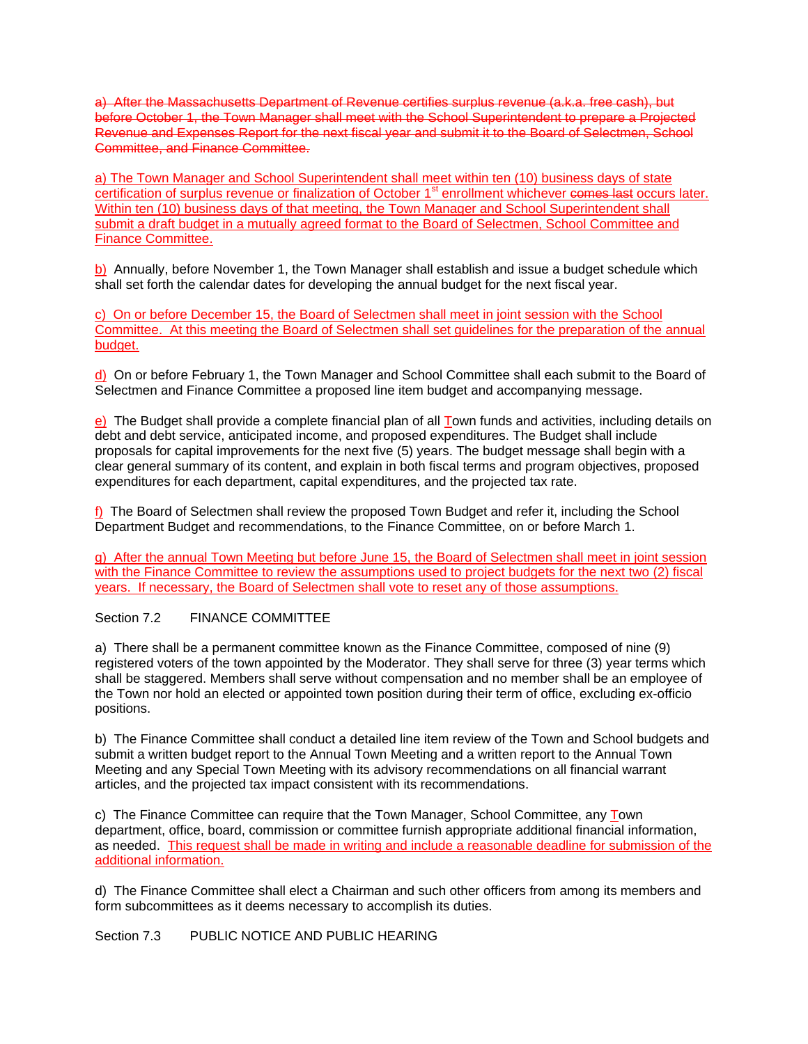a) After the Massachusetts Department of Revenue certifies surplus revenue (a.k.a. free cash), but before October 1, the Town Manager shall meet with the School Superintendent to prepare a Projected Revenue and Expenses Report for the next fiscal year and submit it to the Board of Selectmen, School Committee, and Finance Committee.

a) The Town Manager and School Superintendent shall meet within ten (10) business days of state certification of surplus revenue or finalization of October 1<sup>st</sup> enrollment whichever comes last occurs later. Within ten (10) business days of that meeting, the Town Manager and School Superintendent shall submit a draft budget in a mutually agreed format to the Board of Selectmen, School Committee and Finance Committee.

b)Annually, before November 1, the Town Manager shall establish and issue a budget schedule which shall set forth the calendar dates for developing the annual budget for the next fiscal year.

c) On or before December 15, the Board of Selectmen shall meet in joint session with the School Committee. At this meeting the Board of Selectmen shall set guidelines for the preparation of the annual budget.

d)On or before February 1, the Town Manager and School Committee shall each submit to the Board of Selectmen and Finance Committee a proposed line item budget and accompanying message.

e) The Budget shall provide a complete financial plan of all Town funds and activities, including details on debt and debt service, anticipated income, and proposed expenditures. The Budget shall include proposals for capital improvements for the next five (5) years. The budget message shall begin with a clear general summary of its content, and explain in both fiscal terms and program objectives, proposed expenditures for each department, capital expenditures, and the projected tax rate.

f) The Board of Selectmen shall review the proposed Town Budget and refer it, including the School Department Budget and recommendations, to the Finance Committee, on or before March 1.

g) After the annual Town Meeting but before June 15, the Board of Selectmen shall meet in joint session with the Finance Committee to review the assumptions used to project budgets for the next two (2) fiscal years. If necessary, the Board of Selectmen shall vote to reset any of those assumptions.

# Section 7.2 FINANCE COMMITTEE

a) There shall be a permanent committee known as the Finance Committee, composed of nine (9) registered voters of the town appointed by the Moderator. They shall serve for three (3) year terms which shall be staggered. Members shall serve without compensation and no member shall be an employee of the Town nor hold an elected or appointed town position during their term of office, excluding ex-officio positions.

b) The Finance Committee shall conduct a detailed line item review of the Town and School budgets and submit a written budget report to the Annual Town Meeting and a written report to the Annual Town Meeting and any Special Town Meeting with its advisory recommendations on all financial warrant articles, and the projected tax impact consistent with its recommendations.

c) The Finance Committee can require that the Town Manager, School Committee, any Town department, office, board, commission or committee furnish appropriate additional financial information, as needed. This request shall be made in writing and include a reasonable deadline for submission of the additional information.

d) The Finance Committee shall elect a Chairman and such other officers from among its members and form subcommittees as it deems necessary to accomplish its duties.

Section 7.3 PUBLIC NOTICE AND PUBLIC HEARING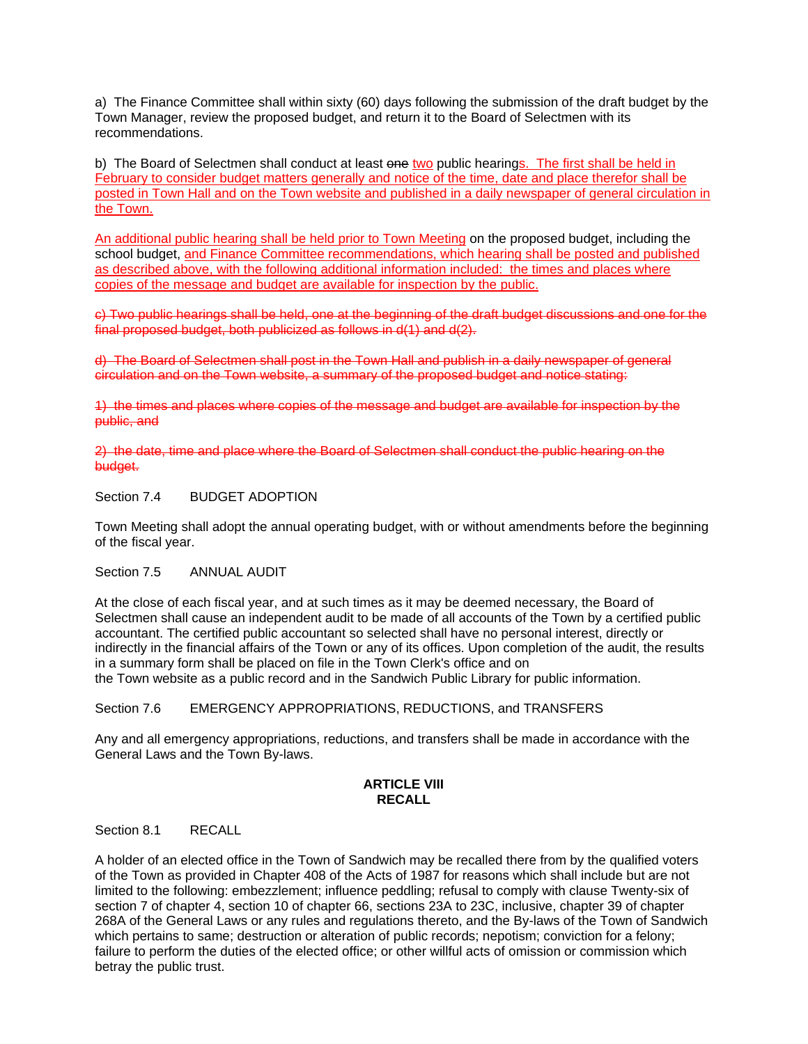a) The Finance Committee shall within sixty (60) days following the submission of the draft budget by the Town Manager, review the proposed budget, and return it to the Board of Selectmen with its recommendations.

b) The Board of Selectmen shall conduct at least one two public hearings. The first shall be held in February to consider budget matters generally and notice of the time, date and place therefor shall be posted in Town Hall and on the Town website and published in a daily newspaper of general circulation in the Town.

An additional public hearing shall be held prior to Town Meeting on the proposed budget, including the school budget, and Finance Committee recommendations, which hearing shall be posted and published as described above, with the following additional information included: the times and places where copies of the message and budget are available for inspection by the public.

c) Two public hearings shall be held, one at the beginning of the draft budget discussions and one for the final proposed budget, both publicized as follows in d(1) and d(2).

d) The Board of Selectmen shall post in the Town Hall and publish in a daily newspaper of general circulation and on the Town website, a summary of the proposed budget and notice stating:

1) the times and places where copies of the message and budget are available for inspection by the public, and

2) the date, time and place where the Board of Selectmen shall conduct the public hearing on the budget.

Section 7.4 BUDGET ADOPTION

Town Meeting shall adopt the annual operating budget, with or without amendments before the beginning of the fiscal year.

Section 7.5 ANNUAL AUDIT

At the close of each fiscal year, and at such times as it may be deemed necessary, the Board of Selectmen shall cause an independent audit to be made of all accounts of the Town by a certified public accountant. The certified public accountant so selected shall have no personal interest, directly or indirectly in the financial affairs of the Town or any of its offices. Upon completion of the audit, the results in a summary form shall be placed on file in the Town Clerk's office and on the Town website as a public record and in the Sandwich Public Library for public information.

Section 7.6 EMERGENCY APPROPRIATIONS, REDUCTIONS, and TRANSFERS

Any and all emergency appropriations, reductions, and transfers shall be made in accordance with the General Laws and the Town By-laws.

### **ARTICLE VIII RECALL**

Section 8.1 RECALL

A holder of an elected office in the Town of Sandwich may be recalled there from by the qualified voters of the Town as provided in Chapter 408 of the Acts of 1987 for reasons which shall include but are not limited to the following: embezzlement; influence peddling; refusal to comply with clause Twenty-six of section 7 of chapter 4, section 10 of chapter 66, sections 23A to 23C, inclusive, chapter 39 of chapter 268A of the General Laws or any rules and regulations thereto, and the By-laws of the Town of Sandwich which pertains to same; destruction or alteration of public records; nepotism; conviction for a felony; failure to perform the duties of the elected office; or other willful acts of omission or commission which betray the public trust.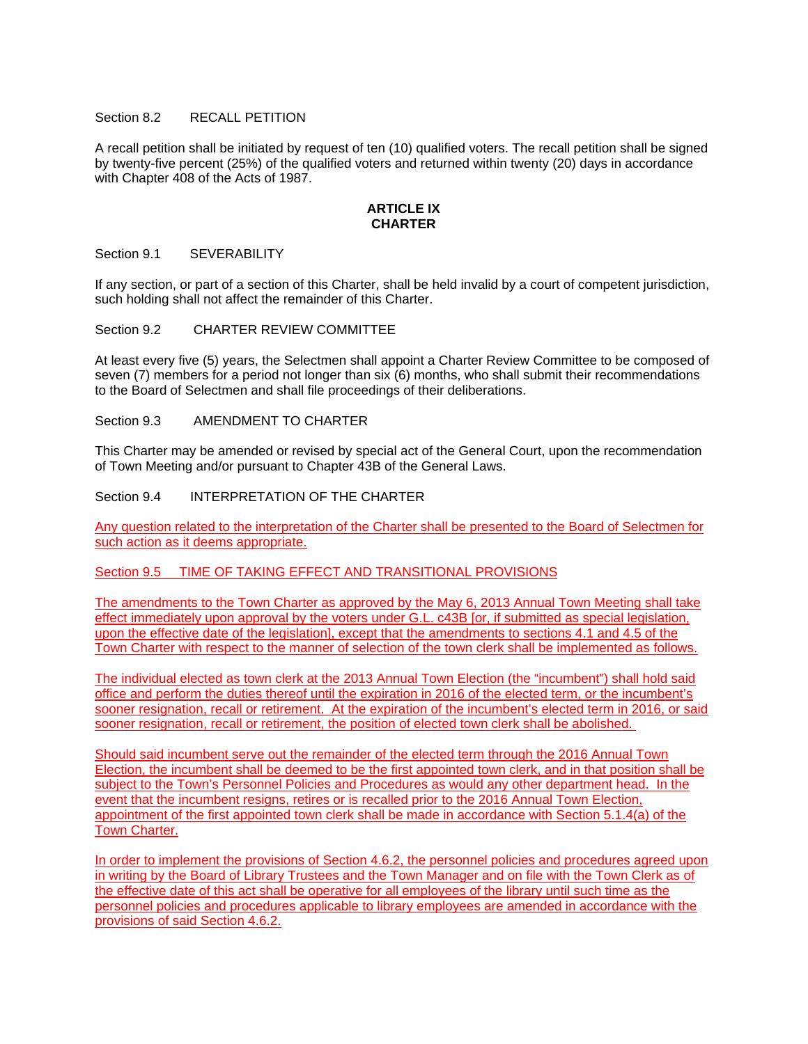### Section 8.2 RECALL PETITION

A recall petition shall be initiated by request of ten (10) qualified voters. The recall petition shall be signed by twenty-five percent (25%) of the qualified voters and returned within twenty (20) days in accordance with Chapter 408 of the Acts of 1987.

#### **ARTICLE IX CHARTER**

### Section 9.1 SEVERABILITY

If any section, or part of a section of this Charter, shall be held invalid by a court of competent jurisdiction, such holding shall not affect the remainder of this Charter.

### Section 9.2 CHARTER REVIEW COMMITTEE

At least every five (5) years, the Selectmen shall appoint a Charter Review Committee to be composed of seven (7) members for a period not longer than six (6) months, who shall submit their recommendations to the Board of Selectmen and shall file proceedings of their deliberations.

### Section 9.3 AMENDMENT TO CHARTER

This Charter may be amended or revised by special act of the General Court, upon the recommendation of Town Meeting and/or pursuant to Chapter 43B of the General Laws.

#### Section 9.4 INTERPRETATION OF THE CHARTER

Any question related to the interpretation of the Charter shall be presented to the Board of Selectmen for such action as it deems appropriate.

# Section 9.5 TIME OF TAKING EFFECT AND TRANSITIONAL PROVISIONS

The amendments to the Town Charter as approved by the May 6, 2013 Annual Town Meeting shall take effect immediately upon approval by the voters under G.L. c43B [or, if submitted as special legislation, upon the effective date of the legislation], except that the amendments to sections 4.1 and 4.5 of the Town Charter with respect to the manner of selection of the town clerk shall be implemented as follows.

The individual elected as town clerk at the 2013 Annual Town Election (the "incumbent") shall hold said office and perform the duties thereof until the expiration in 2016 of the elected term, or the incumbent's sooner resignation, recall or retirement. At the expiration of the incumbent's elected term in 2016, or said sooner resignation, recall or retirement, the position of elected town clerk shall be abolished.

Should said incumbent serve out the remainder of the elected term through the 2016 Annual Town Election, the incumbent shall be deemed to be the first appointed town clerk, and in that position shall be subject to the Town's Personnel Policies and Procedures as would any other department head. In the event that the incumbent resigns, retires or is recalled prior to the 2016 Annual Town Election, appointment of the first appointed town clerk shall be made in accordance with Section 5.1.4(a) of the Town Charter.

In order to implement the provisions of Section 4.6.2, the personnel policies and procedures agreed upon in writing by the Board of Library Trustees and the Town Manager and on file with the Town Clerk as of the effective date of this act shall be operative for all employees of the library until such time as the personnel policies and procedures applicable to library employees are amended in accordance with the provisions of said Section 4.6.2.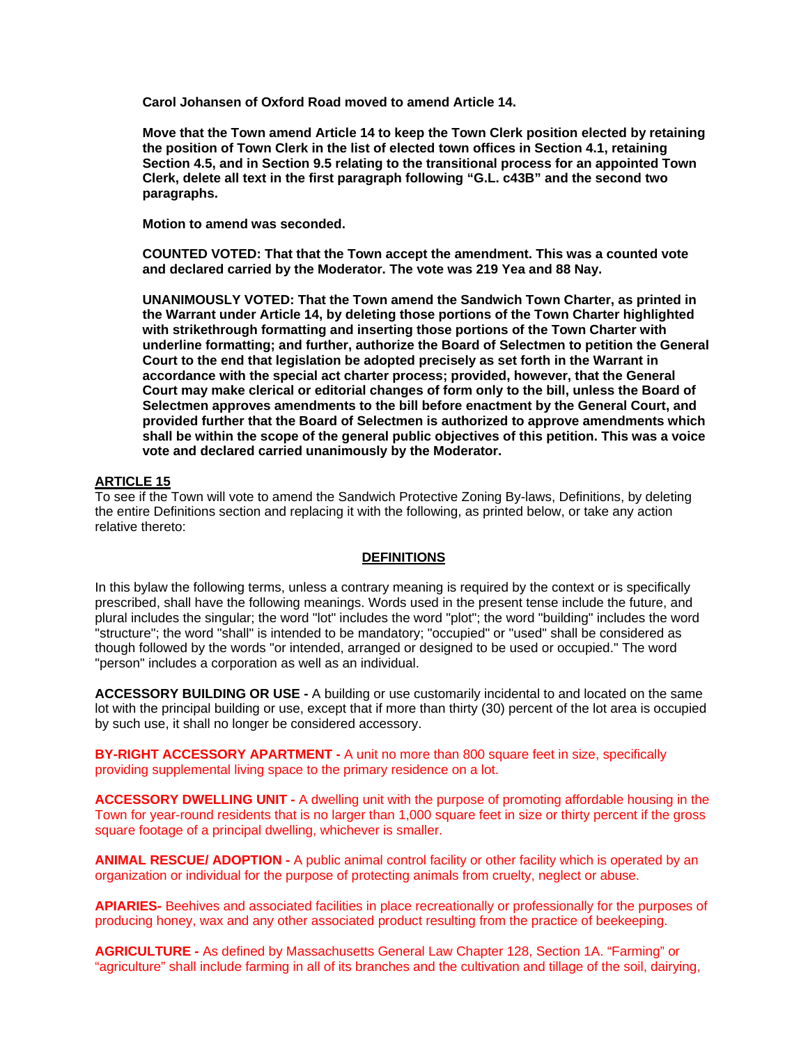**Carol Johansen of Oxford Road moved to amend Article 14.** 

**Move that the Town amend Article 14 to keep the Town Clerk position elected by retaining the position of Town Clerk in the list of elected town offices in Section 4.1, retaining Section 4.5, and in Section 9.5 relating to the transitional process for an appointed Town Clerk, delete all text in the first paragraph following "G.L. c43B" and the second two paragraphs.** 

**Motion to amend was seconded.** 

**COUNTED VOTED: That that the Town accept the amendment. This was a counted vote and declared carried by the Moderator. The vote was 219 Yea and 88 Nay.** 

**UNANIMOUSLY VOTED: That the Town amend the Sandwich Town Charter, as printed in the Warrant under Article 14, by deleting those portions of the Town Charter highlighted with strikethrough formatting and inserting those portions of the Town Charter with underline formatting; and further, authorize the Board of Selectmen to petition the General Court to the end that legislation be adopted precisely as set forth in the Warrant in accordance with the special act charter process; provided, however, that the General Court may make clerical or editorial changes of form only to the bill, unless the Board of Selectmen approves amendments to the bill before enactment by the General Court, and provided further that the Board of Selectmen is authorized to approve amendments which shall be within the scope of the general public objectives of this petition. This was a voice vote and declared carried unanimously by the Moderator.** 

### **ARTICLE 15**

To see if the Town will vote to amend the Sandwich Protective Zoning By-laws, Definitions, by deleting the entire Definitions section and replacing it with the following, as printed below, or take any action relative thereto:

### **DEFINITIONS**

In this bylaw the following terms, unless a contrary meaning is required by the context or is specifically prescribed, shall have the following meanings. Words used in the present tense include the future, and plural includes the singular; the word "lot" includes the word "plot"; the word "building" includes the word "structure"; the word "shall" is intended to be mandatory; "occupied" or "used" shall be considered as though followed by the words "or intended, arranged or designed to be used or occupied." The word "person" includes a corporation as well as an individual.

**ACCESSORY BUILDING OR USE -** A building or use customarily incidental to and located on the same lot with the principal building or use, except that if more than thirty (30) percent of the lot area is occupied by such use, it shall no longer be considered accessory.

**BY-RIGHT ACCESSORY APARTMENT - A unit no more than 800 square feet in size, specifically** providing supplemental living space to the primary residence on a lot.

**ACCESSORY DWELLING UNIT -** A dwelling unit with the purpose of promoting affordable housing in the Town for year-round residents that is no larger than 1,000 square feet in size or thirty percent if the gross square footage of a principal dwelling, whichever is smaller.

**ANIMAL RESCUE/ ADOPTION -** A public animal control facility or other facility which is operated by an organization or individual for the purpose of protecting animals from cruelty, neglect or abuse.

**APIARIES-** Beehives and associated facilities in place recreationally or professionally for the purposes of producing honey, wax and any other associated product resulting from the practice of beekeeping.

**AGRICULTURE -** As defined by Massachusetts General Law Chapter 128, Section 1A. "Farming" or "agriculture" shall include farming in all of its branches and the cultivation and tillage of the soil, dairying,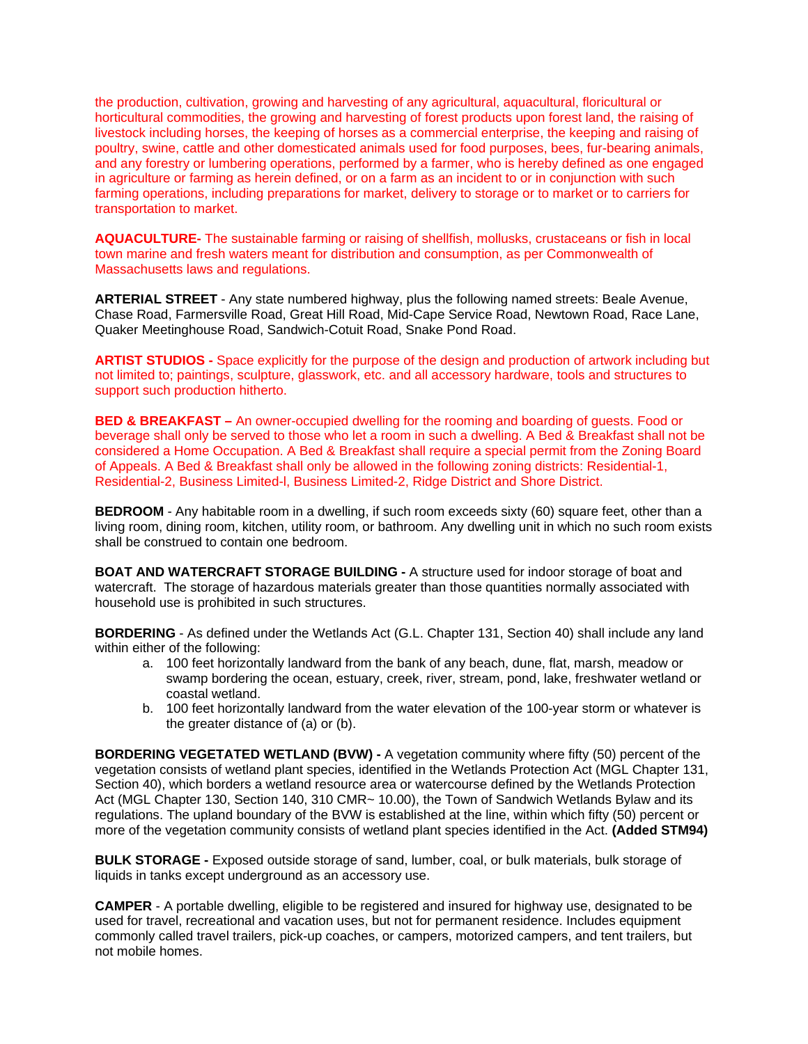the production, cultivation, growing and harvesting of any agricultural, aquacultural, floricultural or horticultural commodities, the growing and harvesting of forest products upon forest land, the raising of livestock including horses, the keeping of horses as a commercial enterprise, the keeping and raising of poultry, swine, cattle and other domesticated animals used for food purposes, bees, fur-bearing animals, and any forestry or lumbering operations, performed by a farmer, who is hereby defined as one engaged in agriculture or farming as herein defined, or on a farm as an incident to or in conjunction with such farming operations, including preparations for market, delivery to storage or to market or to carriers for transportation to market.

**AQUACULTURE-** The sustainable farming or raising of shellfish, mollusks, crustaceans or fish in local town marine and fresh waters meant for distribution and consumption, as per Commonwealth of Massachusetts laws and regulations.

**ARTERIAL STREET** - Any state numbered highway, plus the following named streets: Beale Avenue, Chase Road, Farmersville Road, Great Hill Road, Mid-Cape Service Road, Newtown Road, Race Lane, Quaker Meetinghouse Road, Sandwich-Cotuit Road, Snake Pond Road.

**ARTIST STUDIOS -** Space explicitly for the purpose of the design and production of artwork including but not limited to; paintings, sculpture, glasswork, etc. and all accessory hardware, tools and structures to support such production hitherto.

**BED & BREAKFAST –** An owner-occupied dwelling for the rooming and boarding of guests. Food or beverage shall only be served to those who let a room in such a dwelling. A Bed & Breakfast shall not be considered a Home Occupation. A Bed & Breakfast shall require a special permit from the Zoning Board of Appeals. A Bed & Breakfast shall only be allowed in the following zoning districts: Residential-1, Residential-2, Business Limited-l, Business Limited-2, Ridge District and Shore District.

**BEDROOM** - Any habitable room in a dwelling, if such room exceeds sixty (60) square feet, other than a living room, dining room, kitchen, utility room, or bathroom. Any dwelling unit in which no such room exists shall be construed to contain one bedroom.

**BOAT AND WATERCRAFT STORAGE BUILDING -** A structure used for indoor storage of boat and watercraft. The storage of hazardous materials greater than those quantities normally associated with household use is prohibited in such structures.

**BORDERING** - As defined under the Wetlands Act (G.L. Chapter 131, Section 40) shall include any land within either of the following:

- a. 100 feet horizontally landward from the bank of any beach, dune, flat, marsh, meadow or swamp bordering the ocean, estuary, creek, river, stream, pond, lake, freshwater wetland or coastal wetland.
- b. 100 feet horizontally landward from the water elevation of the 100-year storm or whatever is the greater distance of (a) or (b).

**BORDERING VEGETATED WETLAND (BVW) -** A vegetation community where fifty (50) percent of the vegetation consists of wetland plant species, identified in the Wetlands Protection Act (MGL Chapter 131, Section 40), which borders a wetland resource area or watercourse defined by the Wetlands Protection Act (MGL Chapter 130, Section 140, 310 CMR~ 10.00), the Town of Sandwich Wetlands Bylaw and its regulations. The upland boundary of the BVW is established at the line, within which fifty (50) percent or more of the vegetation community consists of wetland plant species identified in the Act. **(Added STM94)**

**BULK STORAGE -** Exposed outside storage of sand, lumber, coal, or bulk materials, bulk storage of liquids in tanks except underground as an accessory use.

**CAMPER** - A portable dwelling, eligible to be registered and insured for highway use, designated to be used for travel, recreational and vacation uses, but not for permanent residence. Includes equipment commonly called travel trailers, pick-up coaches, or campers, motorized campers, and tent trailers, but not mobile homes.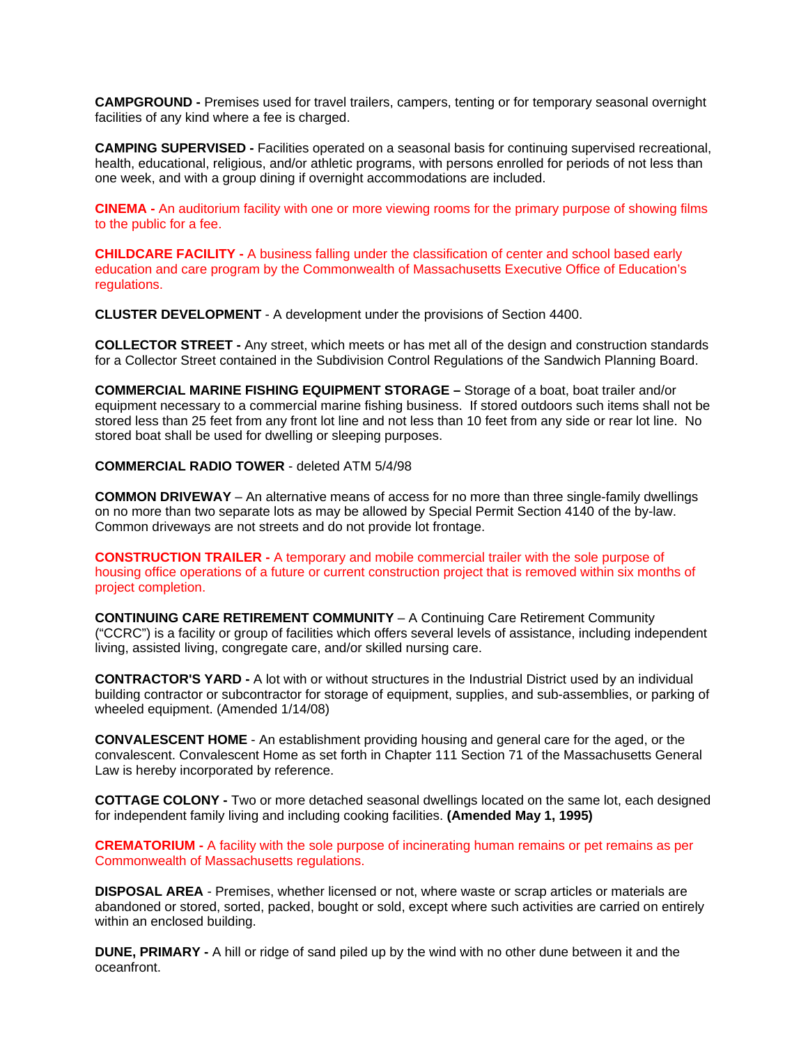**CAMPGROUND -** Premises used for travel trailers, campers, tenting or for temporary seasonal overnight facilities of any kind where a fee is charged.

**CAMPING SUPERVISED -** Facilities operated on a seasonal basis for continuing supervised recreational, health, educational, religious, and/or athletic programs, with persons enrolled for periods of not less than one week, and with a group dining if overnight accommodations are included.

**CINEMA -** An auditorium facility with one or more viewing rooms for the primary purpose of showing films to the public for a fee.

**CHILDCARE FACILITY -** A business falling under the classification of center and school based early education and care program by the Commonwealth of Massachusetts Executive Office of Education's regulations.

**CLUSTER DEVELOPMENT** - A development under the provisions of Section 4400.

**COLLECTOR STREET -** Any street, which meets or has met all of the design and construction standards for a Collector Street contained in the Subdivision Control Regulations of the Sandwich Planning Board.

**COMMERCIAL MARINE FISHING EQUIPMENT STORAGE –** Storage of a boat, boat trailer and/or equipment necessary to a commercial marine fishing business. If stored outdoors such items shall not be stored less than 25 feet from any front lot line and not less than 10 feet from any side or rear lot line. No stored boat shall be used for dwelling or sleeping purposes.

#### **COMMERCIAL RADIO TOWER** - deleted ATM 5/4/98

**COMMON DRIVEWAY** – An alternative means of access for no more than three single-family dwellings on no more than two separate lots as may be allowed by Special Permit Section 4140 of the by-law. Common driveways are not streets and do not provide lot frontage.

**CONSTRUCTION TRAILER -** A temporary and mobile commercial trailer with the sole purpose of housing office operations of a future or current construction project that is removed within six months of project completion.

**CONTINUING CARE RETIREMENT COMMUNITY** – A Continuing Care Retirement Community ("CCRC") is a facility or group of facilities which offers several levels of assistance, including independent living, assisted living, congregate care, and/or skilled nursing care.

**CONTRACTOR'S YARD -** A lot with or without structures in the Industrial District used by an individual building contractor or subcontractor for storage of equipment, supplies, and sub-assemblies, or parking of wheeled equipment. (Amended 1/14/08)

**CONVALESCENT HOME** - An establishment providing housing and general care for the aged, or the convalescent. Convalescent Home as set forth in Chapter 111 Section 71 of the Massachusetts General Law is hereby incorporated by reference.

**COTTAGE COLONY -** Two or more detached seasonal dwellings located on the same lot, each designed for independent family living and including cooking facilities. **(Amended May 1, 1995)** 

**CREMATORIUM -** A facility with the sole purpose of incinerating human remains or pet remains as per Commonwealth of Massachusetts regulations.

**DISPOSAL AREA** - Premises, whether licensed or not, where waste or scrap articles or materials are abandoned or stored, sorted, packed, bought or sold, except where such activities are carried on entirely within an enclosed building.

**DUNE, PRIMARY -** A hill or ridge of sand piled up by the wind with no other dune between it and the oceanfront.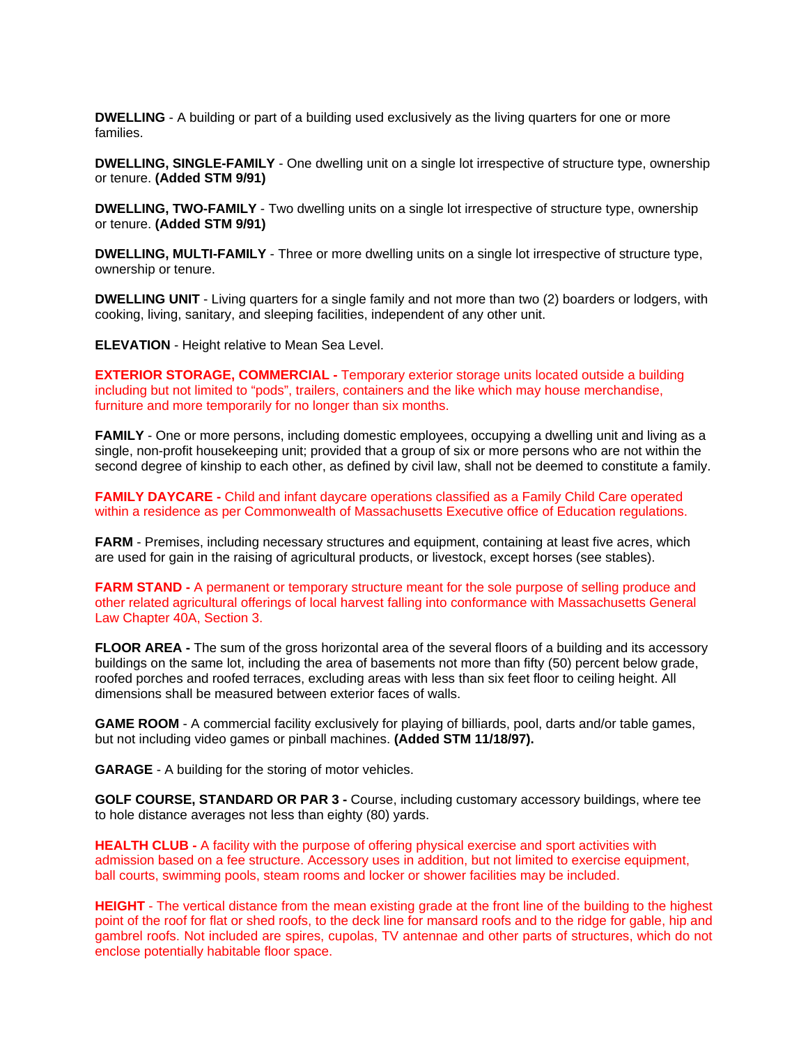**DWELLING** - A building or part of a building used exclusively as the living quarters for one or more families.

**DWELLING, SINGLE-FAMILY** - One dwelling unit on a single lot irrespective of structure type, ownership or tenure. **(Added STM 9/91)** 

**DWELLING, TWO-FAMILY** - Two dwelling units on a single lot irrespective of structure type, ownership or tenure. **(Added STM 9/91)** 

**DWELLING, MULTI-FAMILY** - Three or more dwelling units on a single lot irrespective of structure type, ownership or tenure.

**DWELLING UNIT** - Living quarters for a single family and not more than two (2) boarders or lodgers, with cooking, living, sanitary, and sleeping facilities, independent of any other unit.

**ELEVATION** - Height relative to Mean Sea Level.

**EXTERIOR STORAGE, COMMERCIAL -** Temporary exterior storage units located outside a building including but not limited to "pods", trailers, containers and the like which may house merchandise, furniture and more temporarily for no longer than six months.

**FAMILY** - One or more persons, including domestic employees, occupying a dwelling unit and living as a single, non-profit housekeeping unit; provided that a group of six or more persons who are not within the second degree of kinship to each other, as defined by civil law, shall not be deemed to constitute a family.

**FAMILY DAYCARE -** Child and infant daycare operations classified as a Family Child Care operated within a residence as per Commonwealth of Massachusetts Executive office of Education regulations.

**FARM** - Premises, including necessary structures and equipment, containing at least five acres, which are used for gain in the raising of agricultural products, or livestock, except horses (see stables).

**FARM STAND -** A permanent or temporary structure meant for the sole purpose of selling produce and other related agricultural offerings of local harvest falling into conformance with Massachusetts General Law Chapter 40A, Section 3.

**FLOOR AREA -** The sum of the gross horizontal area of the several floors of a building and its accessory buildings on the same lot, including the area of basements not more than fifty (50) percent below grade, roofed porches and roofed terraces, excluding areas with less than six feet floor to ceiling height. All dimensions shall be measured between exterior faces of walls.

**GAME ROOM** - A commercial facility exclusively for playing of billiards, pool, darts and/or table games, but not including video games or pinball machines. **(Added STM 11/18/97).** 

**GARAGE** - A building for the storing of motor vehicles.

**GOLF COURSE, STANDARD OR PAR 3 -** Course, including customary accessory buildings, where tee to hole distance averages not less than eighty (80) yards.

**HEALTH CLUB -** A facility with the purpose of offering physical exercise and sport activities with admission based on a fee structure. Accessory uses in addition, but not limited to exercise equipment, ball courts, swimming pools, steam rooms and locker or shower facilities may be included.

**HEIGHT** - The vertical distance from the mean existing grade at the front line of the building to the highest point of the roof for flat or shed roofs, to the deck line for mansard roofs and to the ridge for gable, hip and gambrel roofs. Not included are spires, cupolas, TV antennae and other parts of structures, which do not enclose potentially habitable floor space.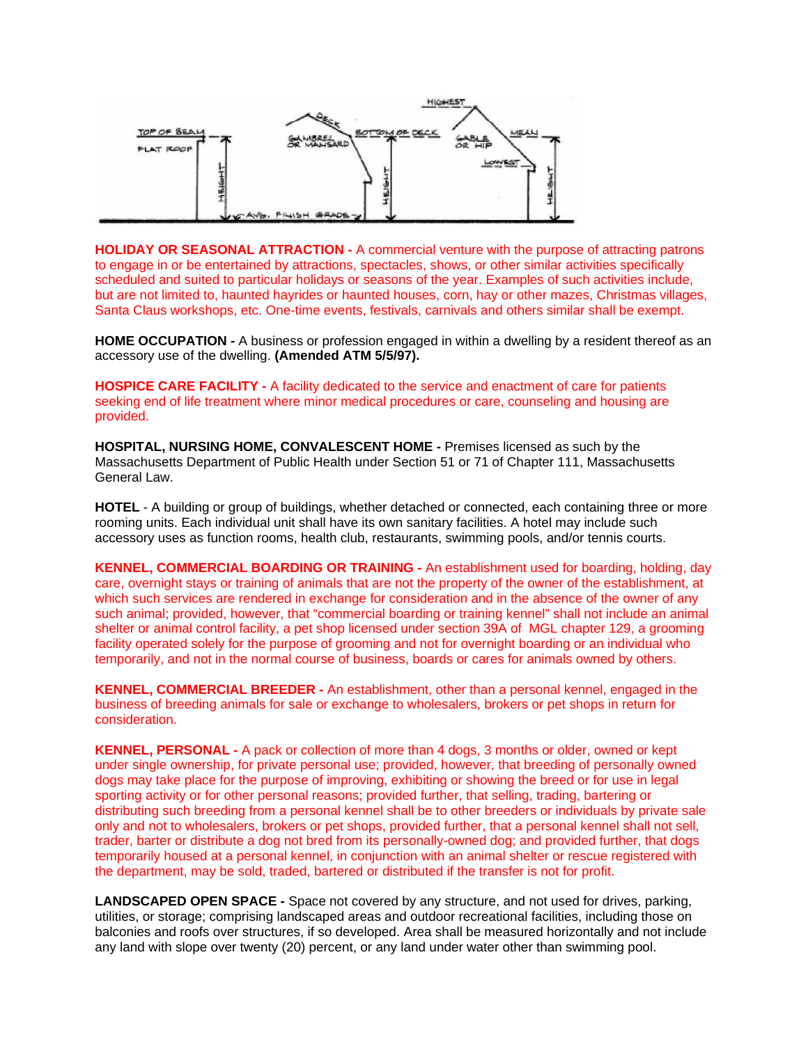

**HOLIDAY OR SEASONAL ATTRACTION -** A commercial venture with the purpose of attracting patrons to engage in or be entertained by attractions, spectacles, shows, or other similar activities specifically scheduled and suited to particular holidays or seasons of the year. Examples of such activities include, but are not limited to, haunted hayrides or haunted houses, corn, hay or other mazes, Christmas villages, Santa Claus workshops, etc. One-time events, festivals, carnivals and others similar shall be exempt.

**HOME OCCUPATION -** A business or profession engaged in within a dwelling by a resident thereof as an accessory use of the dwelling. **(Amended ATM 5/5/97).** 

**HOSPICE CARE FACILITY -** A facility dedicated to the service and enactment of care for patients seeking end of life treatment where minor medical procedures or care, counseling and housing are provided.

**HOSPITAL, NURSING HOME, CONVALESCENT HOME -** Premises licensed as such by the Massachusetts Department of Public Health under Section 51 or 71 of Chapter 111, Massachusetts General Law.

**HOTEL** - A building or group of buildings, whether detached or connected, each containing three or more rooming units. Each individual unit shall have its own sanitary facilities. A hotel may include such accessory uses as function rooms, health club, restaurants, swimming pools, and/or tennis courts.

**KENNEL, COMMERCIAL BOARDING OR TRAINING -** An establishment used for boarding, holding, day care, overnight stays or training of animals that are not the property of the owner of the establishment, at which such services are rendered in exchange for consideration and in the absence of the owner of any such animal; provided, however, that "commercial boarding or training kennel" shall not include an animal shelter or animal control facility, a pet shop licensed under section 39A of MGL chapter 129, a grooming facility operated solely for the purpose of grooming and not for overnight boarding or an individual who temporarily, and not in the normal course of business, boards or cares for animals owned by others.

**KENNEL, COMMERCIAL BREEDER -** An establishment, other than a personal kennel, engaged in the business of breeding animals for sale or exchange to wholesalers, brokers or pet shops in return for consideration.

**KENNEL, PERSONAL -** A pack or collection of more than 4 dogs, 3 months or older, owned or kept under single ownership, for private personal use; provided, however, that breeding of personally owned dogs may take place for the purpose of improving, exhibiting or showing the breed or for use in legal sporting activity or for other personal reasons; provided further, that selling, trading, bartering or distributing such breeding from a personal kennel shall be to other breeders or individuals by private sale only and not to wholesalers, brokers or pet shops, provided further, that a personal kennel shall not sell, trader, barter or distribute a dog not bred from its personally-owned dog; and provided further, that dogs temporarily housed at a personal kennel, in conjunction with an animal shelter or rescue registered with the department, may be sold, traded, bartered or distributed if the transfer is not for profit.

**LANDSCAPED OPEN SPACE -** Space not covered by any structure, and not used for drives, parking, utilities, or storage; comprising landscaped areas and outdoor recreational facilities, including those on balconies and roofs over structures, if so developed. Area shall be measured horizontally and not include any land with slope over twenty (20) percent, or any land under water other than swimming pool.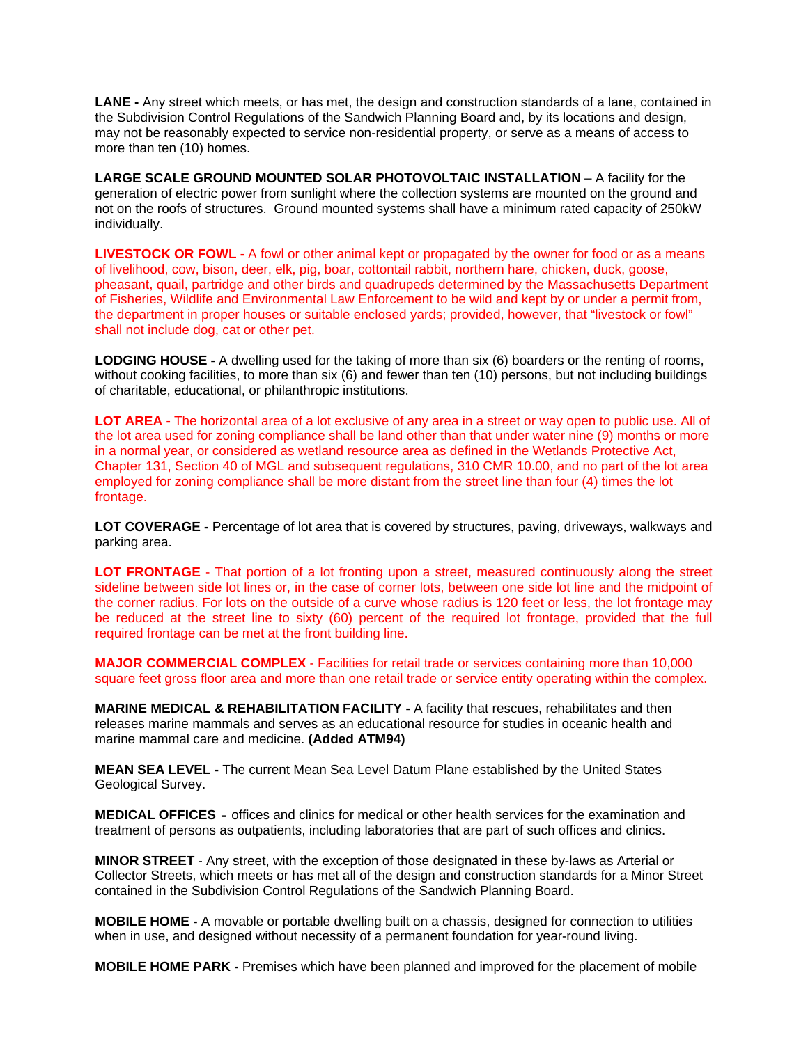LANE - Any street which meets, or has met, the design and construction standards of a lane, contained in the Subdivision Control Regulations of the Sandwich Planning Board and, by its locations and design, may not be reasonably expected to service non-residential property, or serve as a means of access to more than ten (10) homes.

**LARGE SCALE GROUND MOUNTED SOLAR PHOTOVOLTAIC INSTALLATION** – A facility for the generation of electric power from sunlight where the collection systems are mounted on the ground and not on the roofs of structures. Ground mounted systems shall have a minimum rated capacity of 250kW individually.

**LIVESTOCK OR FOWL -** A fowl or other animal kept or propagated by the owner for food or as a means of livelihood, cow, bison, deer, elk, pig, boar, cottontail rabbit, northern hare, chicken, duck, goose, pheasant, quail, partridge and other birds and quadrupeds determined by the Massachusetts Department of Fisheries, Wildlife and Environmental Law Enforcement to be wild and kept by or under a permit from, the department in proper houses or suitable enclosed yards; provided, however, that "livestock or fowl" shall not include dog, cat or other pet.

**LODGING HOUSE -** A dwelling used for the taking of more than six (6) boarders or the renting of rooms, without cooking facilities, to more than six (6) and fewer than ten (10) persons, but not including buildings of charitable, educational, or philanthropic institutions.

**LOT AREA -** The horizontal area of a lot exclusive of any area in a street or way open to public use. All of the lot area used for zoning compliance shall be land other than that under water nine (9) months or more in a normal year, or considered as wetland resource area as defined in the Wetlands Protective Act, Chapter 131, Section 40 of MGL and subsequent regulations, 310 CMR 10.00, and no part of the lot area employed for zoning compliance shall be more distant from the street line than four (4) times the lot frontage.

**LOT COVERAGE -** Percentage of lot area that is covered by structures, paving, driveways, walkways and parking area.

**LOT FRONTAGE** - That portion of a lot fronting upon a street, measured continuously along the street sideline between side lot lines or, in the case of corner lots, between one side lot line and the midpoint of the corner radius. For lots on the outside of a curve whose radius is 120 feet or less, the lot frontage may be reduced at the street line to sixty (60) percent of the required lot frontage, provided that the full required frontage can be met at the front building line.

**MAJOR COMMERCIAL COMPLEX** - Facilities for retail trade or services containing more than 10,000 square feet gross floor area and more than one retail trade or service entity operating within the complex.

**MARINE MEDICAL & REHABILITATION FACILITY - A facility that rescues, rehabilitates and then** releases marine mammals and serves as an educational resource for studies in oceanic health and marine mammal care and medicine. **(Added ATM94)**

**MEAN SEA LEVEL -** The current Mean Sea Level Datum Plane established by the United States Geological Survey.

**MEDICAL OFFICES** - offices and clinics for medical or other health services for the examination and treatment of persons as outpatients, including laboratories that are part of such offices and clinics.

**MINOR STREET** - Any street, with the exception of those designated in these by-laws as Arterial or Collector Streets, which meets or has met all of the design and construction standards for a Minor Street contained in the Subdivision Control Regulations of the Sandwich Planning Board.

**MOBILE HOME -** A movable or portable dwelling built on a chassis, designed for connection to utilities when in use, and designed without necessity of a permanent foundation for year-round living.

**MOBILE HOME PARK -** Premises which have been planned and improved for the placement of mobile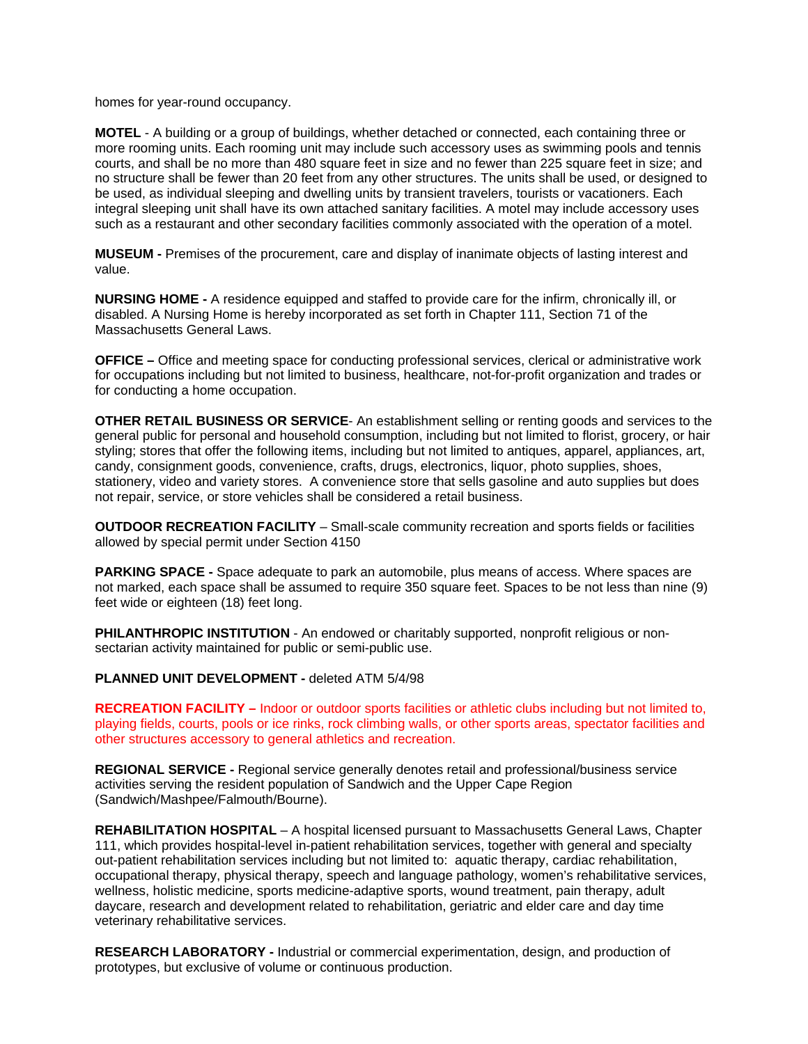homes for year-round occupancy.

**MOTEL** - A building or a group of buildings, whether detached or connected, each containing three or more rooming units. Each rooming unit may include such accessory uses as swimming pools and tennis courts, and shall be no more than 480 square feet in size and no fewer than 225 square feet in size; and no structure shall be fewer than 20 feet from any other structures. The units shall be used, or designed to be used, as individual sleeping and dwelling units by transient travelers, tourists or vacationers. Each integral sleeping unit shall have its own attached sanitary facilities. A motel may include accessory uses such as a restaurant and other secondary facilities commonly associated with the operation of a motel.

**MUSEUM -** Premises of the procurement, care and display of inanimate objects of lasting interest and value.

**NURSING HOME -** A residence equipped and staffed to provide care for the infirm, chronically ill, or disabled. A Nursing Home is hereby incorporated as set forth in Chapter 111, Section 71 of the Massachusetts General Laws

**OFFICE –** Office and meeting space for conducting professional services, clerical or administrative work for occupations including but not limited to business, healthcare, not-for-profit organization and trades or for conducting a home occupation.

**OTHER RETAIL BUSINESS OR SERVICE**- An establishment selling or renting goods and services to the general public for personal and household consumption, including but not limited to florist, grocery, or hair styling; stores that offer the following items, including but not limited to antiques, apparel, appliances, art, candy, consignment goods, convenience, crafts, drugs, electronics, liquor, photo supplies, shoes, stationery, video and variety stores. A convenience store that sells gasoline and auto supplies but does not repair, service, or store vehicles shall be considered a retail business.

**OUTDOOR RECREATION FACILITY** – Small-scale community recreation and sports fields or facilities allowed by special permit under Section 4150

**PARKING SPACE -** Space adequate to park an automobile, plus means of access. Where spaces are not marked, each space shall be assumed to require 350 square feet. Spaces to be not less than nine (9) feet wide or eighteen (18) feet long.

**PHILANTHROPIC INSTITUTION** - An endowed or charitably supported, nonprofit religious or nonsectarian activity maintained for public or semi-public use.

**PLANNED UNIT DEVELOPMENT -** deleted ATM 5/4/98

**RECREATION FACILITY –** Indoor or outdoor sports facilities or athletic clubs including but not limited to, playing fields, courts, pools or ice rinks, rock climbing walls, or other sports areas, spectator facilities and other structures accessory to general athletics and recreation.

**REGIONAL SERVICE -** Regional service generally denotes retail and professional/business service activities serving the resident population of Sandwich and the Upper Cape Region (Sandwich/Mashpee/Falmouth/Bourne).

**REHABILITATION HOSPITAL** – A hospital licensed pursuant to Massachusetts General Laws, Chapter 111, which provides hospital-level in-patient rehabilitation services, together with general and specialty out-patient rehabilitation services including but not limited to: aquatic therapy, cardiac rehabilitation, occupational therapy, physical therapy, speech and language pathology, women's rehabilitative services, wellness, holistic medicine, sports medicine-adaptive sports, wound treatment, pain therapy, adult daycare, research and development related to rehabilitation, geriatric and elder care and day time veterinary rehabilitative services.

**RESEARCH LABORATORY -** Industrial or commercial experimentation, design, and production of prototypes, but exclusive of volume or continuous production.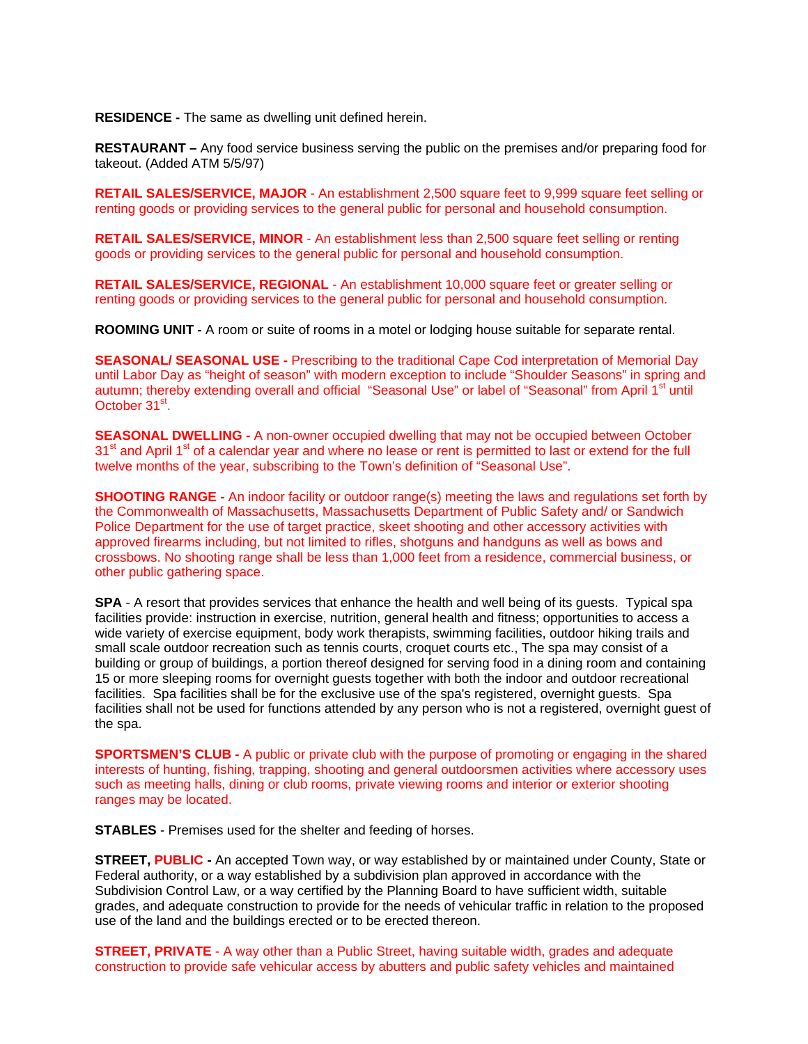**RESIDENCE -** The same as dwelling unit defined herein.

**RESTAURANT –** Any food service business serving the public on the premises and/or preparing food for takeout. (Added ATM 5/5/97)

**RETAIL SALES/SERVICE, MAJOR** - An establishment 2,500 square feet to 9,999 square feet selling or renting goods or providing services to the general public for personal and household consumption.

**RETAIL SALES/SERVICE, MINOR** - An establishment less than 2,500 square feet selling or renting goods or providing services to the general public for personal and household consumption.

**RETAIL SALES/SERVICE, REGIONAL** - An establishment 10,000 square feet or greater selling or renting goods or providing services to the general public for personal and household consumption.

**ROOMING UNIT -** A room or suite of rooms in a motel or lodging house suitable for separate rental.

**SEASONAL/ SEASONAL USE -** Prescribing to the traditional Cape Cod interpretation of Memorial Day until Labor Day as "height of season" with modern exception to include "Shoulder Seasons" in spring and autumn; thereby extending overall and official "Seasonal Use" or label of "Seasonal" from April 1<sup>st</sup> until October 31<sup>st</sup>.

**SEASONAL DWELLING -** A non-owner occupied dwelling that may not be occupied between October 31<sup>st</sup> and April 1<sup>st</sup> of a calendar year and where no lease or rent is permitted to last or extend for the full twelve months of the year, subscribing to the Town's definition of "Seasonal Use".

**SHOOTING RANGE** - An indoor facility or outdoor range(s) meeting the laws and regulations set forth by the Commonwealth of Massachusetts, Massachusetts Department of Public Safety and/ or Sandwich Police Department for the use of target practice, skeet shooting and other accessory activities with approved firearms including, but not limited to rifles, shotguns and handguns as well as bows and crossbows. No shooting range shall be less than 1,000 feet from a residence, commercial business, or other public gathering space.

**SPA** - A resort that provides services that enhance the health and well being of its guests. Typical spa facilities provide: instruction in exercise, nutrition, general health and fitness; opportunities to access a wide variety of exercise equipment, body work therapists, swimming facilities, outdoor hiking trails and small scale outdoor recreation such as tennis courts, croquet courts etc., The spa may consist of a building or group of buildings, a portion thereof designed for serving food in a dining room and containing 15 or more sleeping rooms for overnight guests together with both the indoor and outdoor recreational facilities. Spa facilities shall be for the exclusive use of the spa's registered, overnight guests. Spa facilities shall not be used for functions attended by any person who is not a registered, overnight guest of the spa.

**SPORTSMEN'S CLUB -** A public or private club with the purpose of promoting or engaging in the shared interests of hunting, fishing, trapping, shooting and general outdoorsmen activities where accessory uses such as meeting halls, dining or club rooms, private viewing rooms and interior or exterior shooting ranges may be located.

**STABLES** - Premises used for the shelter and feeding of horses.

**STREET, PUBLIC -** An accepted Town way, or way established by or maintained under County, State or Federal authority, or a way established by a subdivision plan approved in accordance with the Subdivision Control Law, or a way certified by the Planning Board to have sufficient width, suitable grades, and adequate construction to provide for the needs of vehicular traffic in relation to the proposed use of the land and the buildings erected or to be erected thereon.

**STREET, PRIVATE** - A way other than a Public Street, having suitable width, grades and adequate construction to provide safe vehicular access by abutters and public safety vehicles and maintained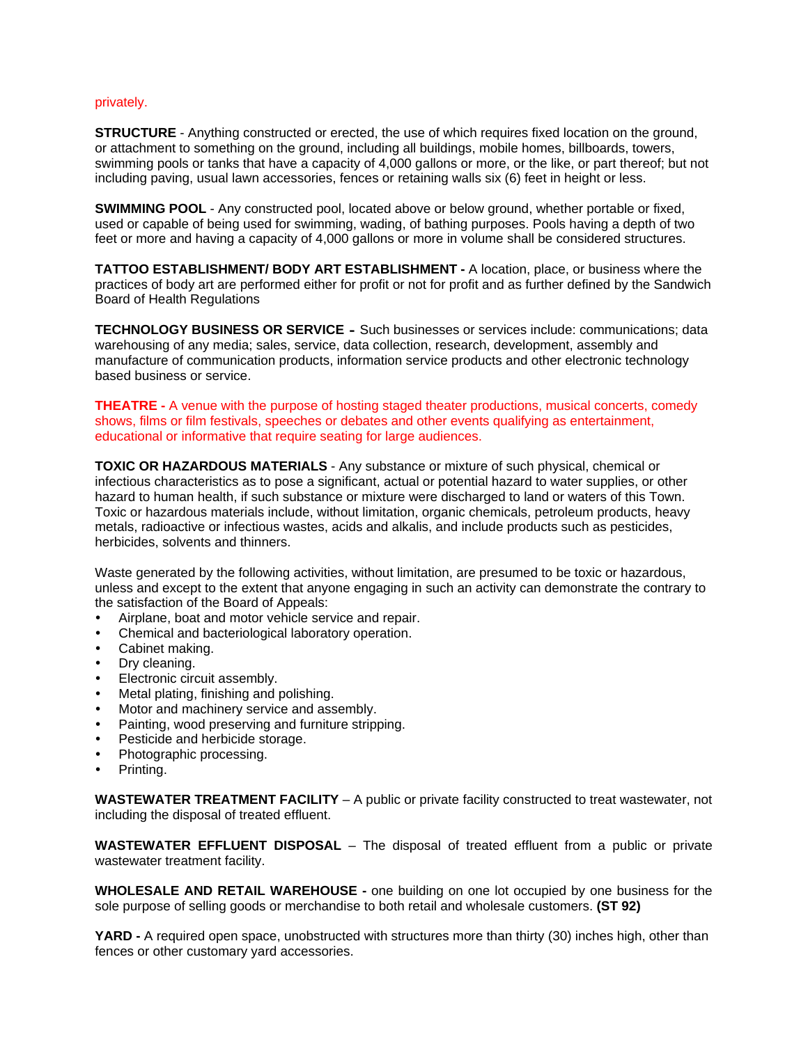#### privately.

**STRUCTURE** - Anything constructed or erected, the use of which requires fixed location on the ground, or attachment to something on the ground, including all buildings, mobile homes, billboards, towers, swimming pools or tanks that have a capacity of 4,000 gallons or more, or the like, or part thereof; but not including paving, usual lawn accessories, fences or retaining walls six (6) feet in height or less.

**SWIMMING POOL** - Any constructed pool, located above or below ground, whether portable or fixed, used or capable of being used for swimming, wading, of bathing purposes. Pools having a depth of two feet or more and having a capacity of 4,000 gallons or more in volume shall be considered structures.

**TATTOO ESTABLISHMENT/ BODY ART ESTABLISHMENT -** A location, place, or business where the practices of body art are performed either for profit or not for profit and as further defined by the Sandwich Board of Health Regulations

**TECHNOLOGY BUSINESS OR SERVICE** - Such businesses or services include: communications; data warehousing of any media; sales, service, data collection, research, development, assembly and manufacture of communication products, information service products and other electronic technology based business or service.

**THEATRE -** A venue with the purpose of hosting staged theater productions, musical concerts, comedy shows, films or film festivals, speeches or debates and other events qualifying as entertainment, educational or informative that require seating for large audiences.

**TOXIC OR HAZARDOUS MATERIALS** - Any substance or mixture of such physical, chemical or infectious characteristics as to pose a significant, actual or potential hazard to water supplies, or other hazard to human health, if such substance or mixture were discharged to land or waters of this Town. Toxic or hazardous materials include, without limitation, organic chemicals, petroleum products, heavy metals, radioactive or infectious wastes, acids and alkalis, and include products such as pesticides, herbicides, solvents and thinners.

Waste generated by the following activities, without limitation, are presumed to be toxic or hazardous, unless and except to the extent that anyone engaging in such an activity can demonstrate the contrary to the satisfaction of the Board of Appeals:

- Airplane, boat and motor vehicle service and repair.
- Chemical and bacteriological laboratory operation.
- Cabinet making.
- Dry cleaning.
- Electronic circuit assembly.
- Metal plating, finishing and polishing.
- Motor and machinery service and assembly.
- Painting, wood preserving and furniture stripping.
- Pesticide and herbicide storage.
- Photographic processing.
- Printing.

**WASTEWATER TREATMENT FACILITY** – A public or private facility constructed to treat wastewater, not including the disposal of treated effluent.

**WASTEWATER EFFLUENT DISPOSAL** – The disposal of treated effluent from a public or private wastewater treatment facility.

**WHOLESALE AND RETAIL WAREHOUSE -** one building on one lot occupied by one business for the sole purpose of selling goods or merchandise to both retail and wholesale customers. **(ST 92)**

YARD - A required open space, unobstructed with structures more than thirty (30) inches high, other than fences or other customary yard accessories.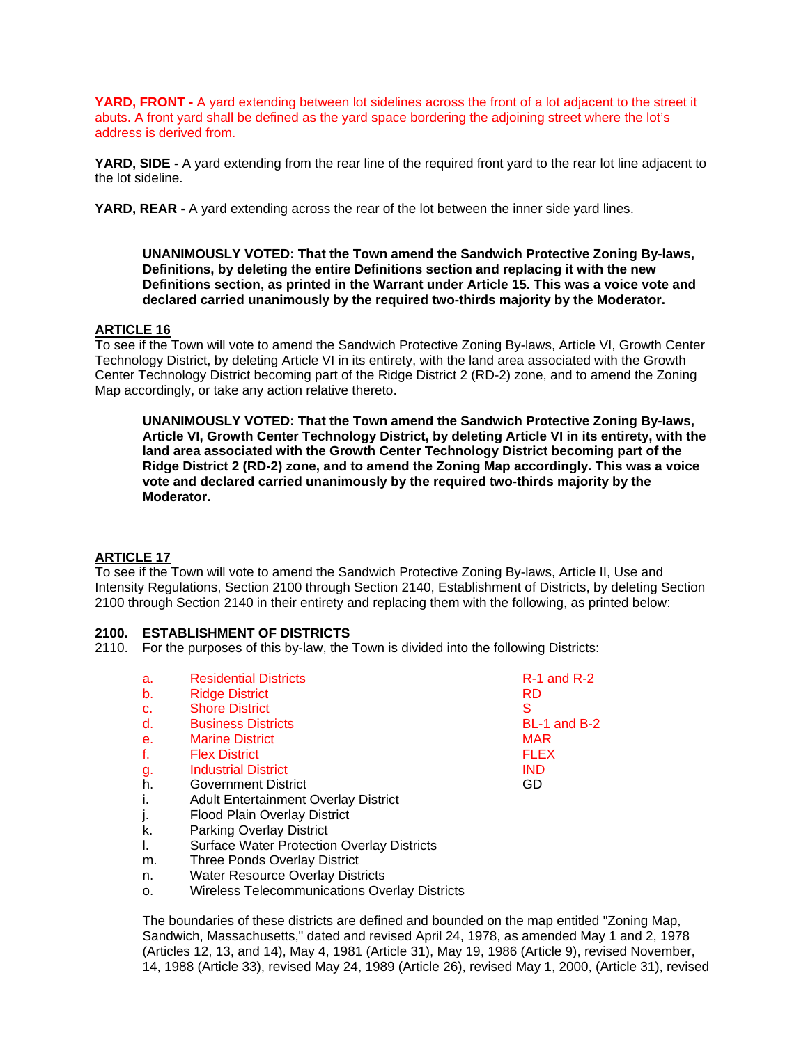**YARD, FRONT -** A yard extending between lot sidelines across the front of a lot adjacent to the street it abuts. A front yard shall be defined as the yard space bordering the adjoining street where the lot's address is derived from.

**YARD, SIDE -** A yard extending from the rear line of the required front yard to the rear lot line adjacent to the lot sideline.

**YARD, REAR -** A yard extending across the rear of the lot between the inner side yard lines.

**UNANIMOUSLY VOTED: That the Town amend the Sandwich Protective Zoning By-laws, Definitions, by deleting the entire Definitions section and replacing it with the new Definitions section, as printed in the Warrant under Article 15. This was a voice vote and declared carried unanimously by the required two-thirds majority by the Moderator.** 

### **ARTICLE 16**

To see if the Town will vote to amend the Sandwich Protective Zoning By-laws, Article VI, Growth Center Technology District, by deleting Article VI in its entirety, with the land area associated with the Growth Center Technology District becoming part of the Ridge District 2 (RD-2) zone, and to amend the Zoning Map accordingly, or take any action relative thereto.

**UNANIMOUSLY VOTED: That the Town amend the Sandwich Protective Zoning By-laws, Article VI, Growth Center Technology District, by deleting Article VI in its entirety, with the land area associated with the Growth Center Technology District becoming part of the Ridge District 2 (RD-2) zone, and to amend the Zoning Map accordingly. This was a voice vote and declared carried unanimously by the required two-thirds majority by the Moderator.** 

# **ARTICLE 17**

To see if the Town will vote to amend the Sandwich Protective Zoning By-laws, Article II, Use and Intensity Regulations, Section 2100 through Section 2140, Establishment of Districts, by deleting Section 2100 through Section 2140 in their entirety and replacing them with the following, as printed below:

#### **2100. ESTABLISHMENT OF DISTRICTS**

2110. For the purposes of this by-law, the Town is divided into the following Districts:

| a.             | <b>Residential Districts</b>                | $R-1$ and $R-2$ |
|----------------|---------------------------------------------|-----------------|
| b.             | <b>Ridge District</b>                       | RD              |
| $C_{1}$        | <b>Shore District</b>                       | S               |
| d.             | <b>Business Districts</b>                   | BL-1 and B-2    |
| e <sub>r</sub> | <b>Marine District</b>                      | <b>MAR</b>      |
| f.             | <b>Flex District</b>                        | <b>FLEX</b>     |
| g.             | <b>Industrial District</b>                  | <b>IND</b>      |
| ĥ.             | <b>Government District</b>                  | GD              |
| i.             | <b>Adult Entertainment Overlay District</b> |                 |
| j.             | <b>Flood Plain Overlay District</b>         |                 |
| k.             | <b>Parking Overlay District</b>             |                 |

- l. Surface Water Protection Overlay Districts
- m. Three Ponds Overlay District
- n. Water Resource Overlay Districts
- o. Wireless Telecommunications Overlay Districts

The boundaries of these districts are defined and bounded on the map entitled "Zoning Map, Sandwich, Massachusetts," dated and revised April 24, 1978, as amended May 1 and 2, 1978 (Articles 12, 13, and 14), May 4, 1981 (Article 31), May 19, 1986 (Article 9), revised November, 14, 1988 (Article 33), revised May 24, 1989 (Article 26), revised May 1, 2000, (Article 31), revised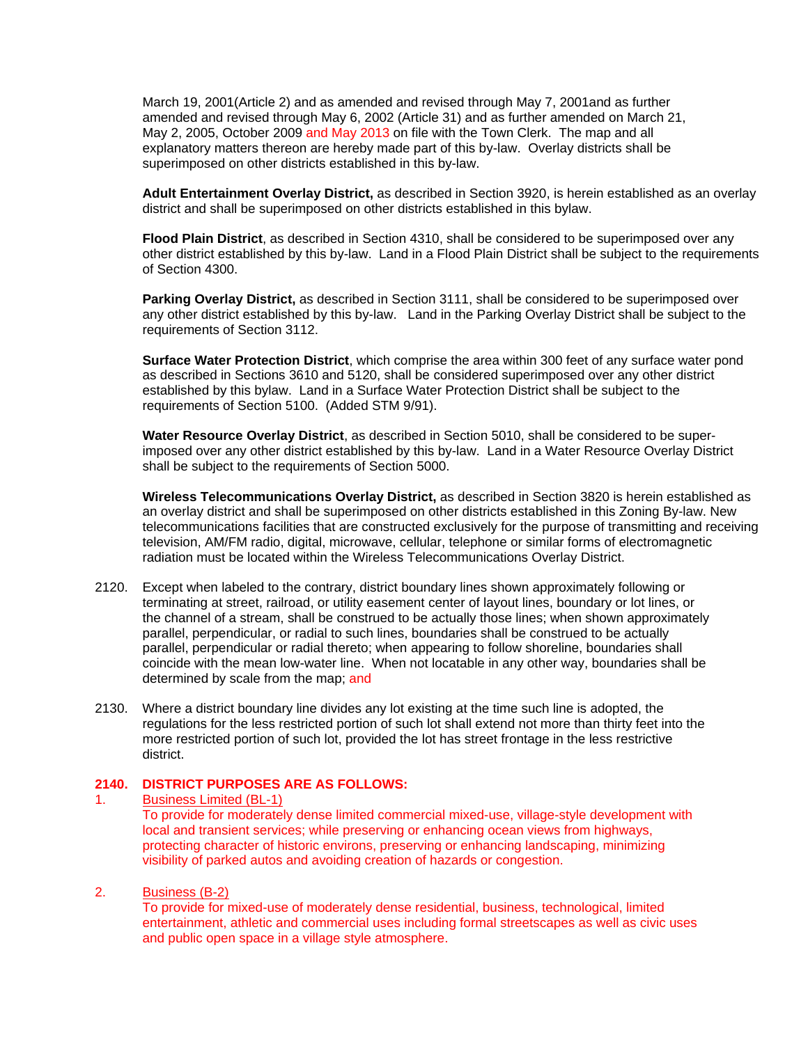March 19, 2001(Article 2) and as amended and revised through May 7, 2001and as further amended and revised through May 6, 2002 (Article 31) and as further amended on March 21, May 2, 2005, October 2009 and May 2013 on file with the Town Clerk. The map and all explanatory matters thereon are hereby made part of this by-law. Overlay districts shall be superimposed on other districts established in this by-law.

**Adult Entertainment Overlay District,** as described in Section 3920, is herein established as an overlay district and shall be superimposed on other districts established in this bylaw.

**Flood Plain District**, as described in Section 4310, shall be considered to be superimposed over any other district established by this by-law. Land in a Flood Plain District shall be subject to the requirements of Section 4300.

**Parking Overlay District,** as described in Section 3111, shall be considered to be superimposed over any other district established by this by-law. Land in the Parking Overlay District shall be subject to the requirements of Section 3112.

**Surface Water Protection District**, which comprise the area within 300 feet of any surface water pond as described in Sections 3610 and 5120, shall be considered superimposed over any other district established by this bylaw. Land in a Surface Water Protection District shall be subject to the requirements of Section 5100. (Added STM 9/91).

**Water Resource Overlay District**, as described in Section 5010, shall be considered to be superimposed over any other district established by this by-law. Land in a Water Resource Overlay District shall be subject to the requirements of Section 5000.

**Wireless Telecommunications Overlay District,** as described in Section 3820 is herein established as an overlay district and shall be superimposed on other districts established in this Zoning By-law. New telecommunications facilities that are constructed exclusively for the purpose of transmitting and receiving television, AM/FM radio, digital, microwave, cellular, telephone or similar forms of electromagnetic radiation must be located within the Wireless Telecommunications Overlay District.

- 2120. Except when labeled to the contrary, district boundary lines shown approximately following or terminating at street, railroad, or utility easement center of layout lines, boundary or lot lines, or the channel of a stream, shall be construed to be actually those lines; when shown approximately parallel, perpendicular, or radial to such lines, boundaries shall be construed to be actually parallel, perpendicular or radial thereto; when appearing to follow shoreline, boundaries shall coincide with the mean low-water line. When not locatable in any other way, boundaries shall be determined by scale from the map; and
- 2130. Where a district boundary line divides any lot existing at the time such line is adopted, the regulations for the less restricted portion of such lot shall extend not more than thirty feet into the more restricted portion of such lot, provided the lot has street frontage in the less restrictive district.

# **2140. DISTRICT PURPOSES ARE AS FOLLOWS:**

#### 1. Business Limited (BL-1)

To provide for moderately dense limited commercial mixed-use, village-style development with local and transient services; while preserving or enhancing ocean views from highways, protecting character of historic environs, preserving or enhancing landscaping, minimizing visibility of parked autos and avoiding creation of hazards or congestion.

## 2. Business (B-2)

To provide for mixed-use of moderately dense residential, business, technological, limited entertainment, athletic and commercial uses including formal streetscapes as well as civic uses and public open space in a village style atmosphere.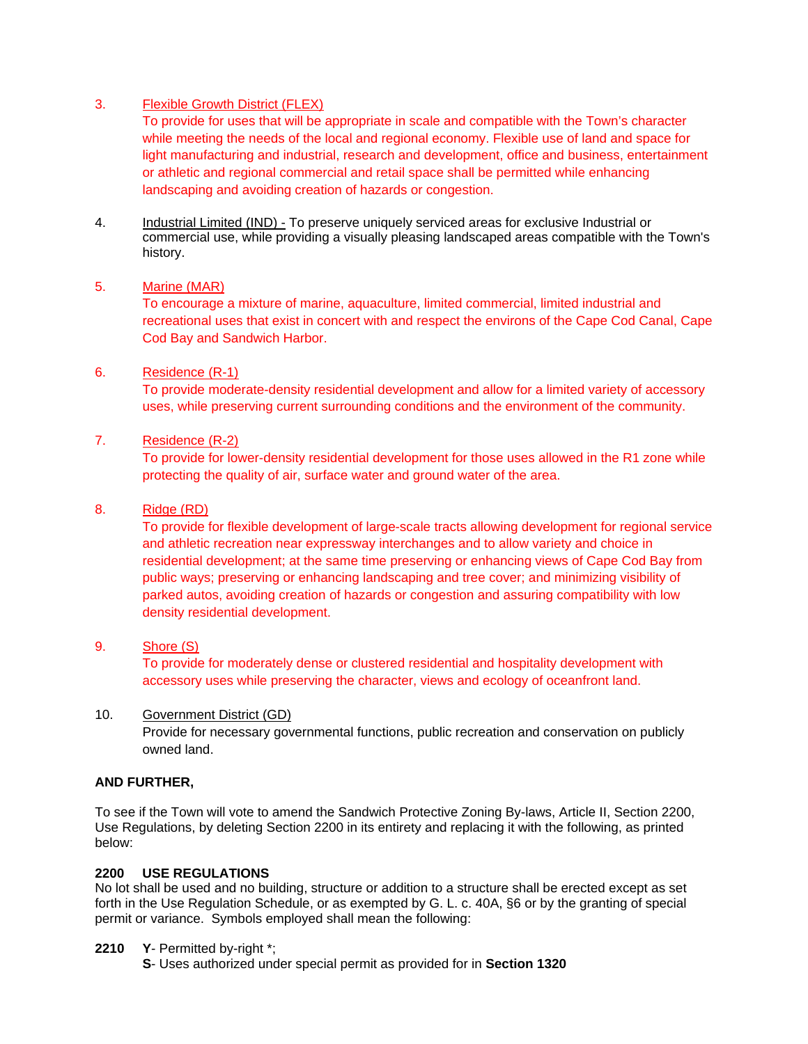# 3. Flexible Growth District (FLEX)

To provide for uses that will be appropriate in scale and compatible with the Town's character while meeting the needs of the local and regional economy. Flexible use of land and space for light manufacturing and industrial, research and development, office and business, entertainment or athletic and regional commercial and retail space shall be permitted while enhancing landscaping and avoiding creation of hazards or congestion.

4. Industrial Limited (IND) - To preserve uniquely serviced areas for exclusive Industrial or commercial use, while providing a visually pleasing landscaped areas compatible with the Town's history.

### 5. Marine (MAR)

To encourage a mixture of marine, aquaculture, limited commercial, limited industrial and recreational uses that exist in concert with and respect the environs of the Cape Cod Canal, Cape Cod Bay and Sandwich Harbor.

### 6. Residence (R-1)

To provide moderate-density residential development and allow for a limited variety of accessory uses, while preserving current surrounding conditions and the environment of the community.

### 7. Residence (R-2)

To provide for lower-density residential development for those uses allowed in the R1 zone while protecting the quality of air, surface water and ground water of the area.

### 8. Ridge (RD)

To provide for flexible development of large-scale tracts allowing development for regional service and athletic recreation near expressway interchanges and to allow variety and choice in residential development; at the same time preserving or enhancing views of Cape Cod Bay from public ways; preserving or enhancing landscaping and tree cover; and minimizing visibility of parked autos, avoiding creation of hazards or congestion and assuring compatibility with low density residential development.

### 9. Shore (S)

To provide for moderately dense or clustered residential and hospitality development with accessory uses while preserving the character, views and ecology of oceanfront land.

### 10. Government District (GD)

Provide for necessary governmental functions, public recreation and conservation on publicly owned land.

# **AND FURTHER,**

To see if the Town will vote to amend the Sandwich Protective Zoning By-laws, Article II, Section 2200, Use Regulations, by deleting Section 2200 in its entirety and replacing it with the following, as printed below:

### **2200 USE REGULATIONS**

No lot shall be used and no building, structure or addition to a structure shall be erected except as set forth in the Use Regulation Schedule, or as exempted by G. L. c. 40A, §6 or by the granting of special permit or variance. Symbols employed shall mean the following:

### **2210 Y**- Permitted by-right \*;

 **S**- Uses authorized under special permit as provided for in **Section 1320**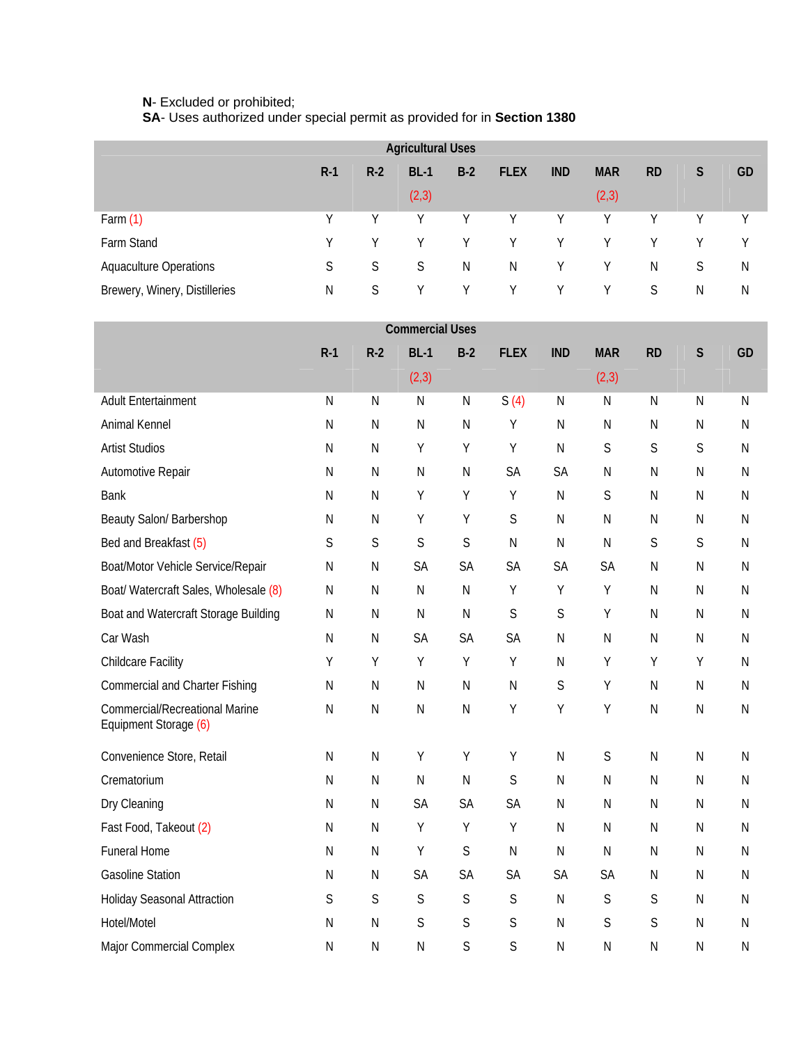#### **N**- Excluded or prohibited;

**SA**- Uses authorized under special permit as provided for in **Section 1380**

| <b>Agricultural Uses</b>      |       |       |        |       |             |            |            |           |   |    |  |
|-------------------------------|-------|-------|--------|-------|-------------|------------|------------|-----------|---|----|--|
|                               | $R-1$ | $R-2$ | $BL-1$ | $B-2$ | <b>FLEX</b> | <b>IND</b> | <b>MAR</b> | <b>RD</b> | S | GD |  |
|                               |       |       | (2,3)  |       |             |            | (2,3)      |           |   |    |  |
| Farm $(1)$                    | V     | V     | Υ      | V     | Y           | Y          | Υ          | Υ         | γ | Y  |  |
| Farm Stand                    | Y     | Y     | Υ      | Y     | Υ           | Y          | Y          | Υ         | Υ | Υ  |  |
| <b>Aquaculture Operations</b> | S     | S     | S      | N     | N           | Υ          | Y          | N         | S | N  |  |
| Brewery, Winery, Distilleries | N     | S     | Υ      | Υ     | Y           | Y.         | Y          | S         | N | N  |  |

| <b>Commercial Uses</b>                                         |              |              |              |              |             |              |              |              |              |              |  |  |
|----------------------------------------------------------------|--------------|--------------|--------------|--------------|-------------|--------------|--------------|--------------|--------------|--------------|--|--|
|                                                                | $R-1$        | $R-2$        | $BL-1$       | $B-2$        | <b>FLEX</b> | <b>IND</b>   | <b>MAR</b>   | <b>RD</b>    | $\mathsf{S}$ | GD           |  |  |
|                                                                |              |              | (2,3)        |              |             |              | (2,3)        |              |              |              |  |  |
| <b>Adult Entertainment</b>                                     | ${\sf N}$    | $\mathsf{N}$ | ${\sf N}$    | ${\sf N}$    | S(4)        | ${\sf N}$    | ${\sf N}$    | $\mathsf{N}$ | $\mathsf{N}$ | $\mathsf{N}$ |  |  |
| Animal Kennel                                                  | ${\sf N}$    | ${\sf N}$    | $\mathsf{N}$ | ${\sf N}$    | Y           | $\mathsf{N}$ | ${\sf N}$    | $\mathsf{N}$ | $\mathsf{N}$ | ${\sf N}$    |  |  |
| <b>Artist Studios</b>                                          | ${\sf N}$    | $\mathsf{N}$ | Υ            | Υ            | Υ           | $\mathsf{N}$ | S            | S            | S            | ${\sf N}$    |  |  |
| Automotive Repair                                              | ${\sf N}$    | $\mathsf{N}$ | ${\sf N}$    | $\mathsf{N}$ | SA          | SA           | N            | $\mathsf{N}$ | N            | N            |  |  |
| <b>Bank</b>                                                    | ${\sf N}$    | ${\sf N}$    | Y            | Y            | Υ           | $\mathsf{N}$ | S            | $\mathsf N$  | ${\sf N}$    | ${\sf N}$    |  |  |
| Beauty Salon/ Barbershop                                       | ${\sf N}$    | $\mathsf{N}$ | Y            | Y            | $\mathsf S$ | ${\sf N}$    | $\mathsf{N}$ | $\mathsf N$  | $\mathsf{N}$ | ${\sf N}$    |  |  |
| Bed and Breakfast (5)                                          | S            | S            | S            | S            | ${\sf N}$   | $\mathsf{N}$ | $\mathsf{N}$ | S            | S            | ${\sf N}$    |  |  |
| Boat/Motor Vehicle Service/Repair                              | ${\sf N}$    | $\mathsf{N}$ | SA           | SA           | SA          | SA           | <b>SA</b>    | $\mathsf{N}$ | $\mathsf{N}$ | $\mathsf{N}$ |  |  |
| Boat/ Watercraft Sales, Wholesale (8)                          | ${\sf N}$    | $\mathsf{N}$ | ${\sf N}$    | $\mathsf{N}$ | Υ           | Υ            | Υ            | $\mathsf N$  | N            | ${\sf N}$    |  |  |
| Boat and Watercraft Storage Building                           | ${\sf N}$    | ${\sf N}$    | ${\sf N}$    | $\mathsf{N}$ | $\mathsf S$ | $\mathsf S$  | Υ            | $\mathsf{N}$ | $\mathsf{N}$ | ${\sf N}$    |  |  |
| Car Wash                                                       | ${\sf N}$    | $\mathsf{N}$ | SA           | <b>SA</b>    | SA          | $\mathsf{N}$ | N            | $\mathsf{N}$ | $\mathsf{N}$ | ${\sf N}$    |  |  |
| <b>Childcare Facility</b>                                      | Υ            | Y            | Y            | Y            | Y           | ${\sf N}$    | Υ            | Υ            | Υ            | $\mathsf{N}$ |  |  |
| <b>Commercial and Charter Fishing</b>                          | ${\sf N}$    | $\mathsf{N}$ | ${\sf N}$    | ${\sf N}$    | ${\sf N}$   | $\mathsf S$  | Υ            | $\mathsf{N}$ | $\mathsf{N}$ | ${\sf N}$    |  |  |
| <b>Commercial/Recreational Marine</b><br>Equipment Storage (6) | ${\sf N}$    | ${\sf N}$    | $\mathsf{N}$ | ${\sf N}$    | Υ           | Υ            | Υ            | $\mathsf{N}$ | ${\sf N}$    | ${\sf N}$    |  |  |
| Convenience Store, Retail                                      | ${\sf N}$    | ${\sf N}$    | Y            | Υ            | Y           | ${\sf N}$    | $\mathsf S$  | $\mathsf N$  | N            | ${\sf N}$    |  |  |
| Crematorium                                                    | ${\sf N}$    | ${\sf N}$    | $\mathsf{N}$ | ${\sf N}$    | $\mathsf S$ | ${\sf N}$    | ${\sf N}$    | $\mathsf{N}$ | $\mathsf{N}$ | ${\sf N}$    |  |  |
| Dry Cleaning                                                   | ${\sf N}$    | $\mathsf{N}$ | SA           | SA           | SA          | ${\sf N}$    | N            | $\mathsf N$  | N            | ${\sf N}$    |  |  |
| Fast Food, Takeout (2)                                         | ${\sf N}$    | $\mathsf{N}$ | Y            | Y            | Υ           | ${\sf N}$    | $\mathsf{N}$ | $\mathsf{N}$ | N            | $\mathsf{N}$ |  |  |
| <b>Funeral Home</b>                                            | ${\sf N}$    | ${\sf N}$    | Υ            | $\mathsf S$  | ${\sf N}$   | $\mathsf{N}$ | ${\sf N}$    | $\mathsf N$  | ${\sf N}$    | ${\sf N}$    |  |  |
| <b>Gasoline Station</b>                                        | N            | N            | SA           | SA           | SA          | SA           | SA           | $\mathsf{N}$ | $\mathsf{N}$ | $\mathsf{N}$ |  |  |
| <b>Holiday Seasonal Attraction</b>                             | S            | S            | $\mathsf S$  | $\mathsf S$  | $\mathsf S$ | $\mathsf{N}$ | S            | S            | $\mathsf{N}$ | ${\sf N}$    |  |  |
| Hotel/Motel                                                    | ${\sf N}$    | $\mathsf{N}$ | $\mathsf S$  | S            | $\mathsf S$ | ${\sf N}$    | $\mathsf S$  | S            | ${\sf N}$    | ${\sf N}$    |  |  |
| Major Commercial Complex                                       | $\mathsf{N}$ | $\mathsf{N}$ | $\mathsf{N}$ | S            | S           | N            | N            | $\mathsf{N}$ | N            | $\mathsf{N}$ |  |  |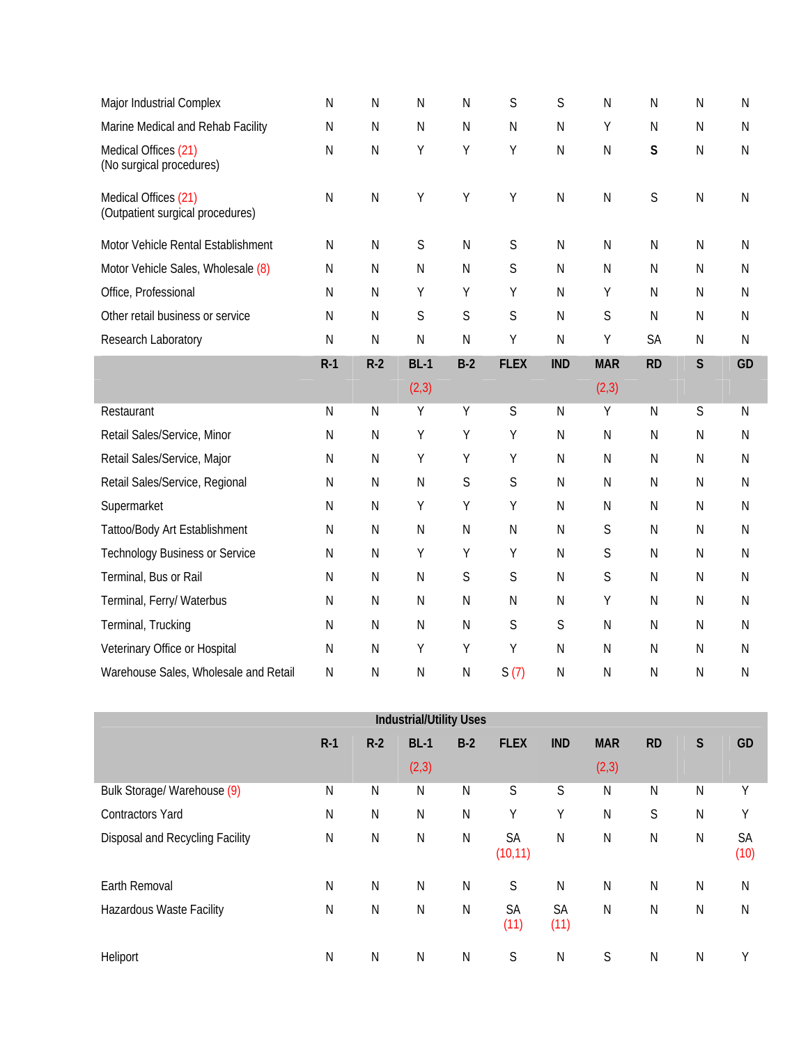| Major Industrial Complex                                 | ${\sf N}$    | N            | N           | N            | $\mathsf S$  | S            | ${\sf N}$    | N            | $\mathsf{N}$ | N            |
|----------------------------------------------------------|--------------|--------------|-------------|--------------|--------------|--------------|--------------|--------------|--------------|--------------|
| Marine Medical and Rehab Facility                        | ${\sf N}$    | $\mathsf{N}$ | ${\sf N}$   | N            | $\mathsf{N}$ | N            | Υ            | ${\sf N}$    | $\mathsf{N}$ | $\mathsf{N}$ |
| Medical Offices (21)<br>(No surgical procedures)         | ${\sf N}$    | ${\sf N}$    | Υ           | Υ            | Υ            | $\mathsf{N}$ | ${\sf N}$    | S            | $\mathsf{N}$ | $\mathsf{N}$ |
| Medical Offices (21)<br>(Outpatient surgical procedures) | $\mathsf{N}$ | ${\sf N}$    | Υ           | Υ            | Υ            | N            | $\mathsf{N}$ | S            | $\mathsf{N}$ | N            |
| Motor Vehicle Rental Establishment                       | $\mathsf{N}$ | $\mathsf{N}$ | $\mathsf S$ | N            | $\mathsf S$  | $\mathsf{N}$ | N            | $\mathsf{N}$ | $\mathsf{N}$ | $\mathsf{N}$ |
| Motor Vehicle Sales, Wholesale (8)                       | ${\sf N}$    | ${\sf N}$    | ${\sf N}$   | $\mathsf{N}$ | $\mathsf S$  | $\mathsf{N}$ | ${\sf N}$    | ${\sf N}$    | $\mathsf{N}$ | ${\sf N}$    |
| Office, Professional                                     | $\mathsf N$  | $\mathsf{N}$ | Υ           | Υ            | Υ            | N            | Υ            | ${\sf N}$    | $\mathsf{N}$ | N            |
| Other retail business or service                         | $\mathsf{N}$ | $\mathsf{N}$ | S           | S            | $\mathsf S$  | N            | S            | N            | $\mathsf{N}$ | $\mathsf{N}$ |
| Research Laboratory                                      | ${\sf N}$    | $\mathsf{N}$ | ${\sf N}$   | $\mathsf{N}$ | Υ            | N            | Υ            | <b>SA</b>    | $\mathsf{N}$ | $\mathsf{N}$ |
|                                                          | $R-1$        | $R-2$        | $BL-1$      | $B-2$        | <b>FLEX</b>  | <b>IND</b>   | <b>MAR</b>   | <b>RD</b>    | $\mathsf{S}$ | GD           |
|                                                          |              |              |             |              |              |              |              |              |              |              |
|                                                          |              |              | (2,3)       |              |              |              | (2, 3)       |              |              |              |
| Restaurant                                               | ${\sf N}$    | ${\sf N}$    | Υ           | Υ            | S            | N            | Υ            | N            | S            | $\mathsf{N}$ |
| Retail Sales/Service, Minor                              | ${\sf N}$    | $\mathsf{N}$ | Υ           | Υ            | Υ            | ${\sf N}$    | N            | ${\sf N}$    | $\mathsf{N}$ | $\mathsf{N}$ |
| Retail Sales/Service, Major                              | N            | $\mathsf{N}$ | Υ           | Υ            | Υ            | ${\sf N}$    | ${\sf N}$    | ${\sf N}$    | $\mathsf{N}$ | $\mathsf{N}$ |
| Retail Sales/Service, Regional                           | ${\sf N}$    | $\mathsf{N}$ | ${\sf N}$   | S            | $\mathsf S$  | $\mathsf{N}$ | N            | ${\sf N}$    | $\mathsf{N}$ | $\mathsf{N}$ |
| Supermarket                                              | ${\sf N}$    | ${\sf N}$    | Υ           | Υ            | Υ            | ${\sf N}$    | ${\sf N}$    | ${\sf N}$    | $\mathsf{N}$ | $\mathsf{N}$ |
| Tattoo/Body Art Establishment                            | ${\sf N}$    | $\mathsf{N}$ | ${\sf N}$   | N            | ${\sf N}$    | ${\sf N}$    | $\mathsf S$  | ${\sf N}$    | $\mathsf{N}$ | $\mathsf{N}$ |
| <b>Technology Business or Service</b>                    | $\mathsf N$  | ${\sf N}$    | Υ           | Υ            | Υ            | N            | S            | ${\sf N}$    | $\mathsf{N}$ | N            |
| Terminal, Bus or Rail                                    | N            | $\mathsf{N}$ | ${\sf N}$   | $\mathsf S$  | $\mathsf S$  | ${\sf N}$    | $\mathsf S$  | ${\sf N}$    | $\mathsf{N}$ | N            |
| Terminal, Ferry/ Waterbus                                | ${\sf N}$    | $\mathsf{N}$ | ${\sf N}$   | N            | ${\sf N}$    | ${\sf N}$    | Υ            | ${\sf N}$    | $\mathsf{N}$ | N            |
| Terminal, Trucking                                       | ${\sf N}$    | ${\sf N}$    | ${\sf N}$   | N            | S            | S            | N            | ${\sf N}$    | $\mathsf{N}$ | ${\sf N}$    |
| Veterinary Office or Hospital                            | ${\sf N}$    | N            | Υ           | Υ            | Υ            | N            | N            | N            | N            | $\mathsf{N}$ |

| <b>Industrial/Utility Uses</b>  |       |           |                      |              |                       |                   |                     |              |              |              |  |
|---------------------------------|-------|-----------|----------------------|--------------|-----------------------|-------------------|---------------------|--------------|--------------|--------------|--|
|                                 | $R-1$ | $R-2$     | <b>BL-1</b><br>(2,3) | $B-2$        | <b>FLEX</b>           | <b>IND</b>        | <b>MAR</b><br>(2,3) | <b>RD</b>    | $\mathsf{S}$ | GD           |  |
| Bulk Storage/ Warehouse (9)     | N     | N         | N                    | N            | S                     | S                 | N                   | N            | N            | Υ            |  |
| <b>Contractors Yard</b>         | N     | ${\sf N}$ | ${\sf N}$            | $\mathsf{N}$ | Υ                     | Υ                 | ${\sf N}$           | S            | N            | Y            |  |
| Disposal and Recycling Facility | N     | N         | N                    | $\mathsf{N}$ | <b>SA</b><br>(10, 11) | N                 | $\mathsf{N}$        | N            | $\mathsf{N}$ | SA<br>(10)   |  |
| Earth Removal                   | N     | ${\sf N}$ | ${\sf N}$            | $\mathsf{N}$ | S                     | $\mathsf{N}$      | ${\sf N}$           | $\mathsf{N}$ | N            | $\mathsf{N}$ |  |
| Hazardous Waste Facility        | N     | N         | ${\sf N}$            | $\mathsf{N}$ | <b>SA</b><br>(11)     | <b>SA</b><br>(11) | $\mathsf{N}$        | $\mathsf N$  | N            | N            |  |
| Heliport                        | N     | N         | N                    | N            | S                     | N                 | S                   | N            | N            | Υ            |  |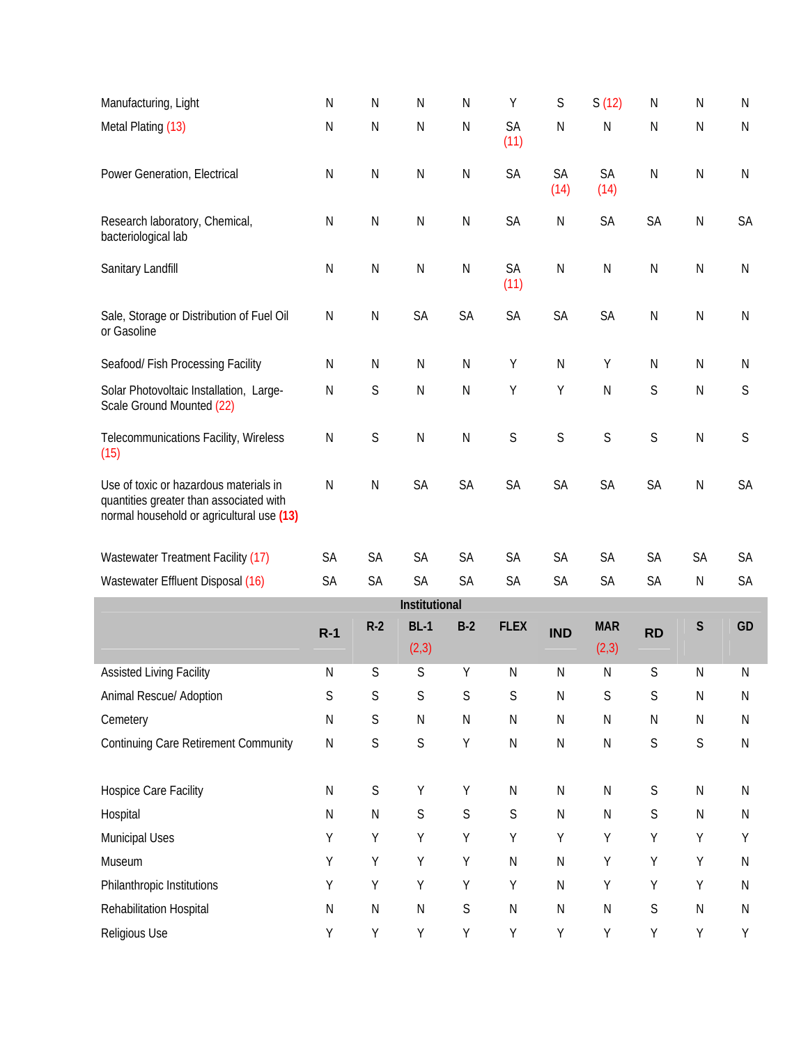| Manufacturing, Light                                                                                                           | $\mathsf{N}$ | N            | N             | $\mathsf{N}$ | Υ                 | $\mathsf S$       | S(12)             | $\mathsf{N}$ | N            | N            |
|--------------------------------------------------------------------------------------------------------------------------------|--------------|--------------|---------------|--------------|-------------------|-------------------|-------------------|--------------|--------------|--------------|
| Metal Plating (13)                                                                                                             | $\mathsf{N}$ | ${\sf N}$    | ${\sf N}$     | ${\sf N}$    | <b>SA</b><br>(11) | $\mathsf N$       | $\mathsf{N}$      | ${\sf N}$    | $\mathsf{N}$ | $\mathsf{N}$ |
| Power Generation, Electrical                                                                                                   | $\mathsf{N}$ | $\mathsf{N}$ | $\mathsf{N}$  | $\mathsf{N}$ | SA                | <b>SA</b><br>(14) | <b>SA</b><br>(14) | $\mathsf{N}$ | $\mathsf{N}$ | $\mathsf{N}$ |
| Research laboratory, Chemical,<br>bacteriological lab                                                                          | $\mathsf{N}$ | $\mathsf{N}$ | $\mathsf{N}$  | $\mathsf{N}$ | SA                | N                 | SA                | SA           | $\mathsf{N}$ | <b>SA</b>    |
| Sanitary Landfill                                                                                                              | ${\sf N}$    | N            | ${\sf N}$     | ${\sf N}$    | SA<br>(11)        | ${\sf N}$         | ${\sf N}$         | ${\sf N}$    | $\mathsf{N}$ | ${\sf N}$    |
| Sale, Storage or Distribution of Fuel Oil<br>or Gasoline                                                                       | ${\sf N}$    | ${\sf N}$    | SA            | SA           | SA                | <b>SA</b>         | SA                | ${\sf N}$    | ${\sf N}$    | ${\sf N}$    |
| Seafood/ Fish Processing Facility                                                                                              | $\mathsf{N}$ | $\mathsf{N}$ | $\mathsf{N}$  | $\mathsf{N}$ | Υ                 | $\mathsf{N}$      | Y                 | $\mathsf{N}$ | $\mathsf{N}$ | N            |
| Solar Photovoltaic Installation, Large-<br>Scale Ground Mounted (22)                                                           | $\mathsf{N}$ | S            | $\mathsf{N}$  | $\mathsf{N}$ | Υ                 | Y                 | $\mathsf{N}$      | S            | $\mathsf{N}$ | S            |
| Telecommunications Facility, Wireless<br>(15)                                                                                  | $\mathsf{N}$ | $\mathsf S$  | ${\sf N}$     | ${\sf N}$    | S                 | S                 | $\mathsf S$       | S            | $\mathsf{N}$ | S            |
| Use of toxic or hazardous materials in<br>quantities greater than associated with<br>normal household or agricultural use (13) | $\mathsf{N}$ | ${\sf N}$    | SA            | SA           | SA                | SA                | SA                | SA           | ${\sf N}$    | <b>SA</b>    |
| Wastewater Treatment Facility (17)                                                                                             | <b>SA</b>    | <b>SA</b>    | <b>SA</b>     | <b>SA</b>    | <b>SA</b>         | <b>SA</b>         | <b>SA</b>         | <b>SA</b>    | <b>SA</b>    | <b>SA</b>    |
| Wastewater Effluent Disposal (16)                                                                                              | SA           | SA           | SA            | SA           | SA                | <b>SA</b>         | SA                | SA           | ${\sf N}$    | <b>SA</b>    |
|                                                                                                                                |              |              | Institutional |              |                   |                   |                   |              |              |              |

| Institutional                               |           |              |              |              |              |              |              |           |              |    |  |  |
|---------------------------------------------|-----------|--------------|--------------|--------------|--------------|--------------|--------------|-----------|--------------|----|--|--|
|                                             | $R-1$     | $R-2$        | $BL-1$       | $B-2$        | <b>FLEX</b>  | <b>IND</b>   | <b>MAR</b>   | <b>RD</b> | S            | GD |  |  |
|                                             |           |              | (2,3)        |              |              |              | (2,3)        |           |              |    |  |  |
| <b>Assisted Living Facility</b>             | N         | S            | S            | Υ            | N            | N            | ${\sf N}$    | S         | ${\sf N}$    | Ν  |  |  |
| Animal Rescue/ Adoption                     | S         | S            | S            | S            | S            | $\mathsf{N}$ | S            | S         | N            | N  |  |  |
| Cemetery                                    | N         | S            | ${\sf N}$    | $\mathsf{N}$ | N            | $\mathsf N$  | N            | N         | N            | N  |  |  |
| <b>Continuing Care Retirement Community</b> | ${\sf N}$ | S            | S            | Υ            | $\mathsf{N}$ | N            | ${\sf N}$    | S         | $\mathsf S$  | N  |  |  |
|                                             |           |              |              |              |              |              |              |           |              |    |  |  |
| Hospice Care Facility                       | N         | S            | Υ            | Υ            | $\mathsf{N}$ | $\mathsf{N}$ | ${\sf N}$    | S         | ${\sf N}$    | N  |  |  |
| Hospital                                    | N         | $\mathsf{N}$ | S            | S            | S            | $\mathsf{N}$ | $\mathsf{N}$ | S         | $\mathsf{N}$ | N  |  |  |
| Municipal Uses                              | Υ         | Υ            | Υ            | Υ            | Υ            | Y            | Y            | Υ         | Υ            | Y  |  |  |
| Museum                                      | Υ         | Y            | Υ            | Y            | $\mathsf{N}$ | $\mathsf{N}$ | Y            | Υ         | Y            | N  |  |  |
| Philanthropic Institutions                  | Υ         | Υ            | Υ            | Υ            | Υ            | $\mathsf{N}$ | Y            | Υ         | Y            | Ν  |  |  |
| Rehabilitation Hospital                     | Ν         | N            | $\mathsf{N}$ | S            | $\mathsf{N}$ | N            | $\mathsf{N}$ | S         | $\mathsf{N}$ | Ν  |  |  |
| Religious Use                               | Υ         | Υ            | Υ            | Υ            | Υ            | Y            | Y            | Υ         | Υ            | Υ  |  |  |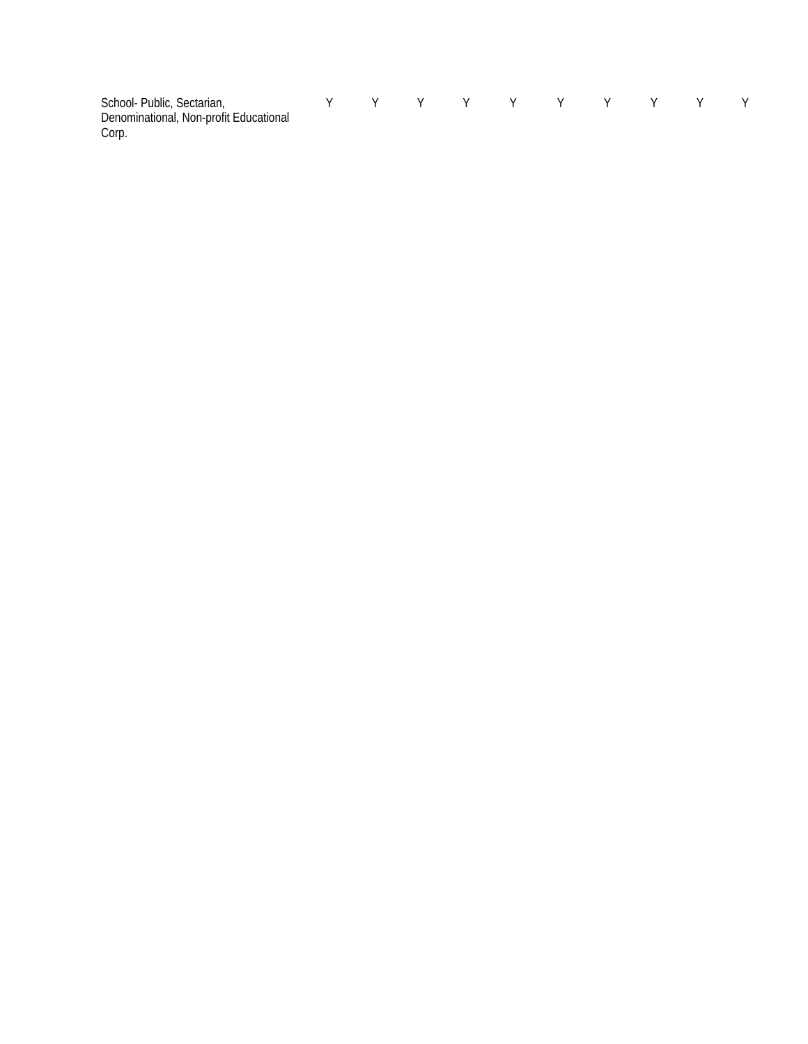| School-Public, Sectarian,<br>Denominational, Non-profit Educational<br>Corp. |  |  | Y Y Y Y Y Y Y |  |  |  |
|------------------------------------------------------------------------------|--|--|---------------|--|--|--|
|                                                                              |  |  |               |  |  |  |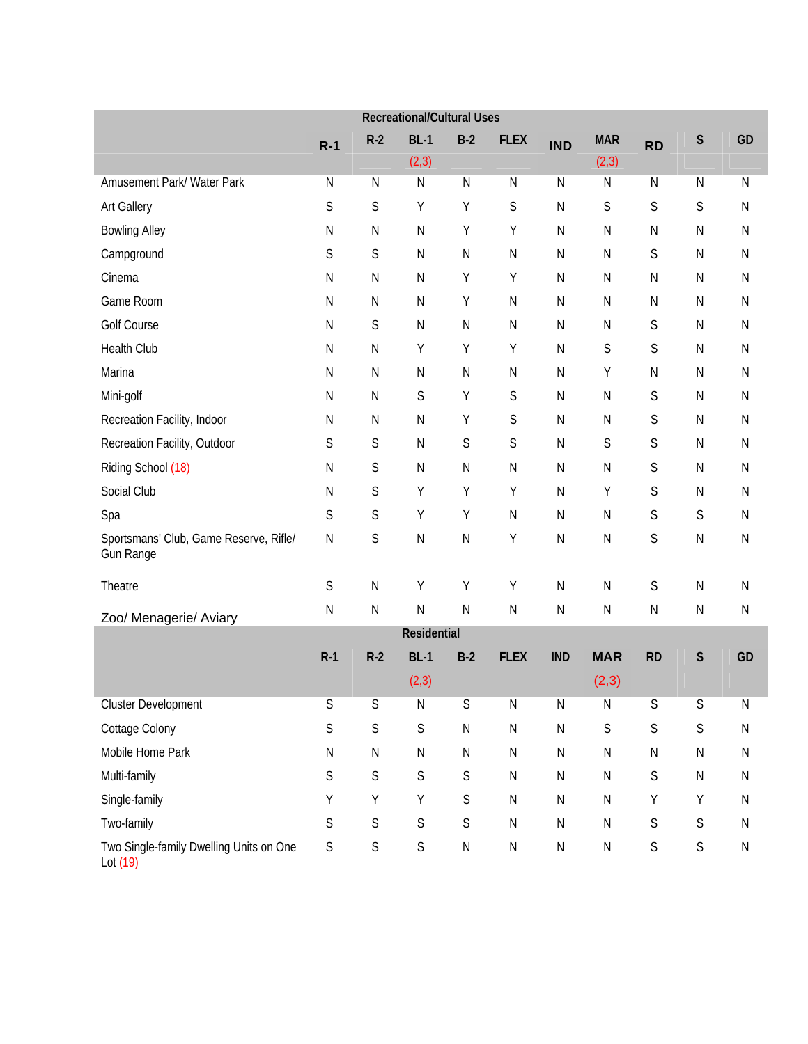|                                                            |              |              | <b>Recreational/Cultural Uses</b> |              |              |            |             |             |             |              |
|------------------------------------------------------------|--------------|--------------|-----------------------------------|--------------|--------------|------------|-------------|-------------|-------------|--------------|
|                                                            | $R-1$        | $R-2$        | $BL-1$                            | $B-2$        | <b>FLEX</b>  | <b>IND</b> | <b>MAR</b>  | <b>RD</b>   | $\mathsf S$ | GD           |
|                                                            |              |              | (2, 3)                            |              |              |            | (2,3)       |             |             |              |
| Amusement Park/ Water Park                                 | N            | $\mathsf{N}$ | ${\sf N}$                         | $\mathsf{N}$ | $\mathsf{N}$ | ${\sf N}$  | N           | ${\sf N}$   | ${\sf N}$   | $\mathsf{N}$ |
| <b>Art Gallery</b>                                         | S            | S            | Υ                                 | Y            | $\mathsf S$  | ${\sf N}$  | $\mathsf S$ | S           | S           | $\mathsf{N}$ |
| <b>Bowling Alley</b>                                       | ${\sf N}$    | ${\sf N}$    | ${\sf N}$                         | Y            | Υ            | ${\sf N}$  | ${\sf N}$   | N           | ${\sf N}$   | $\mathsf{N}$ |
| Campground                                                 | S            | S            | ${\sf N}$                         | $\mathsf{N}$ | ${\sf N}$    | ${\sf N}$  | N           | S           | ${\sf N}$   | $\mathsf{N}$ |
| Cinema                                                     | ${\sf N}$    | ${\sf N}$    | ${\sf N}$                         | Y            | Υ            | ${\sf N}$  | ${\sf N}$   | N           | ${\sf N}$   | $\mathsf{N}$ |
| Game Room                                                  | ${\sf N}$    | ${\sf N}$    | ${\sf N}$                         | Y            | ${\sf N}$    | ${\sf N}$  | ${\sf N}$   | N           | ${\sf N}$   | $\mathsf{N}$ |
| Golf Course                                                | ${\sf N}$    | S            | ${\sf N}$                         | ${\sf N}$    | $\mathsf N$  | ${\sf N}$  | N           | S           | ${\sf N}$   | $\mathsf{N}$ |
| Health Club                                                | ${\sf N}$    | ${\sf N}$    | Y                                 | Y            | Υ            | ${\sf N}$  | $\mathsf S$ | S           | ${\sf N}$   | $\mathsf{N}$ |
| Marina                                                     | ${\sf N}$    | ${\sf N}$    | ${\sf N}$                         | ${\sf N}$    | ${\sf N}$    | ${\sf N}$  | Υ           | N           | ${\sf N}$   | $\mathsf{N}$ |
| Mini-golf                                                  | $\mathsf N$  | ${\sf N}$    | $\mathsf S$                       | Y            | S            | ${\sf N}$  | ${\sf N}$   | S           | ${\sf N}$   | $\mathsf{N}$ |
| Recreation Facility, Indoor                                | $\mathsf N$  | N            | ${\sf N}$                         | Y            | $\mathsf S$  | ${\sf N}$  | N           | S           | ${\sf N}$   | $\mathsf{N}$ |
| Recreation Facility, Outdoor                               | S            | S            | ${\sf N}$                         | S            | $\mathsf S$  | ${\sf N}$  | $\mathsf S$ | S           | ${\sf N}$   | $\mathsf{N}$ |
| Riding School (18)                                         | ${\sf N}$    | S            | ${\sf N}$                         | ${\sf N}$    | N            | ${\sf N}$  | ${\sf N}$   | S           | ${\sf N}$   | $\mathsf{N}$ |
| Social Club                                                | $\mathsf N$  | S            | Υ                                 | Y            | Υ            | ${\sf N}$  | Υ           | S           | ${\sf N}$   | $\mathsf{N}$ |
| Spa                                                        | S            | S            | Υ                                 | Y            | ${\sf N}$    | ${\sf N}$  | ${\sf N}$   | S           | S           | $\mathsf{N}$ |
| Sportsmans' Club, Game Reserve, Rifle/<br><b>Gun Range</b> | ${\sf N}$    | S            | ${\sf N}$                         | ${\sf N}$    | Υ            | ${\sf N}$  | N           | S           | ${\sf N}$   | $\mathsf{N}$ |
| Theatre                                                    | $\mathsf S$  | ${\sf N}$    | Υ                                 | Y            | Υ            | ${\sf N}$  | ${\sf N}$   | $\mathsf S$ | ${\sf N}$   | ${\sf N}$    |
| Zoo/ Menagerie/ Aviary                                     | $\mathsf{N}$ | ${\sf N}$    | ${\sf N}$                         | ${\sf N}$    | ${\sf N}$    | ${\sf N}$  | N           | ${\sf N}$   | ${\sf N}$   | ${\sf N}$    |
|                                                            |              |              | Residential                       |              |              |            |             |             |             |              |
|                                                            | $R-1$        | $R-2$        | $BL-1$                            | $B-2$        | <b>FLEX</b>  | <b>IND</b> | <b>MAR</b>  | <b>RD</b>   | $\mathsf S$ | GD           |
|                                                            |              |              | (2,3)                             |              |              |            | (2,3)       |             |             |              |
| Cluster Development                                        | S            | S            | ${\sf N}$                         | $\mathsf S$  | ${\sf N}$    | ${\sf N}$  | N           | S           | $\mathsf S$ | ${\sf N}$    |
| Cottage Colony                                             | S            | $\mathsf S$  | $\mathsf S$                       | ${\sf N}$    | ${\sf N}$    | ${\sf N}$  | $\mathsf S$ | S           | $\mathsf S$ | ${\sf N}$    |
| Mobile Home Park                                           | ${\sf N}$    | ${\sf N}$    | ${\sf N}$                         | ${\sf N}$    | ${\sf N}$    | ${\sf N}$  | N           | ${\sf N}$   | ${\sf N}$   | ${\sf N}$    |
| Multi-family                                               | S            | $\mathsf S$  | $\mathsf S$                       | $\mathsf S$  | ${\sf N}$    | ${\sf N}$  | ${\sf N}$   | $\mathsf S$ | ${\sf N}$   | ${\sf N}$    |
| Single-family                                              | Υ            | Υ            | Υ                                 | $\mathsf S$  | ${\sf N}$    | ${\sf N}$  | ${\sf N}$   | Υ           | Y           | ${\sf N}$    |
| Two-family                                                 | S            | $\mathsf S$  | $\mathsf S$                       | $\mathsf S$  | ${\sf N}$    | ${\sf N}$  | ${\sf N}$   | $\mathsf S$ | $\mathsf S$ | ${\sf N}$    |
| Two Single-family Dwelling Units on One<br>Lot (19)        | $\mathsf S$  | $\mathsf S$  | $\mathsf S$                       | ${\sf N}$    | ${\sf N}$    | ${\sf N}$  | ${\sf N}$   | $\mathsf S$ | $\mathsf S$ | ${\sf N}$    |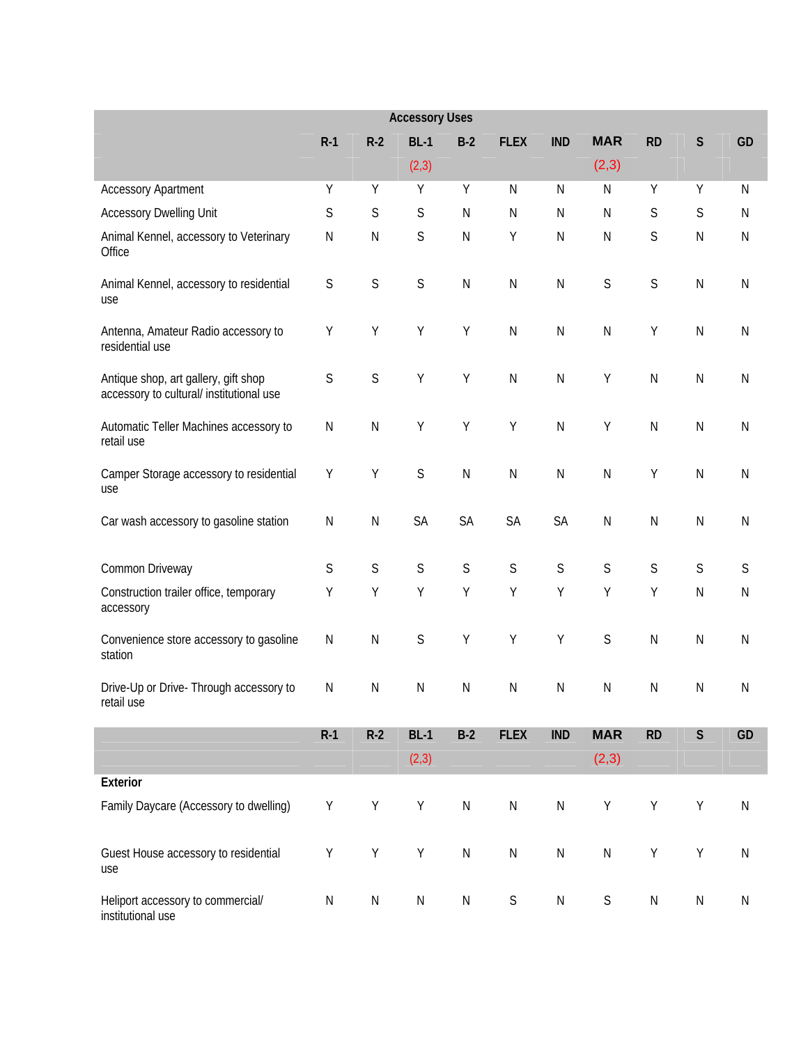|                                                                                  |             |             | <b>Accessory Uses</b> |              |              |              |                     |             |              |              |
|----------------------------------------------------------------------------------|-------------|-------------|-----------------------|--------------|--------------|--------------|---------------------|-------------|--------------|--------------|
|                                                                                  | $R-1$       | $R-2$       | $BL-1$                | $B-2$        | <b>FLEX</b>  | <b>IND</b>   | <b>MAR</b>          | <b>RD</b>   | $\mathsf S$  | GD           |
|                                                                                  |             |             | (2, 3)                |              |              |              | (2,3)               |             |              |              |
| <b>Accessory Apartment</b>                                                       | Υ           | Y           | Υ                     | Y            | $\mathsf{N}$ | N            | ${\sf N}$           | Υ           | Y            | $\mathsf{N}$ |
| <b>Accessory Dwelling Unit</b>                                                   | S           | $\mathsf S$ | $\mathsf S$           | $\mathsf{N}$ | $\mathsf{N}$ | N            | N                   | $\mathsf S$ | $\mathsf S$  | $\mathsf{N}$ |
| Animal Kennel, accessory to Veterinary<br>Office                                 | Ν           | ${\sf N}$   | $\mathsf S$           | $\mathsf{N}$ | Y            | $\mathsf{N}$ | ${\sf N}$           | $\mathsf S$ | $\mathsf{N}$ | ${\sf N}$    |
| Animal Kennel, accessory to residential<br>use                                   | S           | $\mathsf S$ | $\mathsf S$           | $\mathsf{N}$ | ${\sf N}$    | ${\sf N}$    | $\mathsf S$         | $\mathsf S$ | ${\sf N}$    | ${\sf N}$    |
| Antenna, Amateur Radio accessory to<br>residential use                           | Υ           | Υ           | Y                     | Y            | $\mathsf{N}$ | ${\sf N}$    | ${\sf N}$           | Υ           | $\mathsf{N}$ | ${\sf N}$    |
| Antique shop, art gallery, gift shop<br>accessory to cultural/ institutional use | $\mathsf S$ | $\mathsf S$ | Υ                     | Y            | $\mathsf{N}$ | ${\sf N}$    | Υ                   | ${\sf N}$   | ${\sf N}$    | $\mathsf N$  |
| Automatic Teller Machines accessory to<br>retail use                             | ${\sf N}$   | ${\sf N}$   | Y                     | Y            | Y            | $\mathsf{N}$ | Υ                   | ${\sf N}$   | $\mathsf{N}$ | ${\sf N}$    |
| Camper Storage accessory to residential<br>use                                   | Υ           | Υ           | $\mathsf S$           | $\mathsf{N}$ | $\mathsf{N}$ | $\mathsf{N}$ | ${\sf N}$           | Υ           | $\mathsf{N}$ | ${\sf N}$    |
| Car wash accessory to gasoline station                                           | ${\sf N}$   | ${\sf N}$   | SA                    | SA           | <b>SA</b>    | SA           | ${\sf N}$           | ${\sf N}$   | ${\sf N}$    | ${\sf N}$    |
| Common Driveway                                                                  | S           | $\mathsf S$ | $\mathsf S$           | S            | $\mathsf S$  | $\mathsf S$  | $\mathsf S$         | $\mathsf S$ | $\mathsf S$  | S            |
| Construction trailer office, temporary<br>accessory                              | Υ           | Υ           | Y                     | Y            | Υ            | Y            | Υ                   | Υ           | $\mathsf{N}$ | ${\sf N}$    |
| Convenience store accessory to gasoline<br>station                               | N           | ${\sf N}$   | $\mathsf S$           | Y            | Y            | Υ            | S                   | ${\sf N}$   | $\mathsf{N}$ | ${\sf N}$    |
| Drive-Up or Drive- Through accessory to<br>retail use                            | Ν           | Ν           | N                     | N            | N            | N            | N                   | N           | N            | N            |
|                                                                                  | $R-1$       | $R-2$       | $BL-1$<br>(2, 3)      | $B-2$        | <b>FLEX</b>  | <b>IND</b>   | <b>MAR</b><br>(2,3) | <b>RD</b>   | $\mathsf S$  | GD           |
| Exterior                                                                         |             |             |                       |              |              |              |                     |             |              |              |
| Family Daycare (Accessory to dwelling)                                           | Υ           | Y           | Υ                     | ${\sf N}$    | ${\sf N}$    | ${\sf N}$    | Υ                   | Υ           | Υ            | ${\sf N}$    |
| Guest House accessory to residential<br>use                                      | $\mathsf Y$ | $\sf Y$     | Υ                     | ${\sf N}$    | ${\sf N}$    | ${\sf N}$    | ${\sf N}$           | Υ           | Υ            | ${\sf N}$    |
| Heliport accessory to commercial/<br>institutional use                           | ${\sf N}$   | ${\sf N}$   | ${\sf N}$             | ${\sf N}$    | $\mathsf S$  | ${\sf N}$    | $\mathsf S$         | ${\sf N}$   | ${\sf N}$    | ${\sf N}$    |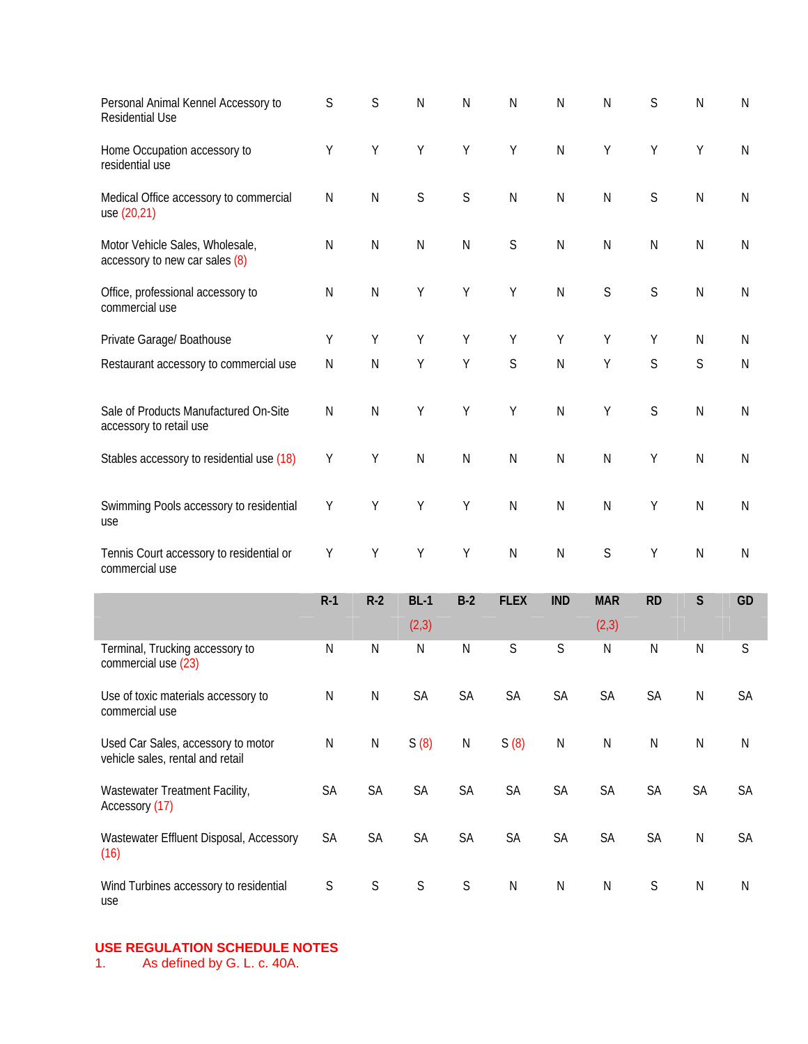| Personal Animal Kennel Accessory to<br><b>Residential Use</b>          | S           | S            | $\mathsf{N}$ | $\mathsf{N}$ | ${\sf N}$     | ${\sf N}$  | ${\sf N}$   | $\mathsf S$ | $\mathsf{N}$ | ${\sf N}$     |
|------------------------------------------------------------------------|-------------|--------------|--------------|--------------|---------------|------------|-------------|-------------|--------------|---------------|
| Home Occupation accessory to<br>residential use                        | Υ           | Υ            | Υ            | Υ            | Υ             | ${\sf N}$  | Υ           | Υ           | Υ            | ${\sf N}$     |
| Medical Office accessory to commercial<br>use (20,21)                  | ${\sf N}$   | ${\sf N}$    | $\mathsf S$  | S            | ${\sf N}$     | ${\sf N}$  | ${\sf N}$   | $\mathsf S$ | $\mathsf{N}$ | ${\sf N}$     |
| Motor Vehicle Sales, Wholesale,<br>accessory to new car sales (8)      | ${\sf N}$   | ${\sf N}$    | ${\sf N}$    | ${\sf N}$    | $\mathsf S$   | ${\sf N}$  | ${\sf N}$   | ${\sf N}$   | $\mathsf{N}$ | ${\sf N}$     |
| Office, professional accessory to<br>commercial use                    | ${\sf N}$   | ${\sf N}$    | Υ            | Υ            | Υ             | ${\sf N}$  | $\mathsf S$ | $\mathsf S$ | $\mathsf{N}$ | ${\sf N}$     |
| Private Garage/ Boathouse                                              | Υ           | Υ            | Υ            | Υ            | Υ             | Υ          | Υ           | Υ           | ${\sf N}$    | N             |
| Restaurant accessory to commercial use                                 | ${\sf N}$   | $\mathsf{N}$ | Υ            | Y            | S             | ${\sf N}$  | Υ           | S           | S            | $\mathsf{N}$  |
| Sale of Products Manufactured On-Site<br>accessory to retail use       | ${\sf N}$   | ${\sf N}$    | Υ            | Υ            | Υ             | ${\sf N}$  | Υ           | S           | $\mathsf{N}$ | $\mathsf{N}$  |
| Stables accessory to residential use (18)                              | Y           | Υ            | ${\sf N}$    | $\mathsf{N}$ | $\mathsf{N}$  | ${\sf N}$  | ${\sf N}$   | Υ           | $\mathsf{N}$ | $\mathsf{N}$  |
| Swimming Pools accessory to residential<br>use                         | Υ           | Υ            | Υ            | Υ            | $\mathsf{N}$  | ${\sf N}$  | ${\sf N}$   | Υ           | $\mathsf{N}$ | $\mathsf{N}$  |
| Tennis Court accessory to residential or<br>commercial use             | Υ           | Υ            | Υ            | Y            | $\mathsf{N}$  | ${\sf N}$  | S           | Υ           | $\mathsf{N}$ | $\mathsf{N}$  |
|                                                                        | $R-1$       | $R-2$        | $BL-1$       | $B-2$        | <b>FLEX</b>   | <b>IND</b> | <b>MAR</b>  | <b>RD</b>   | $\mathsf{S}$ | GD            |
|                                                                        |             |              | (2,3)        |              |               |            | (2,3)       |             |              |               |
| Terminal, Trucking accessory to<br>commercial use (23)                 | ${\sf N}$   | ${\sf N}$    | ${\sf N}$    | $\mathsf{N}$ | $\mathsf S$   | S          | ${\sf N}$   | ${\sf N}$   | $\mathsf{N}$ | S             |
| Use of toxic materials accessory to<br>commercial use                  | ${\sf N}$   | ${\sf N}$    | SA           | SA           | SA            | SA         | SA          | SA          | ${\sf N}$    | $\mathsf{SA}$ |
| Used Car Sales, accessory to motor<br>vehicle sales, rental and retail | ${\sf N}$   | ${\sf N}$    | S(8)         | ${\sf N}$    | S(8)          | ${\sf N}$  | ${\sf N}$   | ${\sf N}$   | ${\sf N}$    | ${\sf N}$     |
| Wastewater Treatment Facility,<br>Accessory (17)                       | SA          | SA           | SA           | SA           | $\mathsf{SA}$ | SA         | SA          | SA          | SA           | $\mathsf{SA}$ |
| Wastewater Effluent Disposal, Accessory<br>(16)                        | SA          | SA           | SA           | SA           | SA            | SA         | SA          | SA          | ${\sf N}$    | $\mathsf{SA}$ |
| Wind Turbines accessory to residential<br>use                          | $\mathsf S$ | $\mathsf S$  | $\mathsf S$  | $\mathsf S$  | ${\sf N}$     | ${\sf N}$  | ${\sf N}$   | $\mathsf S$ | ${\sf N}$    | ${\sf N}$     |

# **USE REGULATION SCHEDULE NOTES**<br>1. As defined by G. L. c. 40A.

As defined by G. L. c. 40A.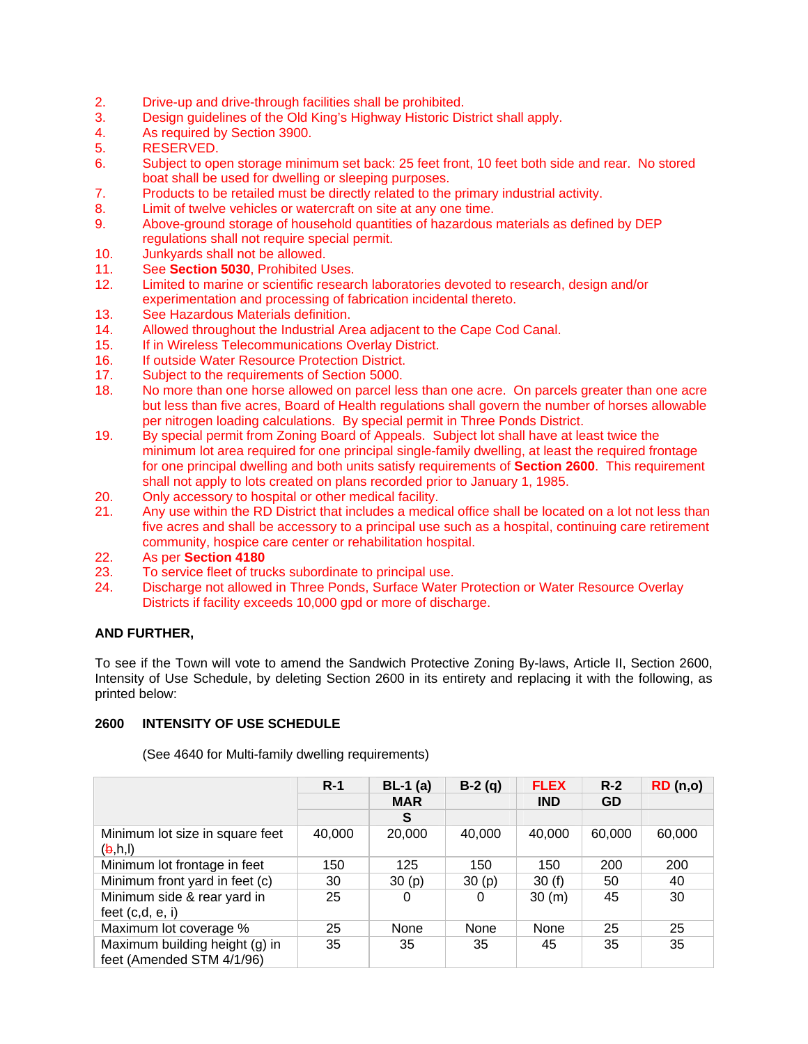- 2. Drive-up and drive-through facilities shall be prohibited.
- 3. Design guidelines of the Old King's Highway Historic District shall apply.
- 4. As required by Section 3900.
- 5. RESERVED.
- 6. Subject to open storage minimum set back: 25 feet front, 10 feet both side and rear. No stored boat shall be used for dwelling or sleeping purposes.
- 7. Products to be retailed must be directly related to the primary industrial activity.
- 8. Limit of twelve vehicles or watercraft on site at any one time.
- 9. Above-ground storage of household quantities of hazardous materials as defined by DEP regulations shall not require special permit.
- 10. Junkyards shall not be allowed.
- 11. See **Section 5030**, Prohibited Uses.<br>12. Limited to marine or scientific researc
- Limited to marine or scientific research laboratories devoted to research, design and/or experimentation and processing of fabrication incidental thereto.
- 13. See Hazardous Materials definition.
- 14. Allowed throughout the Industrial Area adjacent to the Cape Cod Canal.
- 15. If in Wireless Telecommunications Overlay District.
- 16. If outside Water Resource Protection District.
- 17. Subject to the requirements of Section 5000.
- 18. No more than one horse allowed on parcel less than one acre. On parcels greater than one acre but less than five acres, Board of Health regulations shall govern the number of horses allowable per nitrogen loading calculations. By special permit in Three Ponds District.
- 19. By special permit from Zoning Board of Appeals. Subject lot shall have at least twice the minimum lot area required for one principal single-family dwelling, at least the required frontage for one principal dwelling and both units satisfy requirements of **Section 2600**. This requirement shall not apply to lots created on plans recorded prior to January 1, 1985.
- 20. Only accessory to hospital or other medical facility.
- 21. Any use within the RD District that includes a medical office shall be located on a lot not less than five acres and shall be accessory to a principal use such as a hospital, continuing care retirement community, hospice care center or rehabilitation hospital.
- 22. As per **Section 4180**
- 23. To service fleet of trucks subordinate to principal use.
- 24. Discharge not allowed in Three Ponds, Surface Water Protection or Water Resource Overlay Districts if facility exceeds 10,000 gpd or more of discharge.

#### **AND FURTHER,**

To see if the Town will vote to amend the Sandwich Protective Zoning By-laws, Article II, Section 2600, Intensity of Use Schedule, by deleting Section 2600 in its entirety and replacing it with the following, as printed below:

#### **2600 INTENSITY OF USE SCHEDULE**

(See 4640 for Multi-family dwelling requirements)

|                                                                         | $R-1$  | $BL-1$ (a) | $B-2(q)$ | <b>FLEX</b> | $R-2$  | RD(n,0) |
|-------------------------------------------------------------------------|--------|------------|----------|-------------|--------|---------|
|                                                                         |        | <b>MAR</b> |          | <b>IND</b>  | GD     |         |
|                                                                         |        | S          |          |             |        |         |
| Minimum lot size in square feet<br>$(\mathsf{b},\mathsf{h},\mathsf{l})$ | 40,000 | 20,000     | 40,000   | 40,000      | 60,000 | 60,000  |
| Minimum lot frontage in feet                                            | 150    | 125        | 150      | 150         | 200    | 200     |
| Minimum front yard in feet (c)                                          | 30     | 30(p)      | 30(p)    | 30(f)       | 50     | 40      |
| Minimum side & rear yard in<br>feet $(c,d, e, i)$                       | 25     | 0          | 0        | 30 (m)      | 45     | 30      |
| Maximum lot coverage %                                                  | 25     | None       | None     | None        | 25     | 25      |
| Maximum building height (g) in<br>feet (Amended STM 4/1/96)             | 35     | 35         | 35       | 45          | 35     | 35      |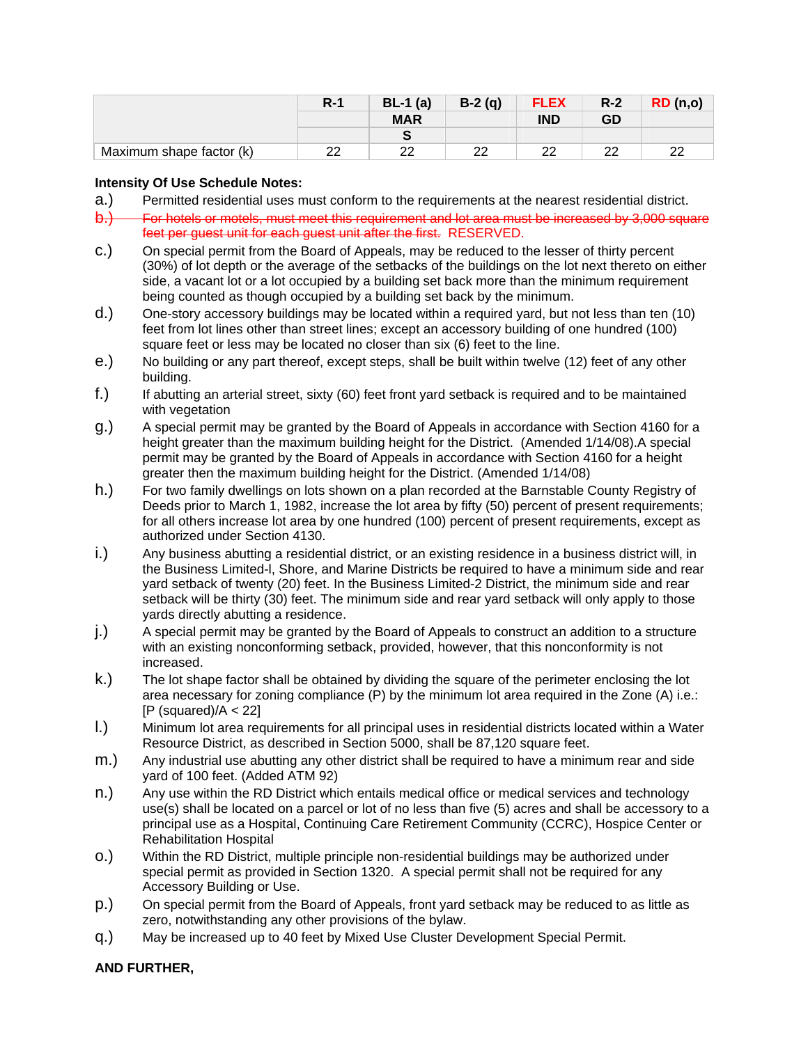|                          | $R-1$ | $BL-1$ (a) | $B-2(q)$ | <b>FLEX</b> | $R-2$ | <b>RD</b> (n,o) |
|--------------------------|-------|------------|----------|-------------|-------|-----------------|
|                          |       | <b>MAR</b> |          | <b>IND</b>  | GD    |                 |
|                          |       |            |          |             |       |                 |
| Maximum shape factor (k) | ററ    | າາ         | າາ       | ົດ          | ົດ    | າາ              |

#### **Intensity Of Use Schedule Notes:**

- a.) Permitted residential uses must conform to the requirements at the nearest residential district.
- b.) For hotels or motels, must meet this requirement and lot area must be increased by 3,000 square feet per guest unit for each guest unit after the first. RESERVED.
- c.) On special permit from the Board of Appeals, may be reduced to the lesser of thirty percent (30%) of lot depth or the average of the setbacks of the buildings on the lot next thereto on either side, a vacant lot or a lot occupied by a building set back more than the minimum requirement being counted as though occupied by a building set back by the minimum.
- d.) One-story accessory buildings may be located within a required yard, but not less than ten (10) feet from lot lines other than street lines; except an accessory building of one hundred (100) square feet or less may be located no closer than six (6) feet to the line.
- e.) No building or any part thereof, except steps, shall be built within twelve (12) feet of any other building.
- f.) If abutting an arterial street, sixty (60) feet front yard setback is required and to be maintained with vegetation
- g.) A special permit may be granted by the Board of Appeals in accordance with Section 4160 for a height greater than the maximum building height for the District. (Amended 1/14/08). A special permit may be granted by the Board of Appeals in accordance with Section 4160 for a height greater then the maximum building height for the District. (Amended 1/14/08)
- h.) For two family dwellings on lots shown on a plan recorded at the Barnstable County Registry of Deeds prior to March 1, 1982, increase the lot area by fifty (50) percent of present requirements; for all others increase lot area by one hundred (100) percent of present requirements, except as authorized under Section 4130.
- i.) Any business abutting a residential district, or an existing residence in a business district will, in the Business Limited-l, Shore, and Marine Districts be required to have a minimum side and rear yard setback of twenty (20) feet. In the Business Limited-2 District, the minimum side and rear setback will be thirty (30) feet. The minimum side and rear yard setback will only apply to those yards directly abutting a residence.
- j.) A special permit may be granted by the Board of Appeals to construct an addition to a structure with an existing nonconforming setback, provided, however, that this nonconformity is not increased.
- k.) The lot shape factor shall be obtained by dividing the square of the perimeter enclosing the lot area necessary for zoning compliance (P) by the minimum lot area required in the Zone (A) i.e.:  $[P$  (squared)/ $A < 22$ ]
- l.) Minimum lot area requirements for all principal uses in residential districts located within a Water Resource District, as described in Section 5000, shall be 87,120 square feet.
- m.) Any industrial use abutting any other district shall be required to have a minimum rear and side yard of 100 feet. (Added ATM 92)
- n.) Any use within the RD District which entails medical office or medical services and technology use(s) shall be located on a parcel or lot of no less than five (5) acres and shall be accessory to a principal use as a Hospital, Continuing Care Retirement Community (CCRC), Hospice Center or Rehabilitation Hospital
- o.) Within the RD District, multiple principle non-residential buildings may be authorized under special permit as provided in Section 1320. A special permit shall not be required for any Accessory Building or Use.
- p.) On special permit from the Board of Appeals, front yard setback may be reduced to as little as zero, notwithstanding any other provisions of the bylaw.
- q.) May be increased up to 40 feet by Mixed Use Cluster Development Special Permit.

#### **AND FURTHER,**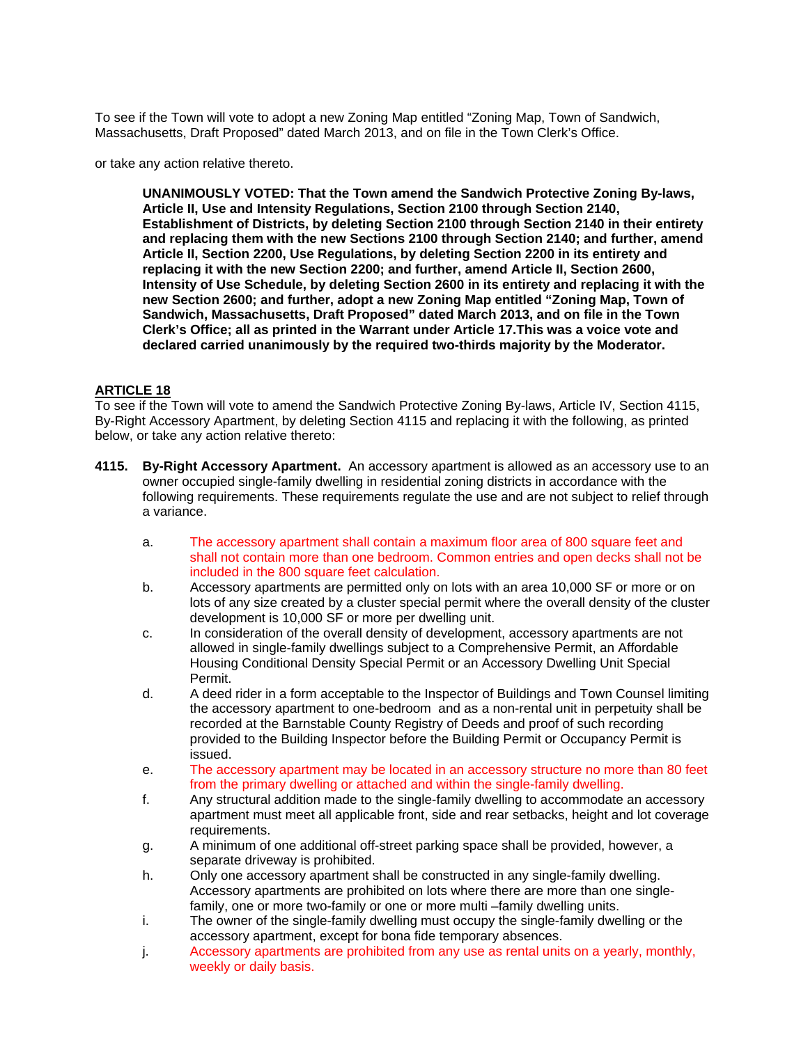To see if the Town will vote to adopt a new Zoning Map entitled "Zoning Map, Town of Sandwich, Massachusetts, Draft Proposed" dated March 2013, and on file in the Town Clerk's Office.

or take any action relative thereto.

**UNANIMOUSLY VOTED: That the Town amend the Sandwich Protective Zoning By-laws, Article II, Use and Intensity Regulations, Section 2100 through Section 2140, Establishment of Districts, by deleting Section 2100 through Section 2140 in their entirety and replacing them with the new Sections 2100 through Section 2140; and further, amend Article II, Section 2200, Use Regulations, by deleting Section 2200 in its entirety and replacing it with the new Section 2200; and further, amend Article II, Section 2600, Intensity of Use Schedule, by deleting Section 2600 in its entirety and replacing it with the new Section 2600; and further, adopt a new Zoning Map entitled "Zoning Map, Town of Sandwich, Massachusetts, Draft Proposed" dated March 2013, and on file in the Town Clerk's Office; all as printed in the Warrant under Article 17.This was a voice vote and declared carried unanimously by the required two-thirds majority by the Moderator.** 

#### **ARTICLE 18**

To see if the Town will vote to amend the Sandwich Protective Zoning By-laws, Article IV, Section 4115, By-Right Accessory Apartment, by deleting Section 4115 and replacing it with the following, as printed below, or take any action relative thereto:

- **4115. By-Right Accessory Apartment.** An accessory apartment is allowed as an accessory use to an owner occupied single-family dwelling in residential zoning districts in accordance with the following requirements. These requirements regulate the use and are not subject to relief through a variance.
	- a. The accessory apartment shall contain a maximum floor area of 800 square feet and shall not contain more than one bedroom. Common entries and open decks shall not be included in the 800 square feet calculation.
	- b. Accessory apartments are permitted only on lots with an area 10,000 SF or more or on lots of any size created by a cluster special permit where the overall density of the cluster development is 10,000 SF or more per dwelling unit.
	- c. In consideration of the overall density of development, accessory apartments are not allowed in single-family dwellings subject to a Comprehensive Permit, an Affordable Housing Conditional Density Special Permit or an Accessory Dwelling Unit Special Permit.
	- d. A deed rider in a form acceptable to the Inspector of Buildings and Town Counsel limiting the accessory apartment to one-bedroom and as a non-rental unit in perpetuity shall be recorded at the Barnstable County Registry of Deeds and proof of such recording provided to the Building Inspector before the Building Permit or Occupancy Permit is issued.
	- e. The accessory apartment may be located in an accessory structure no more than 80 feet from the primary dwelling or attached and within the single-family dwelling.
	- f. Any structural addition made to the single-family dwelling to accommodate an accessory apartment must meet all applicable front, side and rear setbacks, height and lot coverage requirements.
	- g. A minimum of one additional off-street parking space shall be provided, however, a separate driveway is prohibited.
	- h. Only one accessory apartment shall be constructed in any single-family dwelling. Accessory apartments are prohibited on lots where there are more than one singlefamily, one or more two-family or one or more multi –family dwelling units.
	- i. The owner of the single-family dwelling must occupy the single-family dwelling or the accessory apartment, except for bona fide temporary absences.
	- j. Accessory apartments are prohibited from any use as rental units on a yearly, monthly, weekly or daily basis.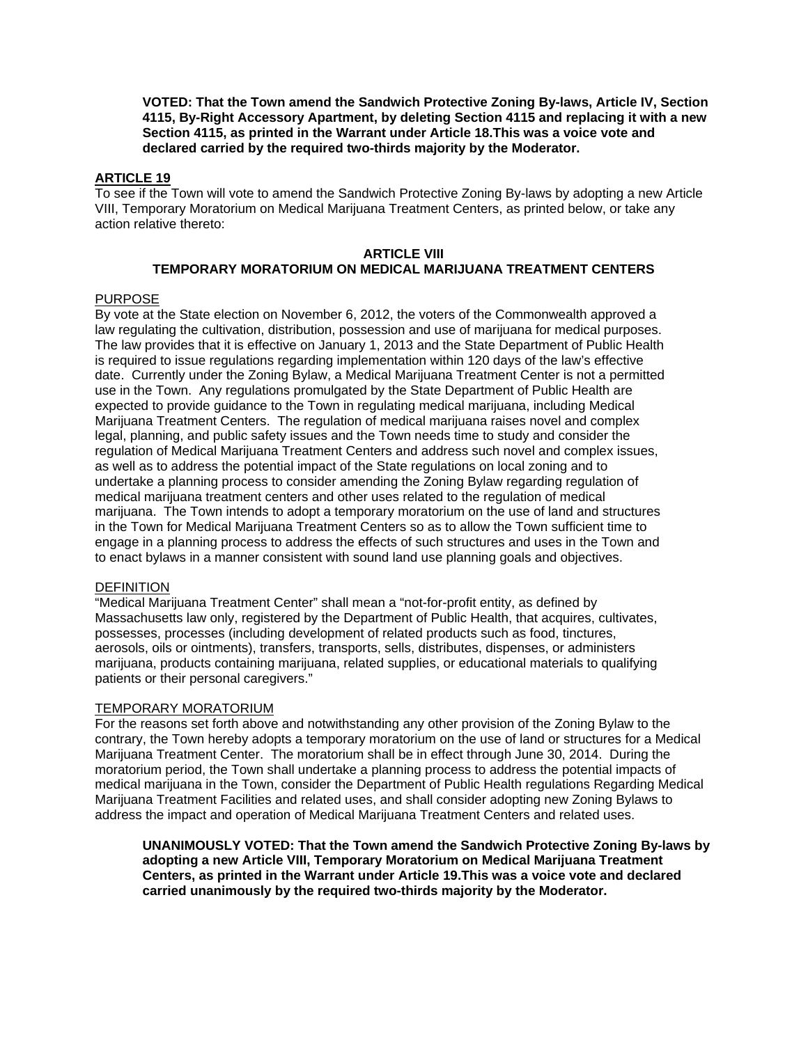**VOTED: That the Town amend the Sandwich Protective Zoning By-laws, Article IV, Section 4115, By-Right Accessory Apartment, by deleting Section 4115 and replacing it with a new Section 4115, as printed in the Warrant under Article 18.This was a voice vote and declared carried by the required two-thirds majority by the Moderator.** 

#### **ARTICLE 19**

To see if the Town will vote to amend the Sandwich Protective Zoning By-laws by adopting a new Article VIII, Temporary Moratorium on Medical Marijuana Treatment Centers, as printed below, or take any action relative thereto:

#### **ARTICLE VIII TEMPORARY MORATORIUM ON MEDICAL MARIJUANA TREATMENT CENTERS**

#### PURPOSE

By vote at the State election on November 6, 2012, the voters of the Commonwealth approved a law regulating the cultivation, distribution, possession and use of marijuana for medical purposes. The law provides that it is effective on January 1, 2013 and the State Department of Public Health is required to issue regulations regarding implementation within 120 days of the law's effective date. Currently under the Zoning Bylaw, a Medical Marijuana Treatment Center is not a permitted use in the Town. Any regulations promulgated by the State Department of Public Health are expected to provide guidance to the Town in regulating medical marijuana, including Medical Marijuana Treatment Centers. The regulation of medical marijuana raises novel and complex legal, planning, and public safety issues and the Town needs time to study and consider the regulation of Medical Marijuana Treatment Centers and address such novel and complex issues, as well as to address the potential impact of the State regulations on local zoning and to undertake a planning process to consider amending the Zoning Bylaw regarding regulation of medical marijuana treatment centers and other uses related to the regulation of medical marijuana. The Town intends to adopt a temporary moratorium on the use of land and structures in the Town for Medical Marijuana Treatment Centers so as to allow the Town sufficient time to engage in a planning process to address the effects of such structures and uses in the Town and to enact bylaws in a manner consistent with sound land use planning goals and objectives.

#### DEFINITION

"Medical Marijuana Treatment Center" shall mean a "not-for-profit entity, as defined by Massachusetts law only, registered by the Department of Public Health, that acquires, cultivates, possesses, processes (including development of related products such as food, tinctures, aerosols, oils or ointments), transfers, transports, sells, distributes, dispenses, or administers marijuana, products containing marijuana, related supplies, or educational materials to qualifying patients or their personal caregivers."

#### TEMPORARY MORATORIUM

For the reasons set forth above and notwithstanding any other provision of the Zoning Bylaw to the contrary, the Town hereby adopts a temporary moratorium on the use of land or structures for a Medical Marijuana Treatment Center. The moratorium shall be in effect through June 30, 2014. During the moratorium period, the Town shall undertake a planning process to address the potential impacts of medical marijuana in the Town, consider the Department of Public Health regulations Regarding Medical Marijuana Treatment Facilities and related uses, and shall consider adopting new Zoning Bylaws to address the impact and operation of Medical Marijuana Treatment Centers and related uses.

**UNANIMOUSLY VOTED: That the Town amend the Sandwich Protective Zoning By-laws by adopting a new Article VIII, Temporary Moratorium on Medical Marijuana Treatment Centers, as printed in the Warrant under Article 19.This was a voice vote and declared carried unanimously by the required two-thirds majority by the Moderator.**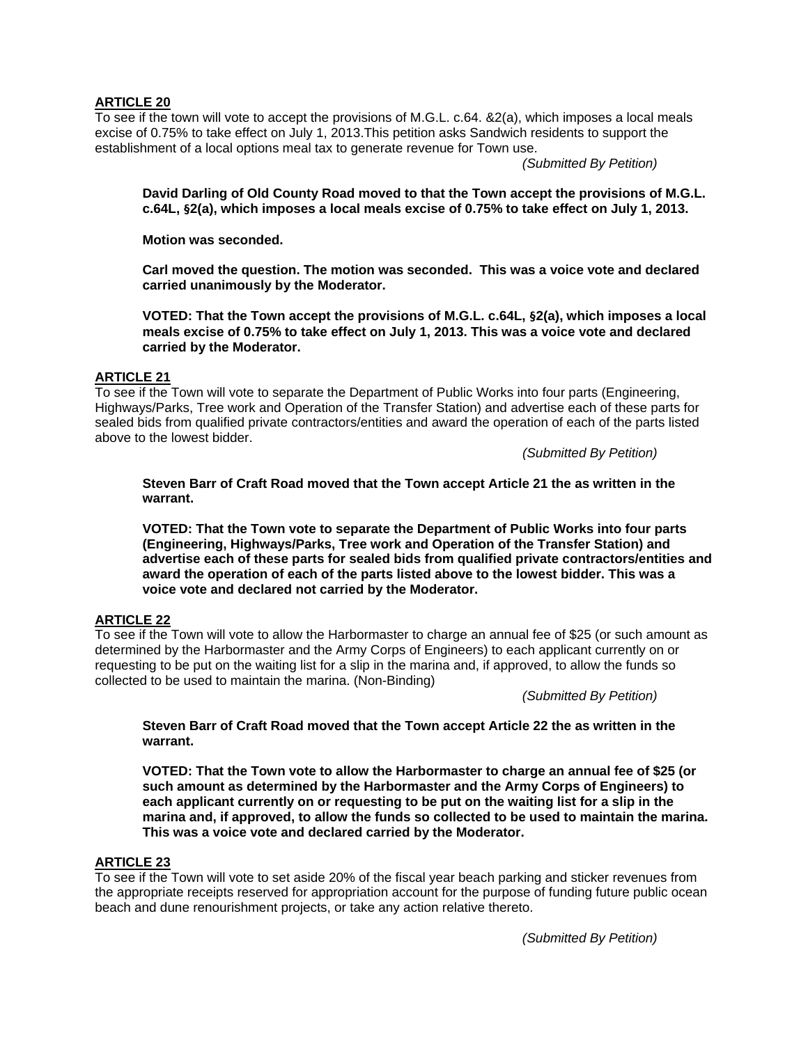#### **ARTICLE 20**

To see if the town will vote to accept the provisions of M.G.L. c.64. &2(a), which imposes a local meals excise of 0.75% to take effect on July 1, 2013.This petition asks Sandwich residents to support the establishment of a local options meal tax to generate revenue for Town use.

*(Submitted By Petition)*

**David Darling of Old County Road moved to that the Town accept the provisions of M.G.L. c.64L, §2(a), which imposes a local meals excise of 0.75% to take effect on July 1, 2013.** 

**Motion was seconded.** 

**Carl moved the question. The motion was seconded. This was a voice vote and declared carried unanimously by the Moderator.** 

**VOTED: That the Town accept the provisions of M.G.L. c.64L, §2(a), which imposes a local meals excise of 0.75% to take effect on July 1, 2013. This was a voice vote and declared carried by the Moderator.** 

## **ARTICLE 21**

To see if the Town will vote to separate the Department of Public Works into four parts (Engineering, Highways/Parks, Tree work and Operation of the Transfer Station) and advertise each of these parts for sealed bids from qualified private contractors/entities and award the operation of each of the parts listed above to the lowest bidder.

*(Submitted By Petition)*

**Steven Barr of Craft Road moved that the Town accept Article 21 the as written in the warrant.** 

**VOTED: That the Town vote to separate the Department of Public Works into four parts (Engineering, Highways/Parks, Tree work and Operation of the Transfer Station) and advertise each of these parts for sealed bids from qualified private contractors/entities and award the operation of each of the parts listed above to the lowest bidder. This was a voice vote and declared not carried by the Moderator.** 

## **ARTICLE 22**

To see if the Town will vote to allow the Harbormaster to charge an annual fee of \$25 (or such amount as determined by the Harbormaster and the Army Corps of Engineers) to each applicant currently on or requesting to be put on the waiting list for a slip in the marina and, if approved, to allow the funds so collected to be used to maintain the marina. (Non-Binding)

*(Submitted By Petition)*

**Steven Barr of Craft Road moved that the Town accept Article 22 the as written in the warrant.** 

**VOTED: That the Town vote to allow the Harbormaster to charge an annual fee of \$25 (or such amount as determined by the Harbormaster and the Army Corps of Engineers) to each applicant currently on or requesting to be put on the waiting list for a slip in the marina and, if approved, to allow the funds so collected to be used to maintain the marina. This was a voice vote and declared carried by the Moderator.** 

#### **ARTICLE 23**

To see if the Town will vote to set aside 20% of the fiscal year beach parking and sticker revenues from the appropriate receipts reserved for appropriation account for the purpose of funding future public ocean beach and dune renourishment projects, or take any action relative thereto.

*(Submitted By Petition)*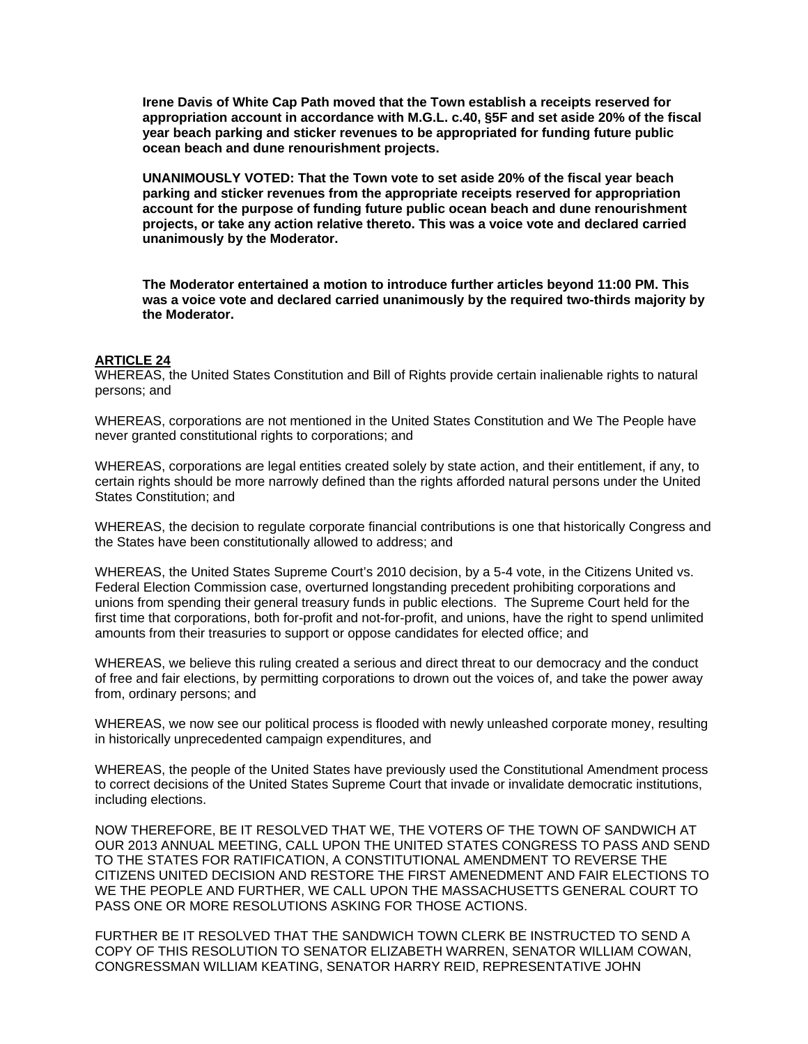**Irene Davis of White Cap Path moved that the Town establish a receipts reserved for appropriation account in accordance with M.G.L. c.40, §5F and set aside 20% of the fiscal year beach parking and sticker revenues to be appropriated for funding future public ocean beach and dune renourishment projects.** 

**UNANIMOUSLY VOTED: That the Town vote to set aside 20% of the fiscal year beach parking and sticker revenues from the appropriate receipts reserved for appropriation account for the purpose of funding future public ocean beach and dune renourishment projects, or take any action relative thereto. This was a voice vote and declared carried unanimously by the Moderator.** 

**The Moderator entertained a motion to introduce further articles beyond 11:00 PM. This was a voice vote and declared carried unanimously by the required two-thirds majority by the Moderator.** 

#### **ARTICLE 24**

WHEREAS, the United States Constitution and Bill of Rights provide certain inalienable rights to natural persons; and

WHEREAS, corporations are not mentioned in the United States Constitution and We The People have never granted constitutional rights to corporations; and

WHEREAS, corporations are legal entities created solely by state action, and their entitlement, if any, to certain rights should be more narrowly defined than the rights afforded natural persons under the United States Constitution; and

WHEREAS, the decision to regulate corporate financial contributions is one that historically Congress and the States have been constitutionally allowed to address; and

WHEREAS, the United States Supreme Court's 2010 decision, by a 5-4 vote, in the Citizens United vs. Federal Election Commission case, overturned longstanding precedent prohibiting corporations and unions from spending their general treasury funds in public elections. The Supreme Court held for the first time that corporations, both for-profit and not-for-profit, and unions, have the right to spend unlimited amounts from their treasuries to support or oppose candidates for elected office; and

WHEREAS, we believe this ruling created a serious and direct threat to our democracy and the conduct of free and fair elections, by permitting corporations to drown out the voices of, and take the power away from, ordinary persons; and

WHEREAS, we now see our political process is flooded with newly unleashed corporate money, resulting in historically unprecedented campaign expenditures, and

WHEREAS, the people of the United States have previously used the Constitutional Amendment process to correct decisions of the United States Supreme Court that invade or invalidate democratic institutions, including elections.

NOW THEREFORE, BE IT RESOLVED THAT WE, THE VOTERS OF THE TOWN OF SANDWICH AT OUR 2013 ANNUAL MEETING, CALL UPON THE UNITED STATES CONGRESS TO PASS AND SEND TO THE STATES FOR RATIFICATION, A CONSTITUTIONAL AMENDMENT TO REVERSE THE CITIZENS UNITED DECISION AND RESTORE THE FIRST AMENEDMENT AND FAIR ELECTIONS TO WE THE PEOPLE AND FURTHER, WE CALL UPON THE MASSACHUSETTS GENERAL COURT TO PASS ONE OR MORE RESOLUTIONS ASKING FOR THOSE ACTIONS.

FURTHER BE IT RESOLVED THAT THE SANDWICH TOWN CLERK BE INSTRUCTED TO SEND A COPY OF THIS RESOLUTION TO SENATOR ELIZABETH WARREN, SENATOR WILLIAM COWAN, CONGRESSMAN WILLIAM KEATING, SENATOR HARRY REID, REPRESENTATIVE JOHN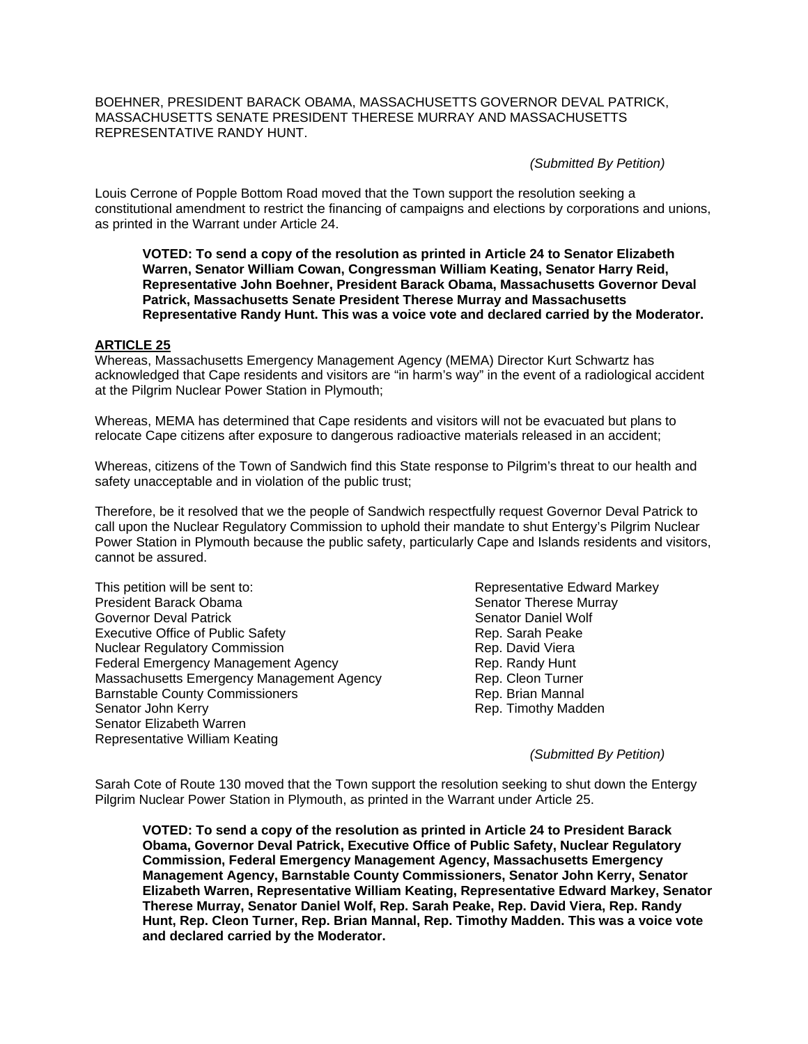BOEHNER, PRESIDENT BARACK OBAMA, MASSACHUSETTS GOVERNOR DEVAL PATRICK, MASSACHUSETTS SENATE PRESIDENT THERESE MURRAY AND MASSACHUSETTS REPRESENTATIVE RANDY HUNT.

*(Submitted By Petition)*

Louis Cerrone of Popple Bottom Road moved that the Town support the resolution seeking a constitutional amendment to restrict the financing of campaigns and elections by corporations and unions, as printed in the Warrant under Article 24.

**VOTED: To send a copy of the resolution as printed in Article 24 to Senator Elizabeth Warren, Senator William Cowan, Congressman William Keating, Senator Harry Reid, Representative John Boehner, President Barack Obama, Massachusetts Governor Deval Patrick, Massachusetts Senate President Therese Murray and Massachusetts Representative Randy Hunt. This was a voice vote and declared carried by the Moderator.** 

#### **ARTICLE 25**

Whereas, Massachusetts Emergency Management Agency (MEMA) Director Kurt Schwartz has acknowledged that Cape residents and visitors are "in harm's way" in the event of a radiological accident at the Pilgrim Nuclear Power Station in Plymouth;

Whereas, MEMA has determined that Cape residents and visitors will not be evacuated but plans to relocate Cape citizens after exposure to dangerous radioactive materials released in an accident;

Whereas, citizens of the Town of Sandwich find this State response to Pilgrim's threat to our health and safety unacceptable and in violation of the public trust;

Therefore, be it resolved that we the people of Sandwich respectfully request Governor Deval Patrick to call upon the Nuclear Regulatory Commission to uphold their mandate to shut Entergy's Pilgrim Nuclear Power Station in Plymouth because the public safety, particularly Cape and Islands residents and visitors, cannot be assured.

This petition will be sent to: Representative Edward Markey President Barack Obama Senator Therese Murray Governor Deval Patrick Senator Daniel Wolf Senator Daniel Wolf Executive Office of Public Safety **Rep. 2006** Rep. Sarah Peake Nuclear Regulatory Commission **Rep. David Viera** Rep. David Viera Federal Emergency Management Agency **Rep. Randy Hunt** Massachusetts Emergency Management Agency **Rep. Cleon Turner** Barnstable County Commissioners **Rep. Brian Mannal** Senator John Kerry **Rep. Timothy Madden** Senator Elizabeth Warren Representative William Keating

*(Submitted By Petition)* 

Sarah Cote of Route 130 moved that the Town support the resolution seeking to shut down the Entergy Pilgrim Nuclear Power Station in Plymouth, as printed in the Warrant under Article 25.

**VOTED: To send a copy of the resolution as printed in Article 24 to President Barack Obama, Governor Deval Patrick, Executive Office of Public Safety, Nuclear Regulatory Commission, Federal Emergency Management Agency, Massachusetts Emergency Management Agency, Barnstable County Commissioners, Senator John Kerry, Senator Elizabeth Warren, Representative William Keating, Representative Edward Markey, Senator Therese Murray, Senator Daniel Wolf, Rep. Sarah Peake, Rep. David Viera, Rep. Randy Hunt, Rep. Cleon Turner, Rep. Brian Mannal, Rep. Timothy Madden. This was a voice vote and declared carried by the Moderator.**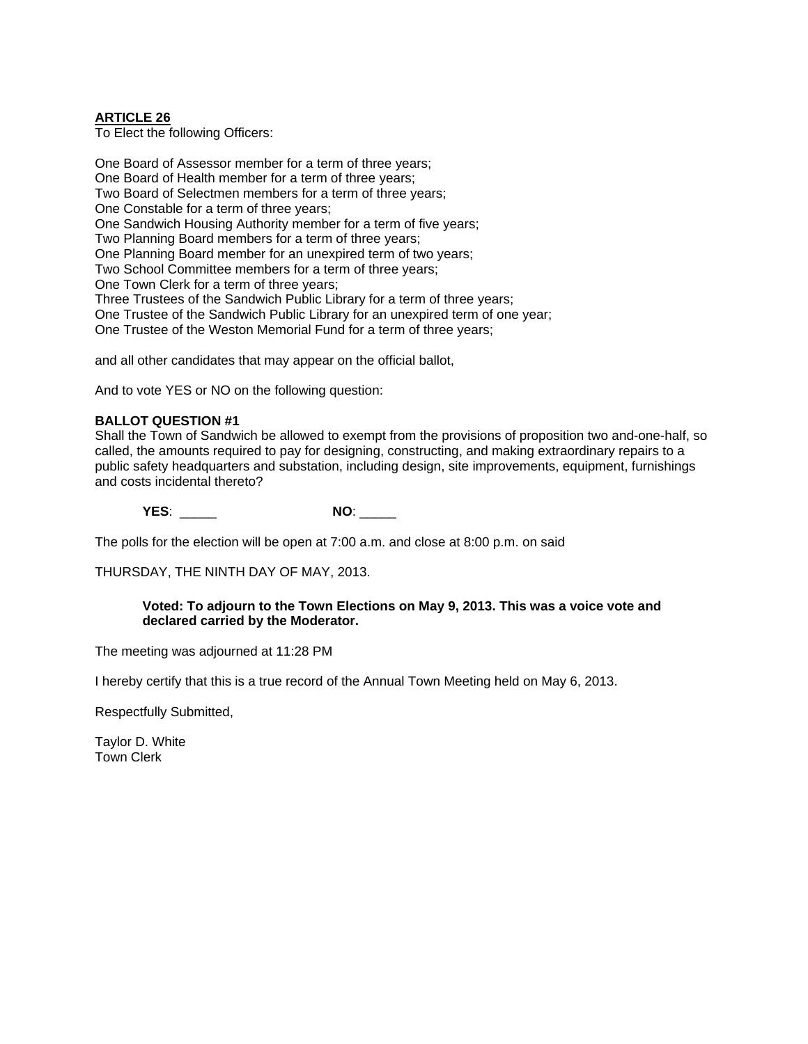#### **ARTICLE 26**

To Elect the following Officers:

One Board of Assessor member for a term of three years; One Board of Health member for a term of three years; Two Board of Selectmen members for a term of three years; One Constable for a term of three years; One Sandwich Housing Authority member for a term of five years; Two Planning Board members for a term of three years; One Planning Board member for an unexpired term of two years; Two School Committee members for a term of three years; One Town Clerk for a term of three years; Three Trustees of the Sandwich Public Library for a term of three years; One Trustee of the Sandwich Public Library for an unexpired term of one year; One Trustee of the Weston Memorial Fund for a term of three years; and all other candidates that may appear on the official ballot,

And to vote YES or NO on the following question:

#### **BALLOT QUESTION #1**

Shall the Town of Sandwich be allowed to exempt from the provisions of proposition two and-one-half, so called, the amounts required to pay for designing, constructing, and making extraordinary repairs to a public safety headquarters and substation, including design, site improvements, equipment, furnishings and costs incidental thereto?

**YES**: \_\_\_\_\_ **NO**: \_\_\_\_\_

The polls for the election will be open at 7:00 a.m. and close at 8:00 p.m. on said

THURSDAY, THE NINTH DAY OF MAY, 2013.

#### **Voted: To adjourn to the Town Elections on May 9, 2013. This was a voice vote and declared carried by the Moderator.**

The meeting was adjourned at 11:28 PM

I hereby certify that this is a true record of the Annual Town Meeting held on May 6, 2013.

Respectfully Submitted,

Taylor D. White Town Clerk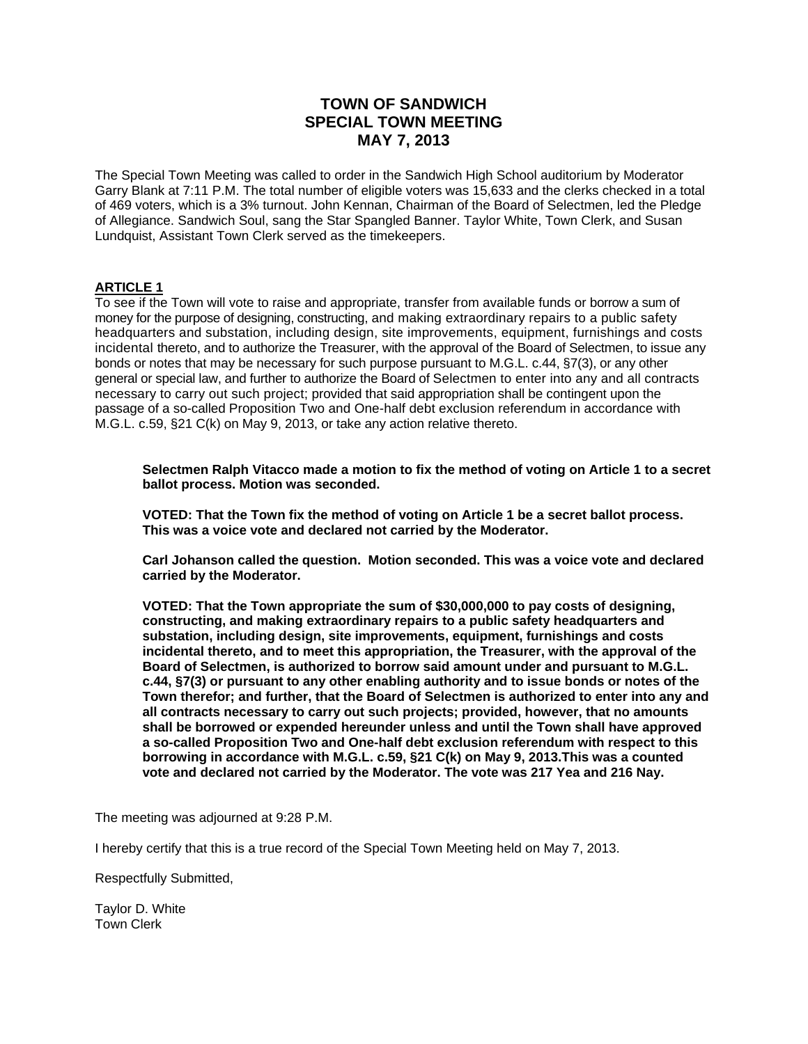# **TOWN OF SANDWICH SPECIAL TOWN MEETING MAY 7, 2013**

The Special Town Meeting was called to order in the Sandwich High School auditorium by Moderator Garry Blank at 7:11 P.M. The total number of eligible voters was 15,633 and the clerks checked in a total of 469 voters, which is a 3% turnout. John Kennan, Chairman of the Board of Selectmen, led the Pledge of Allegiance. Sandwich Soul, sang the Star Spangled Banner. Taylor White, Town Clerk, and Susan Lundquist, Assistant Town Clerk served as the timekeepers.

#### **ARTICLE 1**

To see if the Town will vote to raise and appropriate, transfer from available funds or borrow a sum of money for the purpose of designing, constructing, and making extraordinary repairs to a public safety headquarters and substation, including design, site improvements, equipment, furnishings and costs incidental thereto, and to authorize the Treasurer, with the approval of the Board of Selectmen, to issue any bonds or notes that may be necessary for such purpose pursuant to M.G.L. c.44, §7(3), or any other general or special law, and further to authorize the Board of Selectmen to enter into any and all contracts necessary to carry out such project; provided that said appropriation shall be contingent upon the passage of a so-called Proposition Two and One-half debt exclusion referendum in accordance with M.G.L. c.59, §21 C(k) on May 9, 2013, or take any action relative thereto.

**Selectmen Ralph Vitacco made a motion to fix the method of voting on Article 1 to a secret ballot process. Motion was seconded.** 

**VOTED: That the Town fix the method of voting on Article 1 be a secret ballot process. This was a voice vote and declared not carried by the Moderator.** 

**Carl Johanson called the question. Motion seconded. This was a voice vote and declared carried by the Moderator.** 

**VOTED: That the Town appropriate the sum of \$30,000,000 to pay costs of designing, constructing, and making extraordinary repairs to a public safety headquarters and substation, including design, site improvements, equipment, furnishings and costs incidental thereto, and to meet this appropriation, the Treasurer, with the approval of the Board of Selectmen, is authorized to borrow said amount under and pursuant to M.G.L. c.44, §7(3) or pursuant to any other enabling authority and to issue bonds or notes of the Town therefor; and further, that the Board of Selectmen is authorized to enter into any and all contracts necessary to carry out such projects; provided, however, that no amounts shall be borrowed or expended hereunder unless and until the Town shall have approved a so-called Proposition Two and One-half debt exclusion referendum with respect to this borrowing in accordance with M.G.L. c.59, §21 C(k) on May 9, 2013.This was a counted vote and declared not carried by the Moderator. The vote was 217 Yea and 216 Nay.** 

The meeting was adjourned at 9:28 P.M.

I hereby certify that this is a true record of the Special Town Meeting held on May 7, 2013.

Respectfully Submitted,

Taylor D. White Town Clerk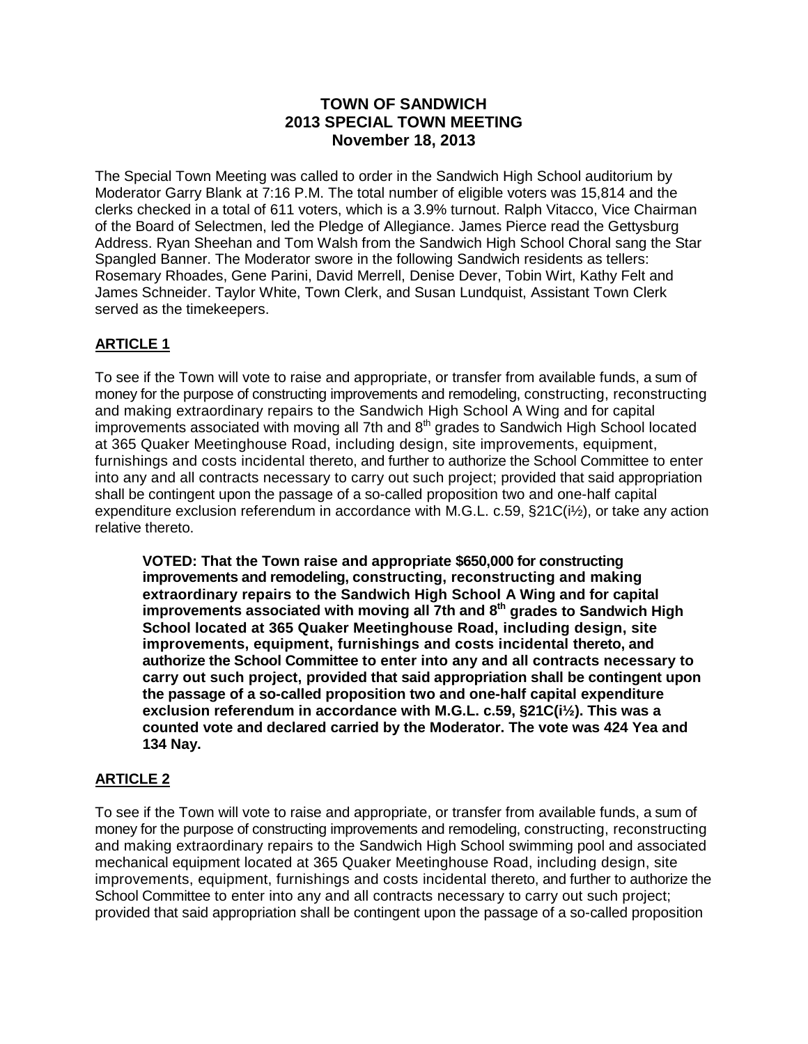# **TOWN OF SANDWICH 2013 SPECIAL TOWN MEETING November 18, 2013**

The Special Town Meeting was called to order in the Sandwich High School auditorium by Moderator Garry Blank at 7:16 P.M. The total number of eligible voters was 15,814 and the clerks checked in a total of 611 voters, which is a 3.9% turnout. Ralph Vitacco, Vice Chairman of the Board of Selectmen, led the Pledge of Allegiance. James Pierce read the Gettysburg Address. Ryan Sheehan and Tom Walsh from the Sandwich High School Choral sang the Star Spangled Banner. The Moderator swore in the following Sandwich residents as tellers: Rosemary Rhoades, Gene Parini, David Merrell, Denise Dever, Tobin Wirt, Kathy Felt and James Schneider. Taylor White, Town Clerk, and Susan Lundquist, Assistant Town Clerk served as the timekeepers.

# **ARTICLE 1**

To see if the Town will vote to raise and appropriate, or transfer from available funds, a sum of money for the purpose of constructing improvements and remodeling, constructing, reconstructing and making extraordinary repairs to the Sandwich High School A Wing and for capital improvements associated with moving all 7th and 8<sup>th</sup> grades to Sandwich High School located at 365 Quaker Meetinghouse Road, including design, site improvements, equipment, furnishings and costs incidental thereto, and further to authorize the School Committee to enter into any and all contracts necessary to carry out such project; provided that said appropriation shall be contingent upon the passage of a so-called proposition two and one-half capital expenditure exclusion referendum in accordance with M.G.L. c.59, §21C(i½), or take any action relative thereto.

**VOTED: That the Town raise and appropriate \$650,000 for constructing improvements and remodeling, constructing, reconstructing and making extraordinary repairs to the Sandwich High School A Wing and for capital improvements associated with moving all 7th and 8th grades to Sandwich High School located at 365 Quaker Meetinghouse Road, including design, site improvements, equipment, furnishings and costs incidental thereto, and authorize the School Committee to enter into any and all contracts necessary to carry out such project, provided that said appropriation shall be contingent upon the passage of a so-called proposition two and one-half capital expenditure exclusion referendum in accordance with M.G.L. c.59, §21C(i½). This was a counted vote and declared carried by the Moderator. The vote was 424 Yea and 134 Nay.**

# **ARTICLE 2**

To see if the Town will vote to raise and appropriate, or transfer from available funds, a sum of money for the purpose of constructing improvements and remodeling, constructing, reconstructing and making extraordinary repairs to the Sandwich High School swimming pool and associated mechanical equipment located at 365 Quaker Meetinghouse Road, including design, site improvements, equipment, furnishings and costs incidental thereto, and further to authorize the School Committee to enter into any and all contracts necessary to carry out such project; provided that said appropriation shall be contingent upon the passage of a so-called proposition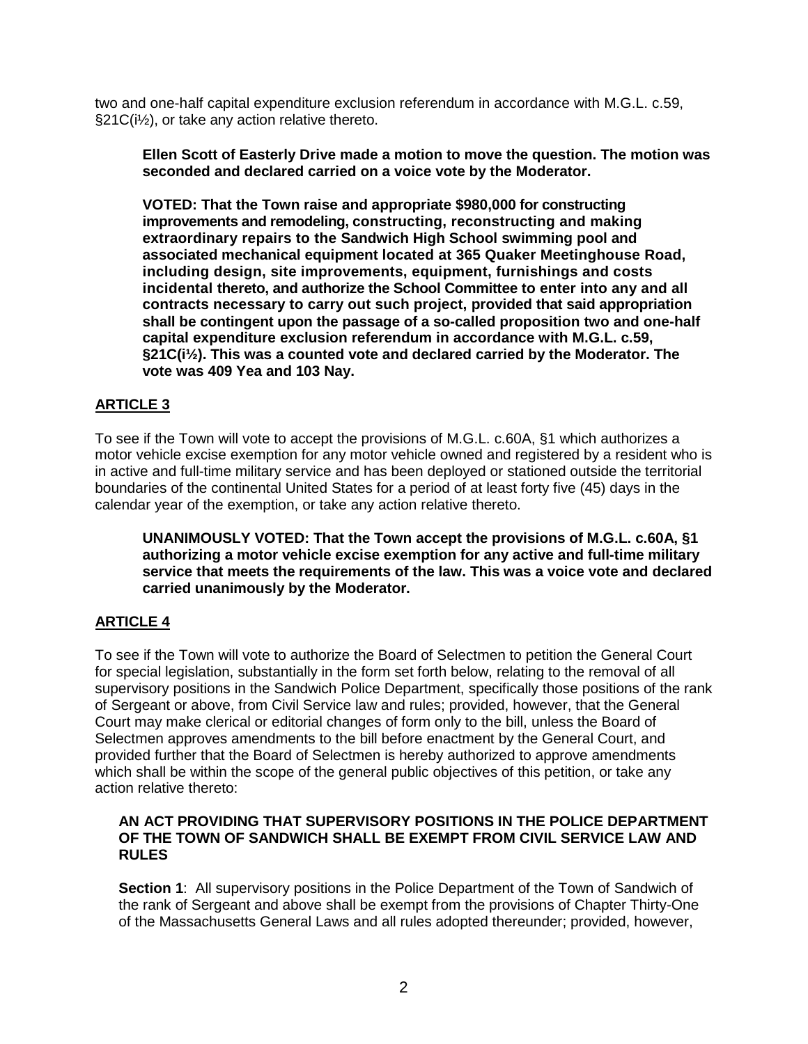two and one-half capital expenditure exclusion referendum in accordance with M.G.L. c.59, §21C(i½), or take any action relative thereto.

**Ellen Scott of Easterly Drive made a motion to move the question. The motion was seconded and declared carried on a voice vote by the Moderator.**

**VOTED: That the Town raise and appropriate \$980,000 for constructing improvements and remodeling, constructing, reconstructing and making extraordinary repairs to the Sandwich High School swimming pool and associated mechanical equipment located at 365 Quaker Meetinghouse Road, including design, site improvements, equipment, furnishings and costs incidental thereto, and authorize the School Committee to enter into any and all contracts necessary to carry out such project, provided that said appropriation shall be contingent upon the passage of a so-called proposition two and one-half capital expenditure exclusion referendum in accordance with M.G.L. c.59, §21C(i½). This was a counted vote and declared carried by the Moderator. The vote was 409 Yea and 103 Nay.**

# **ARTICLE 3**

To see if the Town will vote to accept the provisions of M.G.L. c.60A, §1 which authorizes a motor vehicle excise exemption for any motor vehicle owned and registered by a resident who is in active and full-time military service and has been deployed or stationed outside the territorial boundaries of the continental United States for a period of at least forty five (45) days in the calendar year of the exemption, or take any action relative thereto.

**UNANIMOUSLY VOTED: That the Town accept the provisions of M.G.L. c.60A, §1 authorizing a motor vehicle excise exemption for any active and full-time military service that meets the requirements of the law. This was a voice vote and declared carried unanimously by the Moderator.**

# **ARTICLE 4**

To see if the Town will vote to authorize the Board of Selectmen to petition the General Court for special legislation, substantially in the form set forth below, relating to the removal of all supervisory positions in the Sandwich Police Department, specifically those positions of the rank of Sergeant or above, from Civil Service law and rules; provided, however, that the General Court may make clerical or editorial changes of form only to the bill, unless the Board of Selectmen approves amendments to the bill before enactment by the General Court, and provided further that the Board of Selectmen is hereby authorized to approve amendments which shall be within the scope of the general public objectives of this petition, or take any action relative thereto:

## **AN ACT PROVIDING THAT SUPERVISORY POSITIONS IN THE POLICE DEPARTMENT OF THE TOWN OF SANDWICH SHALL BE EXEMPT FROM CIVIL SERVICE LAW AND RULES**

**Section 1**: All supervisory positions in the Police Department of the Town of Sandwich of the rank of Sergeant and above shall be exempt from the provisions of Chapter Thirty-One of the Massachusetts General Laws and all rules adopted thereunder; provided, however,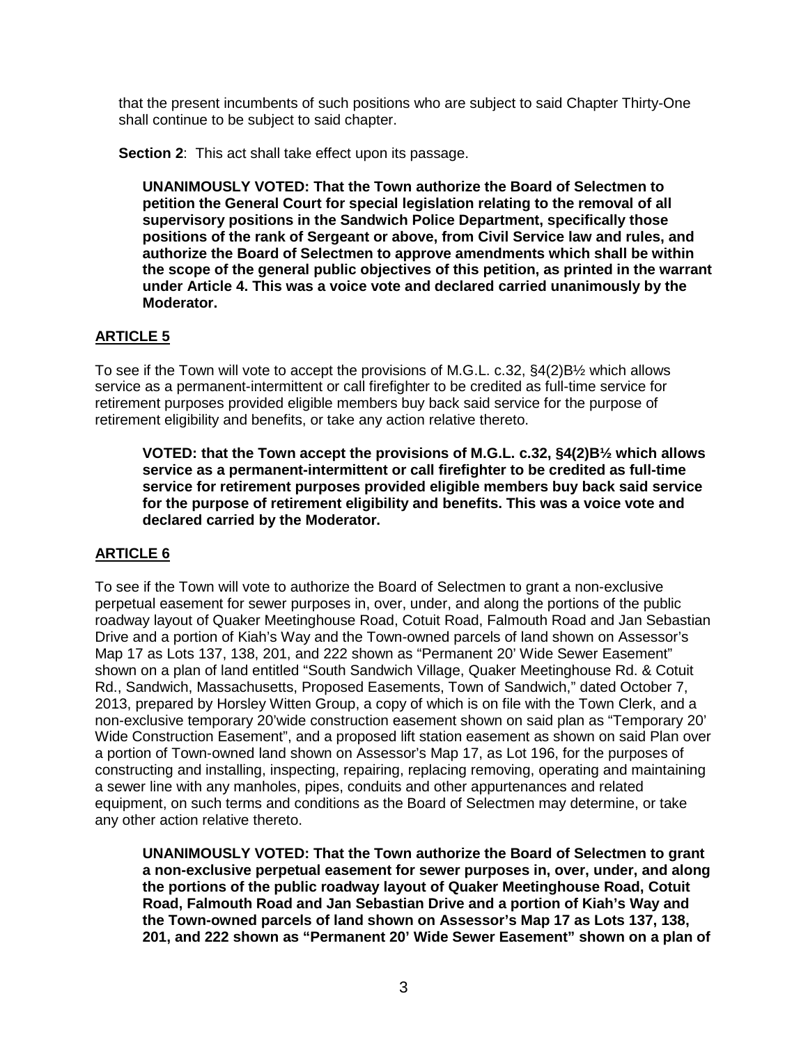that the present incumbents of such positions who are subject to said Chapter Thirty-One shall continue to be subject to said chapter.

**Section 2:** This act shall take effect upon its passage.

**UNANIMOUSLY VOTED: That the Town authorize the Board of Selectmen to petition the General Court for special legislation relating to the removal of all supervisory positions in the Sandwich Police Department, specifically those positions of the rank of Sergeant or above, from Civil Service law and rules, and authorize the Board of Selectmen to approve amendments which shall be within the scope of the general public objectives of this petition, as printed in the warrant under Article 4. This was a voice vote and declared carried unanimously by the Moderator.**

# **ARTICLE 5**

To see if the Town will vote to accept the provisions of M.G.L. c.32, §4(2)B½ which allows service as a permanent-intermittent or call firefighter to be credited as full-time service for retirement purposes provided eligible members buy back said service for the purpose of retirement eligibility and benefits, or take any action relative thereto.

**VOTED: that the Town accept the provisions of M.G.L. c.32, §4(2)B½ which allows service as a permanent-intermittent or call firefighter to be credited as full-time service for retirement purposes provided eligible members buy back said service for the purpose of retirement eligibility and benefits. This was a voice vote and declared carried by the Moderator.**

# **ARTICLE 6**

To see if the Town will vote to authorize the Board of Selectmen to grant a non-exclusive perpetual easement for sewer purposes in, over, under, and along the portions of the public roadway layout of Quaker Meetinghouse Road, Cotuit Road, Falmouth Road and Jan Sebastian Drive and a portion of Kiah's Way and the Town-owned parcels of land shown on Assessor's Map 17 as Lots 137, 138, 201, and 222 shown as "Permanent 20' Wide Sewer Easement" shown on a plan of land entitled "South Sandwich Village, Quaker Meetinghouse Rd. & Cotuit Rd., Sandwich, Massachusetts, Proposed Easements, Town of Sandwich," dated October 7, 2013, prepared by Horsley Witten Group, a copy of which is on file with the Town Clerk, and a non-exclusive temporary 20'wide construction easement shown on said plan as "Temporary 20' Wide Construction Easement", and a proposed lift station easement as shown on said Plan over a portion of Town-owned land shown on Assessor's Map 17, as Lot 196, for the purposes of constructing and installing, inspecting, repairing, replacing removing, operating and maintaining a sewer line with any manholes, pipes, conduits and other appurtenances and related equipment, on such terms and conditions as the Board of Selectmen may determine, or take any other action relative thereto.

**UNANIMOUSLY VOTED: That the Town authorize the Board of Selectmen to grant a non-exclusive perpetual easement for sewer purposes in, over, under, and along the portions of the public roadway layout of Quaker Meetinghouse Road, Cotuit Road, Falmouth Road and Jan Sebastian Drive and a portion of Kiah's Way and the Town-owned parcels of land shown on Assessor's Map 17 as Lots 137, 138, 201, and 222 shown as "Permanent 20' Wide Sewer Easement" shown on a plan of**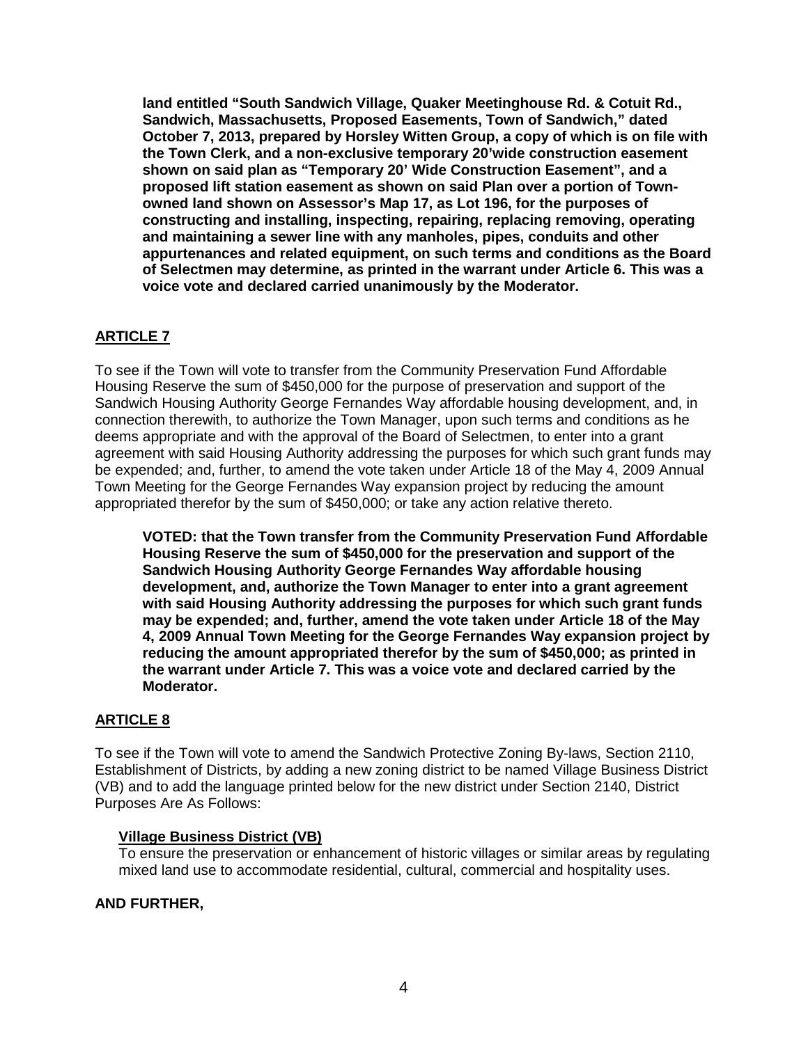**land entitled "South Sandwich Village, Quaker Meetinghouse Rd. & Cotuit Rd., Sandwich, Massachusetts, Proposed Easements, Town of Sandwich," dated October 7, 2013, prepared by Horsley Witten Group, a copy of which is on file with the Town Clerk, and a non-exclusive temporary 20'wide construction easement shown on said plan as "Temporary 20' Wide Construction Easement", and a proposed lift station easement as shown on said Plan over a portion of Townowned land shown on Assessor's Map 17, as Lot 196, for the purposes of constructing and installing, inspecting, repairing, replacing removing, operating and maintaining a sewer line with any manholes, pipes, conduits and other appurtenances and related equipment, on such terms and conditions as the Board of Selectmen may determine, as printed in the warrant under Article 6. This was a voice vote and declared carried unanimously by the Moderator.**

# **ARTICLE 7**

To see if the Town will vote to transfer from the Community Preservation Fund Affordable Housing Reserve the sum of \$450,000 for the purpose of preservation and support of the Sandwich Housing Authority George Fernandes Way affordable housing development, and, in connection therewith, to authorize the Town Manager, upon such terms and conditions as he deems appropriate and with the approval of the Board of Selectmen, to enter into a grant agreement with said Housing Authority addressing the purposes for which such grant funds may be expended; and, further, to amend the vote taken under Article 18 of the May 4, 2009 Annual Town Meeting for the George Fernandes Way expansion project by reducing the amount appropriated therefor by the sum of \$450,000; or take any action relative thereto.

**VOTED: that the Town transfer from the Community Preservation Fund Affordable Housing Reserve the sum of \$450,000 for the preservation and support of the Sandwich Housing Authority George Fernandes Way affordable housing development, and, authorize the Town Manager to enter into a grant agreement with said Housing Authority addressing the purposes for which such grant funds may be expended; and, further, amend the vote taken under Article 18 of the May 4, 2009 Annual Town Meeting for the George Fernandes Way expansion project by reducing the amount appropriated therefor by the sum of \$450,000; as printed in the warrant under Article 7. This was a voice vote and declared carried by the Moderator.** 

## **ARTICLE 8**

To see if the Town will vote to amend the Sandwich Protective Zoning By-laws, Section 2110, Establishment of Districts, by adding a new zoning district to be named Village Business District (VB) and to add the language printed below for the new district under Section 2140, District Purposes Are As Follows:

## **Village Business District (VB)**

To ensure the preservation or enhancement of historic villages or similar areas by regulating mixed land use to accommodate residential, cultural, commercial and hospitality uses.

## **AND FURTHER,**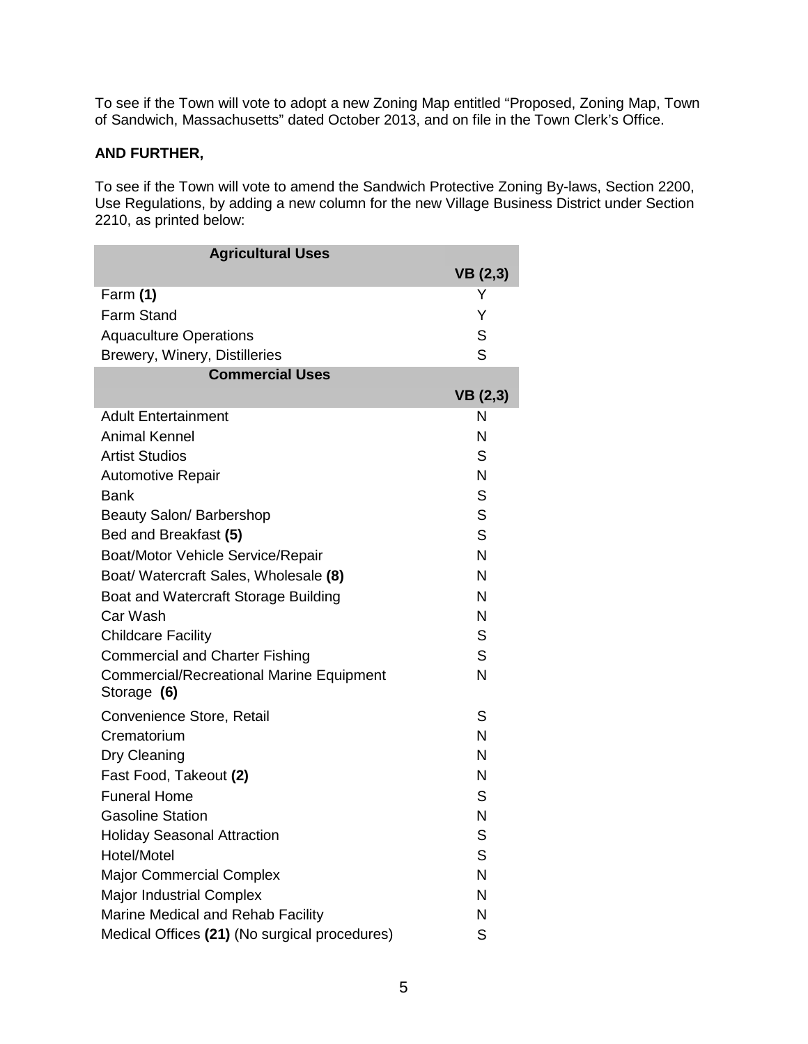To see if the Town will vote to adopt a new Zoning Map entitled "Proposed, Zoning Map, Town of Sandwich, Massachusetts" dated October 2013, and on file in the Town Clerk's Office.

# **AND FURTHER,**

To see if the Town will vote to amend the Sandwich Protective Zoning By-laws, Section 2200, Use Regulations, by adding a new column for the new Village Business District under Section 2210, as printed below:

| <b>Agricultural Uses</b>                        |                 |
|-------------------------------------------------|-----------------|
|                                                 | <b>VB</b> (2,3) |
| Farm (1)                                        | Y               |
| <b>Farm Stand</b>                               | Y               |
| <b>Aquaculture Operations</b>                   | S               |
| Brewery, Winery, Distilleries                   | S               |
| <b>Commercial Uses</b>                          |                 |
|                                                 | VB(2,3)         |
| <b>Adult Entertainment</b>                      | N               |
| <b>Animal Kennel</b>                            | N               |
| <b>Artist Studios</b>                           | S               |
| <b>Automotive Repair</b>                        | N               |
| <b>Bank</b>                                     | S               |
| Beauty Salon/ Barbershop                        | S               |
| Bed and Breakfast (5)                           | S               |
| Boat/Motor Vehicle Service/Repair               | N               |
| Boat/ Watercraft Sales, Wholesale (8)           | N               |
| Boat and Watercraft Storage Building            | N               |
| Car Wash                                        | N               |
| <b>Childcare Facility</b>                       | S               |
| <b>Commercial and Charter Fishing</b>           | S               |
| <b>Commercial/Recreational Marine Equipment</b> | $\mathsf{N}$    |
| Storage (6)                                     |                 |
| Convenience Store, Retail                       | S               |
| Crematorium                                     | N               |
| Dry Cleaning                                    | N               |
| Fast Food, Takeout (2)                          | N               |
| <b>Funeral Home</b>                             | S               |
| <b>Gasoline Station</b>                         | N               |
| <b>Holiday Seasonal Attraction</b>              | S               |
| Hotel/Motel                                     | S               |
| <b>Major Commercial Complex</b>                 | N               |
| <b>Major Industrial Complex</b>                 | N               |
| Marine Medical and Rehab Facility               | N               |
| Medical Offices (21) (No surgical procedures)   | S               |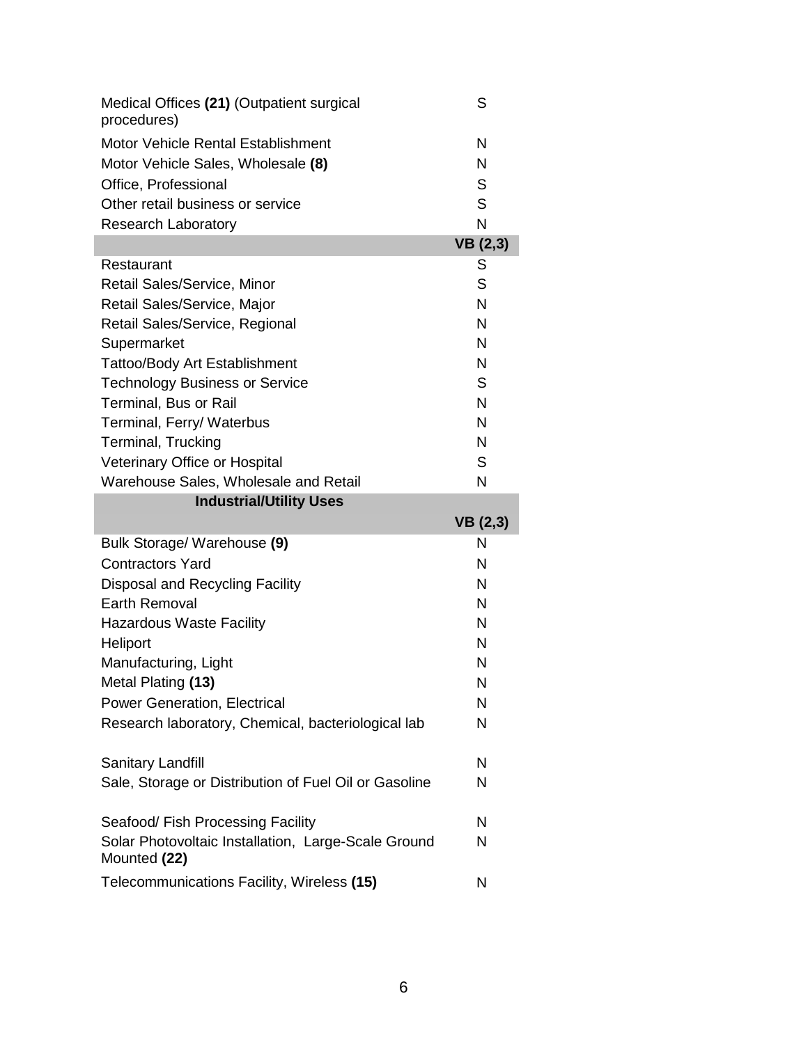| Medical Offices (21) (Outpatient surgical<br>procedures)                   | S               |
|----------------------------------------------------------------------------|-----------------|
| Motor Vehicle Rental Establishment                                         | N               |
| Motor Vehicle Sales, Wholesale (8)                                         | N               |
| Office, Professional                                                       | S               |
| Other retail business or service                                           | S               |
| <b>Research Laboratory</b>                                                 | N               |
|                                                                            | <b>VB</b> (2,3) |
| Restaurant                                                                 | S               |
| Retail Sales/Service, Minor                                                | S               |
| Retail Sales/Service, Major                                                | N               |
| Retail Sales/Service, Regional                                             | N               |
| Supermarket                                                                | N               |
| <b>Tattoo/Body Art Establishment</b>                                       | N               |
| <b>Technology Business or Service</b>                                      | S               |
| Terminal, Bus or Rail                                                      | N               |
| Terminal, Ferry/ Waterbus                                                  | N               |
| Terminal, Trucking                                                         | N               |
| Veterinary Office or Hospital                                              | S               |
| Warehouse Sales, Wholesale and Retail                                      | N               |
|                                                                            |                 |
|                                                                            |                 |
| <b>Industrial/Utility Uses</b>                                             |                 |
|                                                                            | VB(2,3)<br>N    |
| Bulk Storage/ Warehouse (9)                                                | N               |
| <b>Contractors Yard</b>                                                    | N               |
| Disposal and Recycling Facility                                            |                 |
| <b>Earth Removal</b>                                                       | N               |
| <b>Hazardous Waste Facility</b>                                            | N<br>N          |
| Heliport                                                                   |                 |
| Manufacturing, Light                                                       | Ν               |
| Metal Plating (13)                                                         | N               |
| <b>Power Generation, Electrical</b>                                        | N               |
| Research laboratory, Chemical, bacteriological lab                         | N               |
|                                                                            | N               |
| Sanitary Landfill<br>Sale, Storage or Distribution of Fuel Oil or Gasoline | N               |
|                                                                            |                 |
| Seafood/ Fish Processing Facility                                          | N               |
| Solar Photovoltaic Installation, Large-Scale Ground                        | N               |
| Mounted (22)                                                               |                 |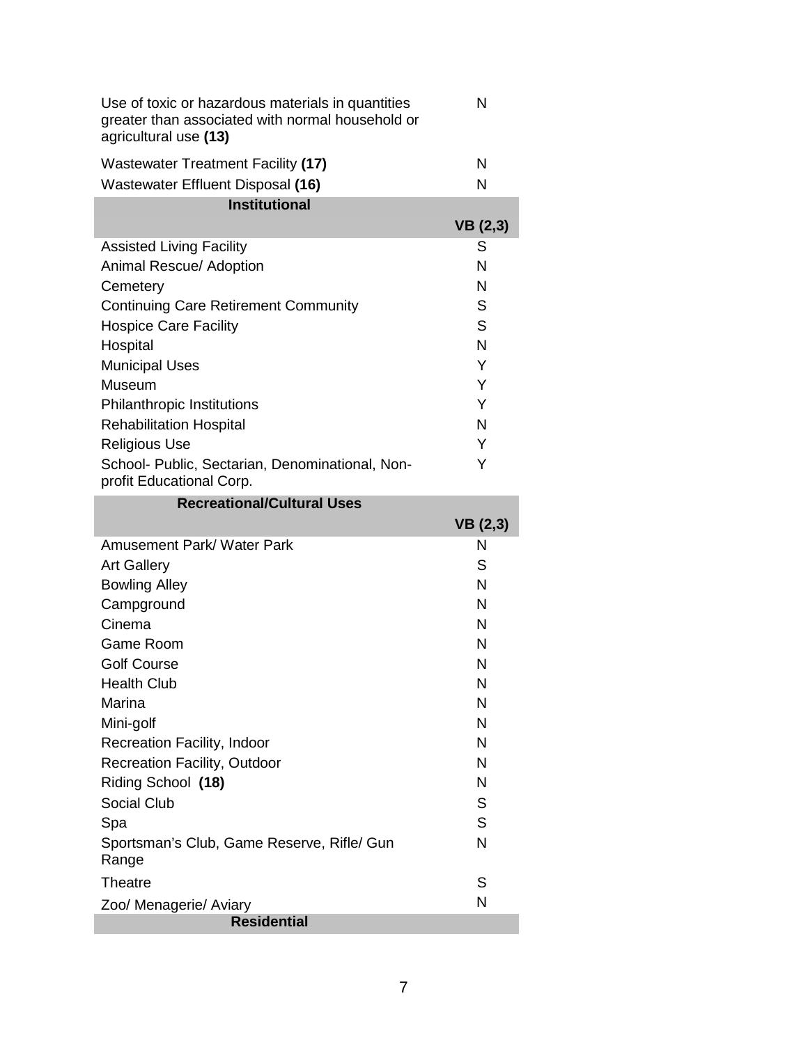| Use of toxic or hazardous materials in quantities<br>greater than associated with normal household or<br>agricultural use (13) | N |
|--------------------------------------------------------------------------------------------------------------------------------|---|
| Wastewater Treatment Facility (17)                                                                                             | N |
| Wastewater Effluent Disposal (16)                                                                                              | N |
| Institutional                                                                                                                  |   |

| 11 13u uu uu 11 11 11                                                       |         |
|-----------------------------------------------------------------------------|---------|
|                                                                             | VB(2,3) |
| <b>Assisted Living Facility</b>                                             | S       |
| Animal Rescue/ Adoption                                                     | N       |
| Cemetery                                                                    | N       |
| <b>Continuing Care Retirement Community</b>                                 | S       |
| <b>Hospice Care Facility</b>                                                | S       |
| Hospital                                                                    | N       |
| <b>Municipal Uses</b>                                                       | Y       |
| Museum                                                                      | Y       |
| <b>Philanthropic Institutions</b>                                           | Y       |
| <b>Rehabilitation Hospital</b>                                              | N       |
| <b>Religious Use</b>                                                        | Y       |
| School- Public, Sectarian, Denominational, Non-<br>profit Educational Corp. | Y       |
| Desvestional/Cultural Lloca                                                 |         |

| Recreational/Cultural USes                          | VB(2,3) |
|-----------------------------------------------------|---------|
| Amusement Park/Water Park                           | N       |
| <b>Art Gallery</b>                                  | S       |
| <b>Bowling Alley</b>                                | N       |
| Campground                                          | N       |
| Cinema                                              | N       |
| Game Room                                           | N       |
| <b>Golf Course</b>                                  | N       |
| <b>Health Club</b>                                  | N       |
| Marina                                              | N       |
| Mini-golf                                           | N       |
| Recreation Facility, Indoor                         | N       |
| <b>Recreation Facility, Outdoor</b>                 | N       |
| Riding School (18)                                  | N       |
| Social Club                                         | S       |
| Spa                                                 | S       |
| Sportsman's Club, Game Reserve, Rifle/ Gun<br>Range | N       |
| Theatre                                             | S       |
| Zoo/ Menagerie/ Aviary                              | N       |
| <b>Residential</b>                                  |         |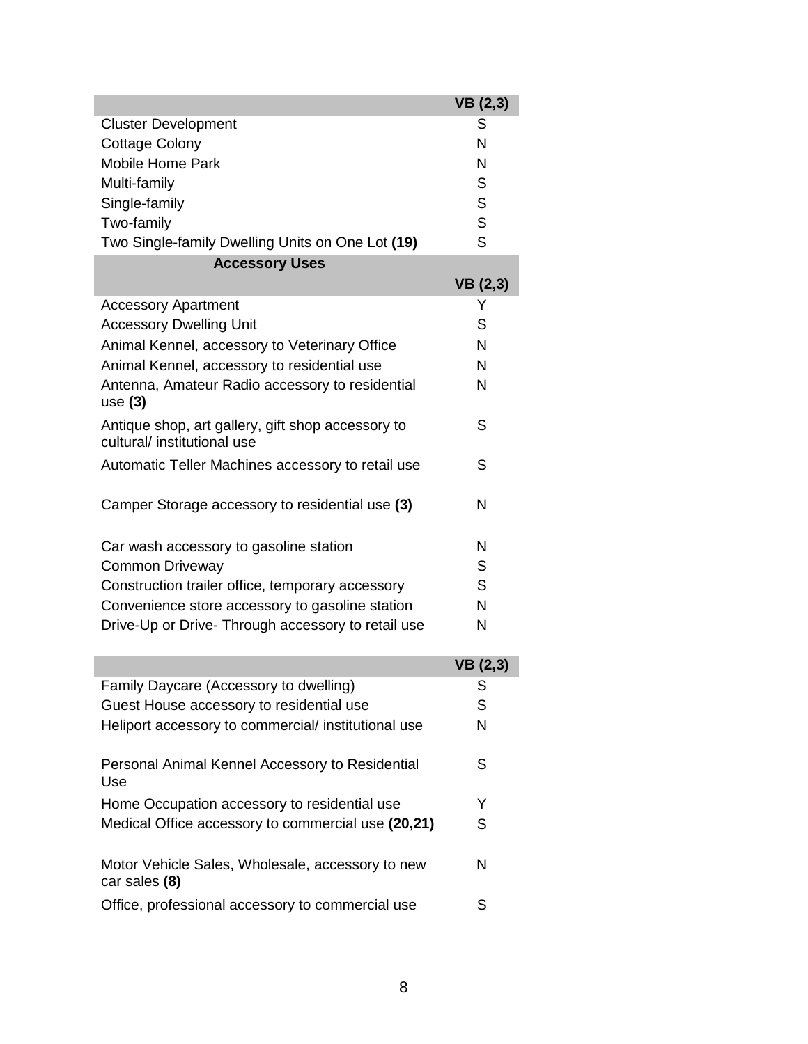|                                                                                  | VB(2,3)         |
|----------------------------------------------------------------------------------|-----------------|
| <b>Cluster Development</b>                                                       | S               |
| <b>Cottage Colony</b>                                                            | N               |
| <b>Mobile Home Park</b>                                                          | N               |
| Multi-family                                                                     | S               |
| Single-family                                                                    | S               |
| Two-family                                                                       | S               |
| Two Single-family Dwelling Units on One Lot (19)                                 | S               |
| <b>Accessory Uses</b>                                                            |                 |
|                                                                                  | <b>VB</b> (2,3) |
| <b>Accessory Apartment</b>                                                       | Y               |
| <b>Accessory Dwelling Unit</b>                                                   | S               |
| Animal Kennel, accessory to Veterinary Office                                    | N               |
| Animal Kennel, accessory to residential use                                      | N               |
| Antenna, Amateur Radio accessory to residential                                  | N               |
| use $(3)$                                                                        |                 |
| Antique shop, art gallery, gift shop accessory to<br>cultural/ institutional use | S               |
| Automatic Teller Machines accessory to retail use                                | S               |
|                                                                                  |                 |
| Camper Storage accessory to residential use (3)                                  | N               |
|                                                                                  |                 |
| Car wash accessory to gasoline station                                           | N               |
| <b>Common Driveway</b>                                                           | S               |
| Construction trailer office, temporary accessory                                 | S               |
| Convenience store accessory to gasoline station                                  | N               |
| Drive-Up or Drive- Through accessory to retail use                               | Ν               |
|                                                                                  |                 |
|                                                                                  | <b>VB</b> (2,3) |
| Family Daycare (Accessory to dwelling)                                           | S               |
| Guest House accessory to residential use                                         | S               |
| Heliport accessory to commercial/ institutional use                              | N               |
| Personal Animal Kennel Accessory to Residential                                  | S               |
| Use                                                                              |                 |
| Home Occupation accessory to residential use                                     | Y               |
| Medical Office accessory to commercial use (20,21)                               | S               |
| Motor Vehicle Sales, Wholesale, accessory to new                                 | Ν               |

car sales **(8)** Office, professional accessory to commercial use S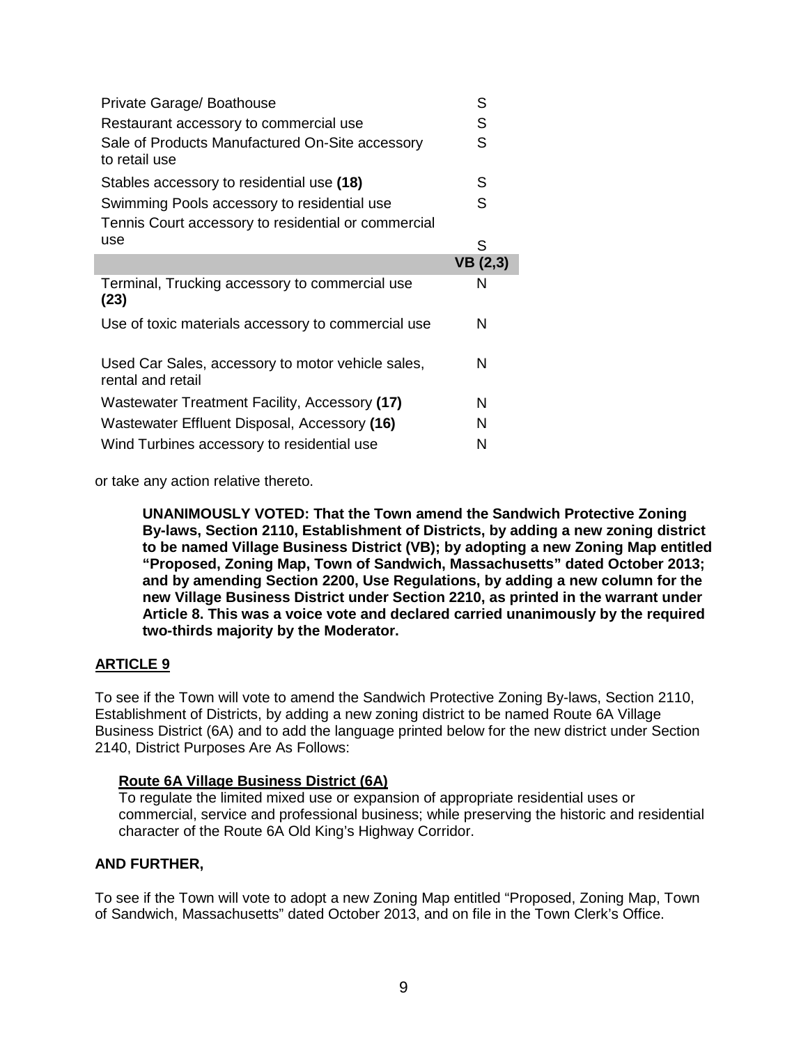| Private Garage/ Boathouse                                              | S       |
|------------------------------------------------------------------------|---------|
| Restaurant accessory to commercial use                                 | S       |
| Sale of Products Manufactured On-Site accessory<br>to retail use       | S       |
| Stables accessory to residential use (18)                              | S       |
| Swimming Pools accessory to residential use                            | S       |
| Tennis Court accessory to residential or commercial                    |         |
| use                                                                    | S       |
|                                                                        | VB(2,3) |
| Terminal, Trucking accessory to commercial use                         | N       |
| (23)                                                                   |         |
| Use of toxic materials accessory to commercial use                     | N       |
| Used Car Sales, accessory to motor vehicle sales,<br>rental and retail | N       |
| Wastewater Treatment Facility, Accessory (17)                          | N       |
| Wastewater Effluent Disposal, Accessory (16)                           | N       |

or take any action relative thereto.

**UNANIMOUSLY VOTED: That the Town amend the Sandwich Protective Zoning By-laws, Section 2110, Establishment of Districts, by adding a new zoning district to be named Village Business District (VB); by adopting a new Zoning Map entitled "Proposed, Zoning Map, Town of Sandwich, Massachusetts" dated October 2013; and by amending Section 2200, Use Regulations, by adding a new column for the new Village Business District under Section 2210, as printed in the warrant under Article 8. This was a voice vote and declared carried unanimously by the required two-thirds majority by the Moderator.**

## **ARTICLE 9**

To see if the Town will vote to amend the Sandwich Protective Zoning By-laws, Section 2110, Establishment of Districts, by adding a new zoning district to be named Route 6A Village Business District (6A) and to add the language printed below for the new district under Section 2140, District Purposes Are As Follows:

#### **Route 6A Village Business District (6A)**

To regulate the limited mixed use or expansion of appropriate residential uses or commercial, service and professional business; while preserving the historic and residential character of the Route 6A Old King's Highway Corridor.

#### **AND FURTHER,**

To see if the Town will vote to adopt a new Zoning Map entitled "Proposed, Zoning Map, Town of Sandwich, Massachusetts" dated October 2013, and on file in the Town Clerk's Office.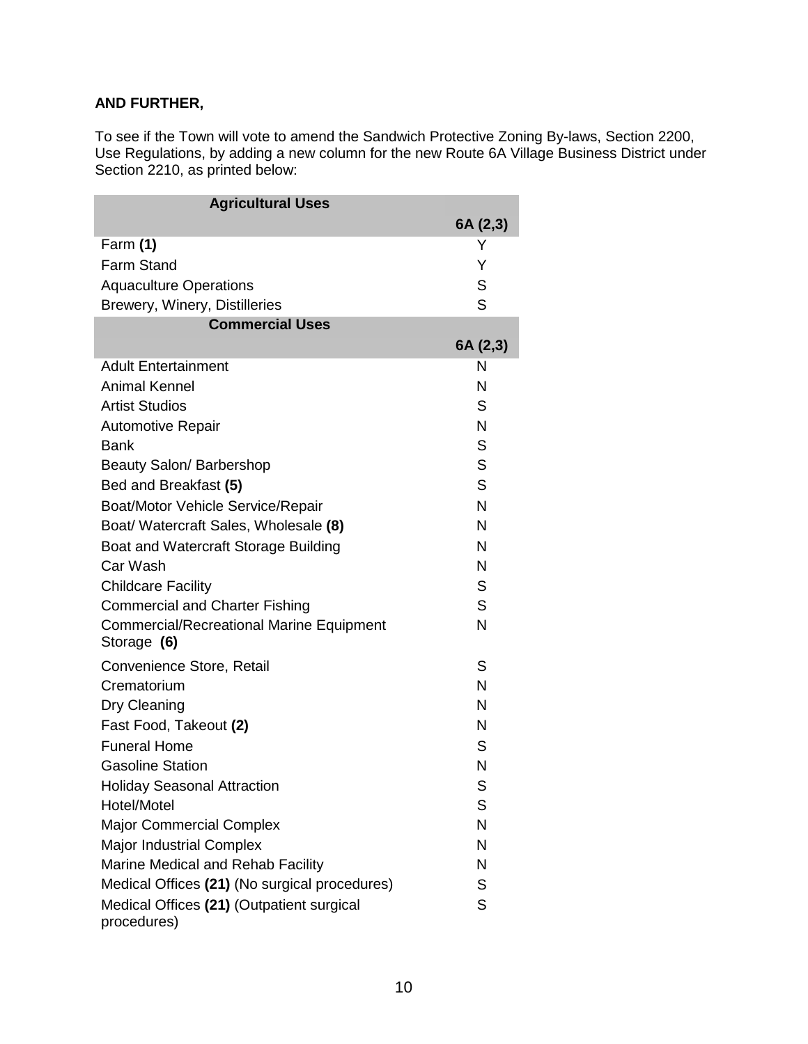# **AND FURTHER,**

To see if the Town will vote to amend the Sandwich Protective Zoning By-laws, Section 2200, Use Regulations, by adding a new column for the new Route 6A Village Business District under Section 2210, as printed below:

| <b>Agricultural Uses</b>                                       |          |
|----------------------------------------------------------------|----------|
|                                                                | 6A (2,3) |
| Farm (1)                                                       | Y        |
| <b>Farm Stand</b>                                              | Y        |
| <b>Aquaculture Operations</b>                                  | S        |
| Brewery, Winery, Distilleries                                  | S        |
| <b>Commercial Uses</b>                                         |          |
|                                                                | 6A (2,3) |
| <b>Adult Entertainment</b>                                     | N        |
| <b>Animal Kennel</b>                                           | N        |
| <b>Artist Studios</b>                                          | S        |
| Automotive Repair                                              | N        |
| Bank                                                           | S        |
| Beauty Salon/ Barbershop                                       | S        |
| Bed and Breakfast (5)                                          | S        |
| <b>Boat/Motor Vehicle Service/Repair</b>                       | N        |
| Boat/ Watercraft Sales, Wholesale (8)                          | N        |
| Boat and Watercraft Storage Building                           | N        |
| Car Wash                                                       | N        |
| <b>Childcare Facility</b>                                      | S        |
| <b>Commercial and Charter Fishing</b>                          | S        |
| <b>Commercial/Recreational Marine Equipment</b><br>Storage (6) | N        |
| Convenience Store, Retail                                      | S        |
| Crematorium                                                    | N        |
| Dry Cleaning                                                   | N        |
| Fast Food, Takeout (2)                                         | N        |
| <b>Funeral Home</b>                                            | S        |
| <b>Gasoline Station</b>                                        | N        |
| <b>Holiday Seasonal Attraction</b>                             | S        |
| Hotel/Motel                                                    | S        |
| <b>Major Commercial Complex</b>                                | N        |
| <b>Major Industrial Complex</b>                                | N        |
| Marine Medical and Rehab Facility                              | N        |
| Medical Offices (21) (No surgical procedures)                  | S        |
| Medical Offices (21) (Outpatient surgical<br>procedures)       | S        |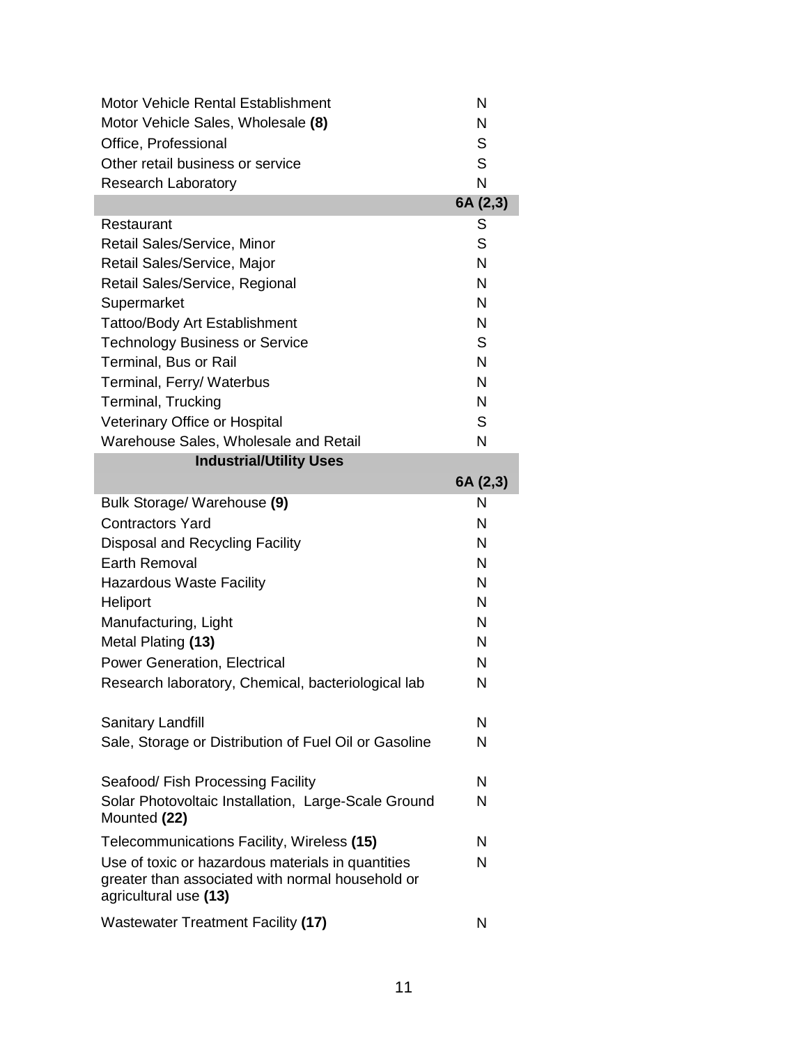| Motor Vehicle Rental Establishment                                                                                             | N        |
|--------------------------------------------------------------------------------------------------------------------------------|----------|
| Motor Vehicle Sales, Wholesale (8)                                                                                             | N        |
| Office, Professional                                                                                                           | S        |
| Other retail business or service                                                                                               | S        |
| <b>Research Laboratory</b>                                                                                                     | N        |
|                                                                                                                                | 6A (2,3) |
| Restaurant                                                                                                                     | S        |
| Retail Sales/Service, Minor                                                                                                    | S        |
| Retail Sales/Service, Major                                                                                                    | N        |
| Retail Sales/Service, Regional                                                                                                 | N        |
| Supermarket                                                                                                                    | N        |
| <b>Tattoo/Body Art Establishment</b>                                                                                           | N        |
| <b>Technology Business or Service</b>                                                                                          | S        |
| Terminal, Bus or Rail                                                                                                          | N        |
| Terminal, Ferry/ Waterbus                                                                                                      | N        |
| Terminal, Trucking                                                                                                             | N        |
| Veterinary Office or Hospital                                                                                                  | S        |
| Warehouse Sales, Wholesale and Retail                                                                                          | N        |
| <b>Industrial/Utility Uses</b>                                                                                                 |          |
|                                                                                                                                | 6A (2,3) |
| Bulk Storage/ Warehouse (9)                                                                                                    | N        |
| <b>Contractors Yard</b>                                                                                                        | N        |
| Disposal and Recycling Facility                                                                                                | N        |
| <b>Earth Removal</b>                                                                                                           | N        |
| <b>Hazardous Waste Facility</b>                                                                                                | N        |
| Heliport                                                                                                                       | N        |
| Manufacturing, Light                                                                                                           | N        |
| Metal Plating (13)                                                                                                             | N        |
| Power Generation, Electrical                                                                                                   | N        |
| Research laboratory, Chemical, bacteriological lab                                                                             | N        |
| Sanitary Landfill                                                                                                              | N        |
| Sale, Storage or Distribution of Fuel Oil or Gasoline                                                                          | N        |
|                                                                                                                                |          |
| Seafood/ Fish Processing Facility                                                                                              | N        |
| Solar Photovoltaic Installation, Large-Scale Ground<br>Mounted (22)                                                            | N        |
| Telecommunications Facility, Wireless (15)                                                                                     | N        |
| Use of toxic or hazardous materials in quantities<br>greater than associated with normal household or<br>agricultural use (13) | N        |
| <b>Wastewater Treatment Facility (17)</b>                                                                                      | N        |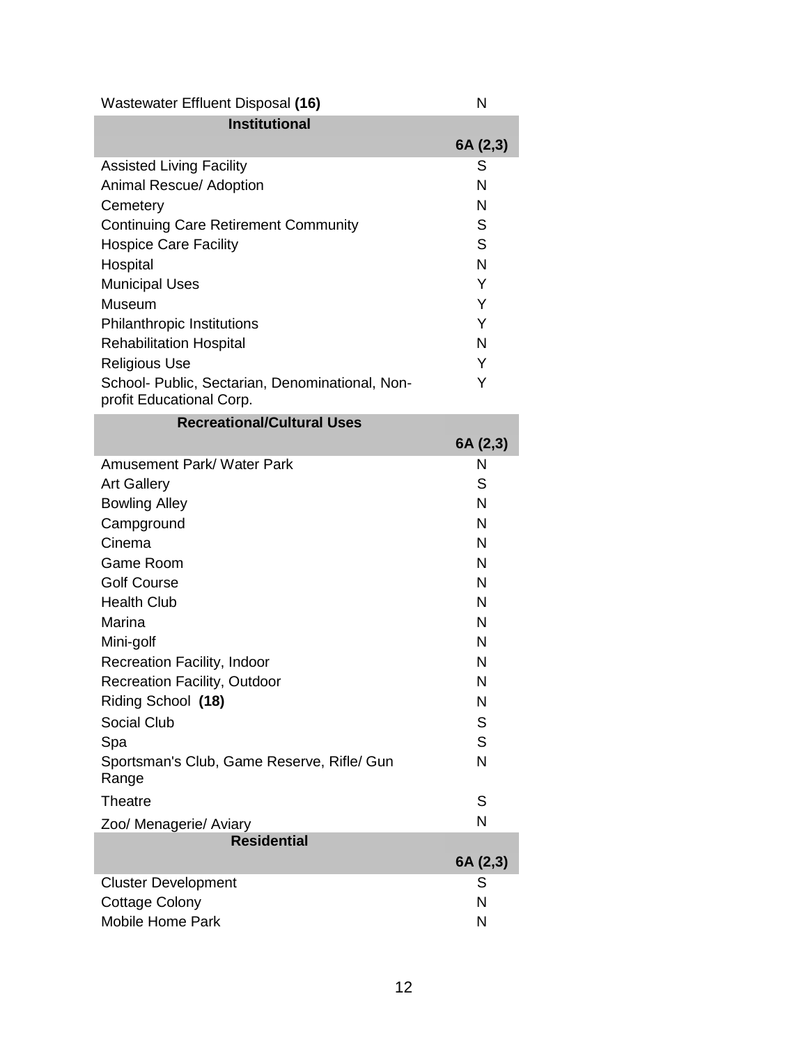| Wastewater Effluent Disposal (16)                                           | N        |
|-----------------------------------------------------------------------------|----------|
| <b>Institutional</b>                                                        |          |
|                                                                             | 6A (2,3) |
| <b>Assisted Living Facility</b>                                             | S        |
| Animal Rescue/ Adoption                                                     | N        |
| Cemetery                                                                    | N        |
| <b>Continuing Care Retirement Community</b>                                 | S        |
| <b>Hospice Care Facility</b>                                                | S        |
| Hospital                                                                    | N        |
| <b>Municipal Uses</b>                                                       | Y        |
| Museum                                                                      | Y        |
| <b>Philanthropic Institutions</b>                                           | Y        |
| <b>Rehabilitation Hospital</b>                                              | N        |
| Religious Use                                                               | Y        |
| School- Public, Sectarian, Denominational, Non-<br>profit Educational Corp. | Y        |
| <b>Recreational/Cultural Uses</b>                                           |          |

| <b>Recreational/Cultural Uses</b>                   |          |
|-----------------------------------------------------|----------|
|                                                     | 6A (2,3) |
| Amusement Park/ Water Park                          | N        |
| <b>Art Gallery</b>                                  | S        |
| <b>Bowling Alley</b>                                | N        |
| Campground                                          | N        |
| Cinema                                              | N        |
| Game Room                                           | N        |
| <b>Golf Course</b>                                  | N        |
| <b>Health Club</b>                                  | N        |
| Marina                                              | N        |
| Mini-golf                                           | N        |
| Recreation Facility, Indoor                         | N        |
| <b>Recreation Facility, Outdoor</b>                 | N        |
| Riding School (18)                                  | N        |
| Social Club                                         | S        |
| Spa                                                 | S        |
| Sportsman's Club, Game Reserve, Rifle/ Gun<br>Range | N        |
| Theatre                                             | S        |
| Zoo/ Menagerie/ Aviary                              | N        |
| <b>Residential</b>                                  |          |
|                                                     | 6A (2,3) |
| <b>Cluster Development</b>                          | S        |
| <b>Cottage Colony</b>                               | N        |
| <b>Mobile Home Park</b>                             | N        |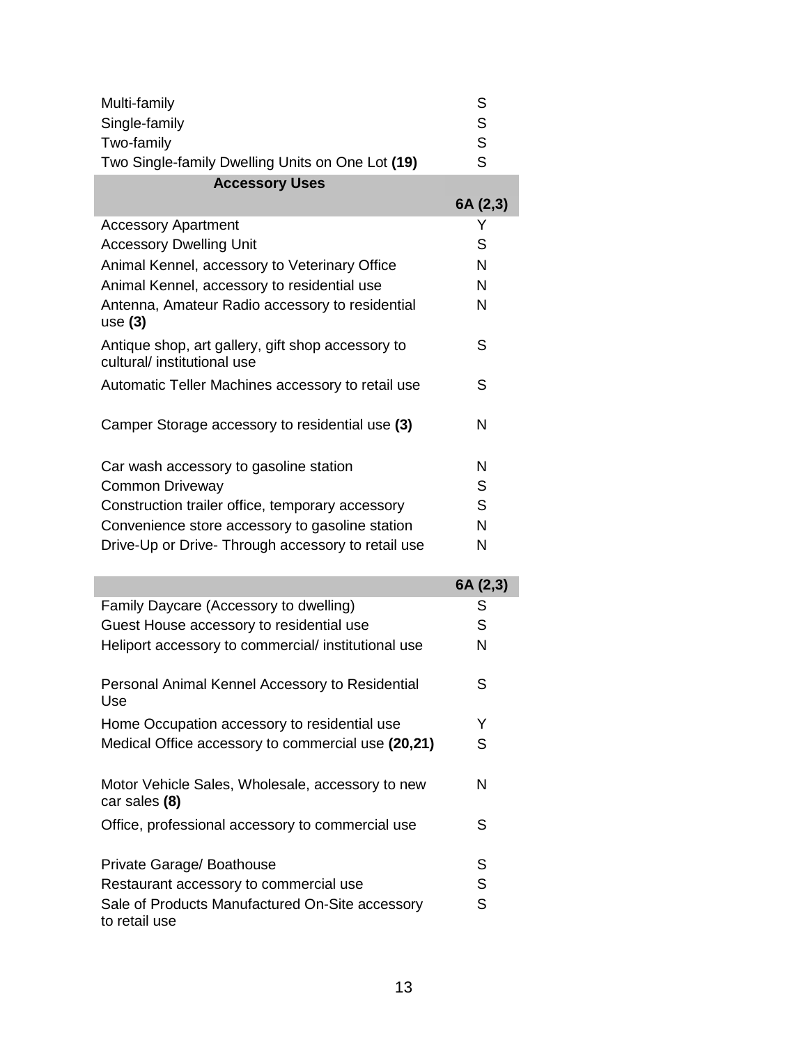| Multi-family                                                                     | S        |
|----------------------------------------------------------------------------------|----------|
| Single-family                                                                    | S        |
| Two-family                                                                       | S        |
| Two Single-family Dwelling Units on One Lot (19)                                 | S        |
| <b>Accessory Uses</b>                                                            |          |
|                                                                                  | 6A (2,3) |
| <b>Accessory Apartment</b>                                                       | Y        |
| <b>Accessory Dwelling Unit</b>                                                   | S        |
| Animal Kennel, accessory to Veterinary Office                                    | N        |
| Animal Kennel, accessory to residential use                                      | N        |
| Antenna, Amateur Radio accessory to residential<br>use $(3)$                     | N        |
| Antique shop, art gallery, gift shop accessory to<br>cultural/ institutional use | S        |
| Automatic Teller Machines accessory to retail use                                | S        |
| Camper Storage accessory to residential use (3)                                  | N        |
| Car wash accessory to gasoline station                                           | N        |
| <b>Common Driveway</b>                                                           | S        |
| Construction trailer office, temporary accessory                                 | S        |
| Convenience store accessory to gasoline station                                  | N        |
| Drive-Up or Drive- Through accessory to retail use                               | N        |
|                                                                                  | 6A (2,3) |
| Family Daycare (Accessory to dwelling)                                           | S        |
| Guest House accessory to residential use                                         | S        |
| Heliport accessory to commercial/ institutional use                              | N        |
| Personal Animal Kennel Accessory to Residential<br>Use                           | S        |
| Home Occupation accessory to residential use                                     | Y        |
| Medical Office accessory to commercial use (20,21)                               | S        |
| Motor Vehicle Sales, Wholesale, accessory to new<br>car sales (8)                | N        |
| Office, professional accessory to commercial use                                 | S        |
| Private Garage/ Boathouse                                                        | S        |
| Restaurant accessory to commercial use                                           | c        |

Restaurant accessory to commercial use S Sale of Products Manufactured On-Site accessory to retail use S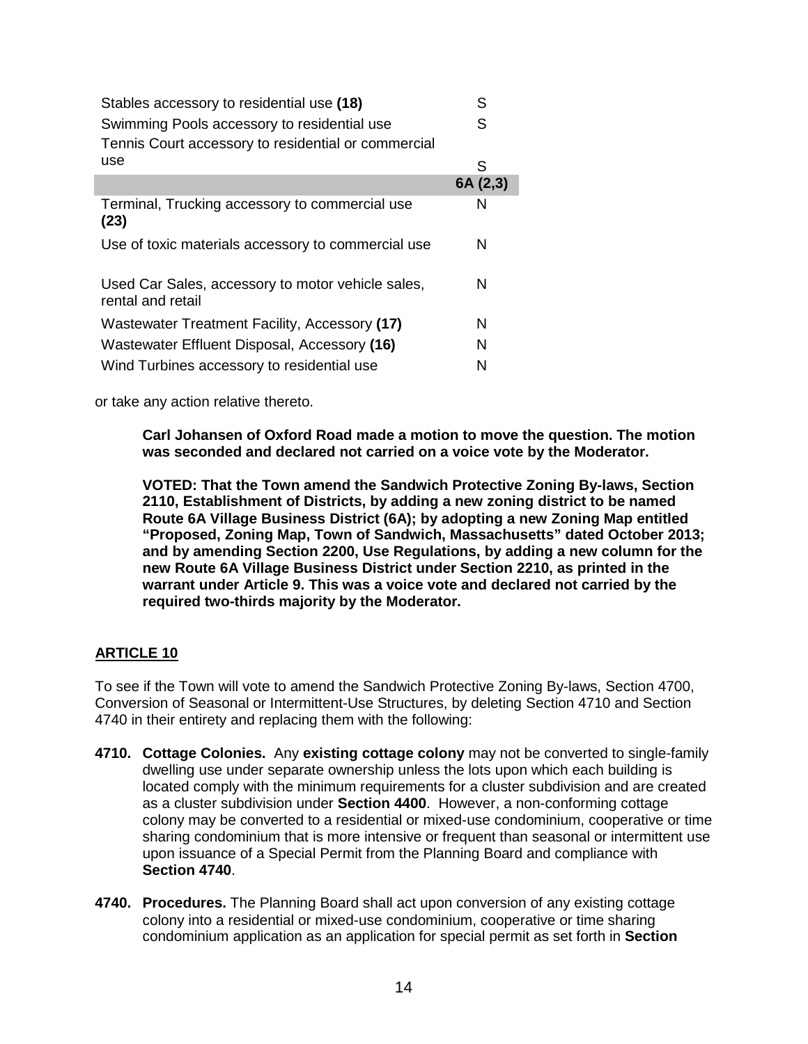| Stables accessory to residential use (18)                              | S        |
|------------------------------------------------------------------------|----------|
| Swimming Pools accessory to residential use                            | S        |
| Tennis Court accessory to residential or commercial                    |          |
| use                                                                    | S        |
|                                                                        | 6A (2,3) |
| Terminal, Trucking accessory to commercial use<br>(23)                 | N        |
| Use of toxic materials accessory to commercial use                     | N        |
| Used Car Sales, accessory to motor vehicle sales,<br>rental and retail | N        |
| Wastewater Treatment Facility, Accessory (17)                          | N        |
| Wastewater Effluent Disposal, Accessory (16)                           | N        |
| Wind Turbines accessory to residential use                             | N        |

or take any action relative thereto.

**Carl Johansen of Oxford Road made a motion to move the question. The motion was seconded and declared not carried on a voice vote by the Moderator.**

**VOTED: That the Town amend the Sandwich Protective Zoning By-laws, Section 2110, Establishment of Districts, by adding a new zoning district to be named Route 6A Village Business District (6A); by adopting a new Zoning Map entitled "Proposed, Zoning Map, Town of Sandwich, Massachusetts" dated October 2013; and by amending Section 2200, Use Regulations, by adding a new column for the new Route 6A Village Business District under Section 2210, as printed in the warrant under Article 9. This was a voice vote and declared not carried by the required two-thirds majority by the Moderator.**

# **ARTICLE 10**

To see if the Town will vote to amend the Sandwich Protective Zoning By-laws, Section 4700, Conversion of Seasonal or Intermittent-Use Structures, by deleting Section 4710 and Section 4740 in their entirety and replacing them with the following:

- **4710. Cottage Colonies.** Any **existing cottage colony** may not be converted to single-family dwelling use under separate ownership unless the lots upon which each building is located comply with the minimum requirements for a cluster subdivision and are created as a cluster subdivision under **Section 4400**. However, a non-conforming cottage colony may be converted to a residential or mixed-use condominium, cooperative or time sharing condominium that is more intensive or frequent than seasonal or intermittent use upon issuance of a Special Permit from the Planning Board and compliance with **Section 4740**.
- **4740. Procedures.** The Planning Board shall act upon conversion of any existing cottage colony into a residential or mixed-use condominium, cooperative or time sharing condominium application as an application for special permit as set forth in **Section**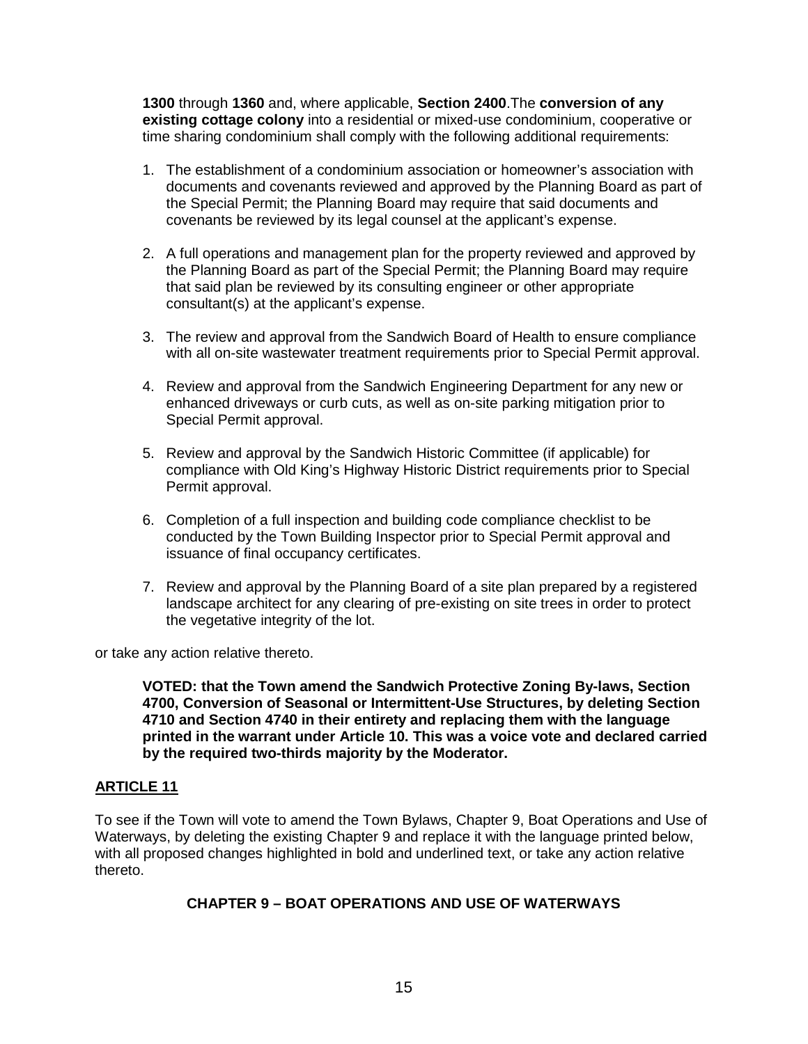**1300** through **1360** and, where applicable, **Section 2400**.The **conversion of any existing cottage colony** into a residential or mixed-use condominium, cooperative or time sharing condominium shall comply with the following additional requirements:

- 1. The establishment of a condominium association or homeowner's association with documents and covenants reviewed and approved by the Planning Board as part of the Special Permit; the Planning Board may require that said documents and covenants be reviewed by its legal counsel at the applicant's expense.
- 2. A full operations and management plan for the property reviewed and approved by the Planning Board as part of the Special Permit; the Planning Board may require that said plan be reviewed by its consulting engineer or other appropriate consultant(s) at the applicant's expense.
- 3. The review and approval from the Sandwich Board of Health to ensure compliance with all on-site wastewater treatment requirements prior to Special Permit approval.
- 4. Review and approval from the Sandwich Engineering Department for any new or enhanced driveways or curb cuts, as well as on-site parking mitigation prior to Special Permit approval.
- 5. Review and approval by the Sandwich Historic Committee (if applicable) for compliance with Old King's Highway Historic District requirements prior to Special Permit approval.
- 6. Completion of a full inspection and building code compliance checklist to be conducted by the Town Building Inspector prior to Special Permit approval and issuance of final occupancy certificates.
- 7. Review and approval by the Planning Board of a site plan prepared by a registered landscape architect for any clearing of pre-existing on site trees in order to protect the vegetative integrity of the lot.

or take any action relative thereto.

**VOTED: that the Town amend the Sandwich Protective Zoning By-laws, Section 4700, Conversion of Seasonal or Intermittent-Use Structures, by deleting Section 4710 and Section 4740 in their entirety and replacing them with the language printed in the warrant under Article 10. This was a voice vote and declared carried by the required two-thirds majority by the Moderator.**

## **ARTICLE 11**

To see if the Town will vote to amend the Town Bylaws, Chapter 9, Boat Operations and Use of Waterways, by deleting the existing Chapter 9 and replace it with the language printed below, with all proposed changes highlighted in bold and underlined text, or take any action relative thereto.

# **CHAPTER 9 – BOAT OPERATIONS AND USE OF WATERWAYS**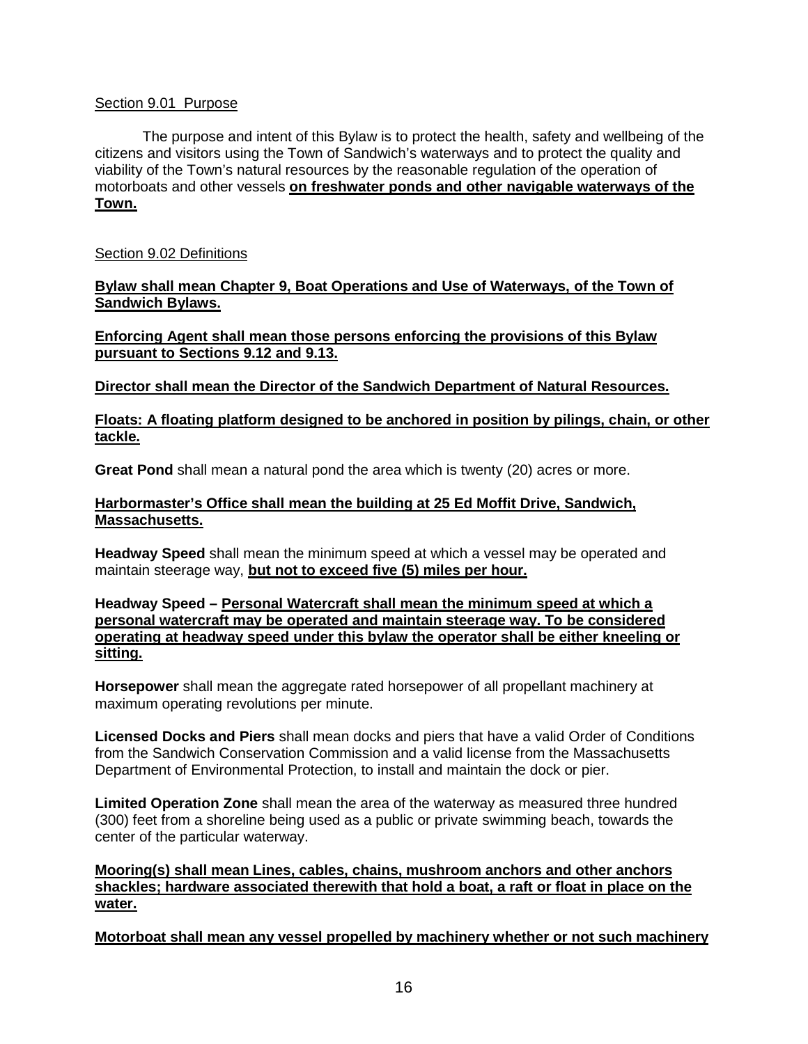## Section 9.01 Purpose

The purpose and intent of this Bylaw is to protect the health, safety and wellbeing of the citizens and visitors using the Town of Sandwich's waterways and to protect the quality and viability of the Town's natural resources by the reasonable regulation of the operation of motorboats and other vessels **on freshwater ponds and other navigable waterways of the Town.**

## Section 9.02 Definitions

**Bylaw shall mean Chapter 9, Boat Operations and Use of Waterways, of the Town of Sandwich Bylaws.**

**Enforcing Agent shall mean those persons enforcing the provisions of this Bylaw pursuant to Sections 9.12 and 9.13.**

**Director shall mean the Director of the Sandwich Department of Natural Resources.**

## **Floats: A floating platform designed to be anchored in position by pilings, chain, or other tackle.**

**Great Pond** shall mean a natural pond the area which is twenty (20) acres or more.

## **Harbormaster's Office shall mean the building at 25 Ed Moffit Drive, Sandwich, Massachusetts.**

**Headway Speed** shall mean the minimum speed at which a vessel may be operated and maintain steerage way, **but not to exceed five (5) miles per hour.**

**Headway Speed – Personal Watercraft shall mean the minimum speed at which a personal watercraft may be operated and maintain steerage way. To be considered operating at headway speed under this bylaw the operator shall be either kneeling or sitting.**

**Horsepower** shall mean the aggregate rated horsepower of all propellant machinery at maximum operating revolutions per minute.

**Licensed Docks and Piers** shall mean docks and piers that have a valid Order of Conditions from the Sandwich Conservation Commission and a valid license from the Massachusetts Department of Environmental Protection, to install and maintain the dock or pier.

**Limited Operation Zone** shall mean the area of the waterway as measured three hundred (300) feet from a shoreline being used as a public or private swimming beach, towards the center of the particular waterway.

**Mooring(s) shall mean Lines, cables, chains, mushroom anchors and other anchors shackles; hardware associated therewith that hold a boat, a raft or float in place on the water.**

**Motorboat shall mean any vessel propelled by machinery whether or not such machinery**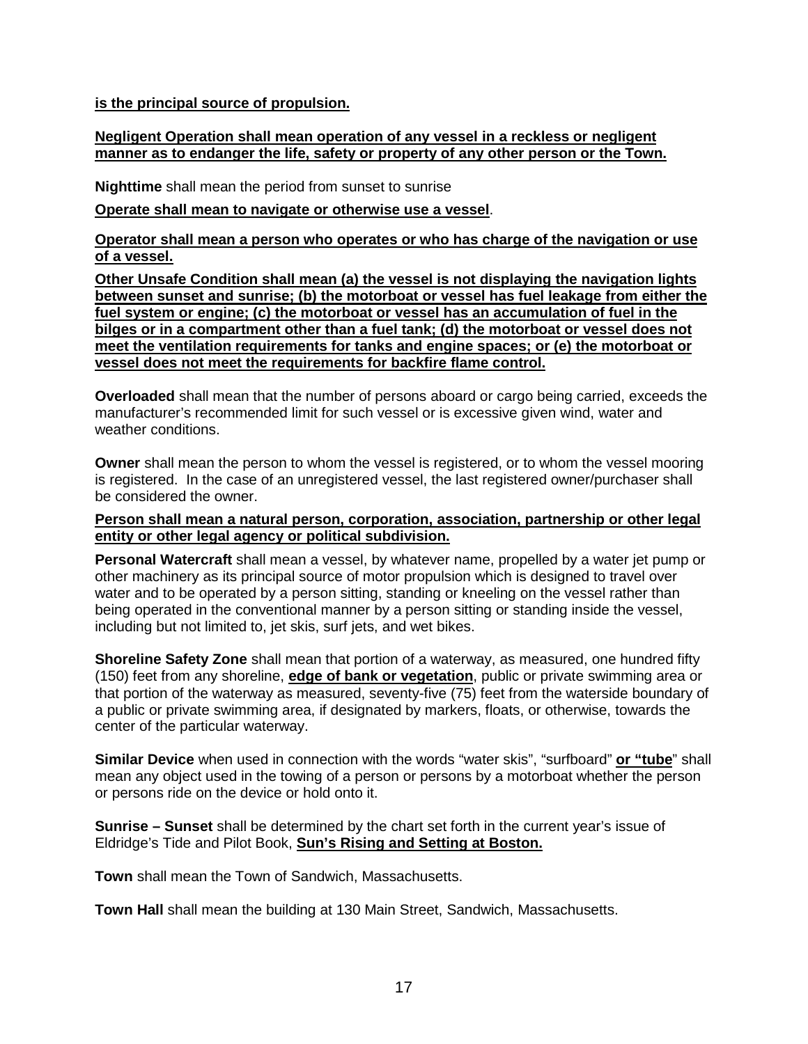**is the principal source of propulsion.**

## **Negligent Operation shall mean operation of any vessel in a reckless or negligent manner as to endanger the life, safety or property of any other person or the Town.**

**Nighttime** shall mean the period from sunset to sunrise

#### **Operate shall mean to navigate or otherwise use a vessel**.

**Operator shall mean a person who operates or who has charge of the navigation or use of a vessel.**

**Other Unsafe Condition shall mean (a) the vessel is not displaying the navigation lights between sunset and sunrise; (b) the motorboat or vessel has fuel leakage from either the fuel system or engine; (c) the motorboat or vessel has an accumulation of fuel in the bilges or in a compartment other than a fuel tank; (d) the motorboat or vessel does not meet the ventilation requirements for tanks and engine spaces; or (e) the motorboat or vessel does not meet the requirements for backfire flame control.**

**Overloaded** shall mean that the number of persons aboard or cargo being carried, exceeds the manufacturer's recommended limit for such vessel or is excessive given wind, water and weather conditions.

**Owner** shall mean the person to whom the vessel is registered, or to whom the vessel mooring is registered. In the case of an unregistered vessel, the last registered owner/purchaser shall be considered the owner.

#### **Person shall mean a natural person, corporation, association, partnership or other legal entity or other legal agency or political subdivision.**

**Personal Watercraft** shall mean a vessel, by whatever name, propelled by a water jet pump or other machinery as its principal source of motor propulsion which is designed to travel over water and to be operated by a person sitting, standing or kneeling on the vessel rather than being operated in the conventional manner by a person sitting or standing inside the vessel, including but not limited to, jet skis, surf jets, and wet bikes.

**Shoreline Safety Zone** shall mean that portion of a waterway, as measured, one hundred fifty (150) feet from any shoreline, **edge of bank or vegetation**, public or private swimming area or that portion of the waterway as measured, seventy-five (75) feet from the waterside boundary of a public or private swimming area, if designated by markers, floats, or otherwise, towards the center of the particular waterway.

**Similar Device** when used in connection with the words "water skis", "surfboard" **or "tube**" shall mean any object used in the towing of a person or persons by a motorboat whether the person or persons ride on the device or hold onto it.

**Sunrise – Sunset** shall be determined by the chart set forth in the current year's issue of Eldridge's Tide and Pilot Book, **Sun's Rising and Setting at Boston.**

**Town** shall mean the Town of Sandwich, Massachusetts.

**Town Hall** shall mean the building at 130 Main Street, Sandwich, Massachusetts.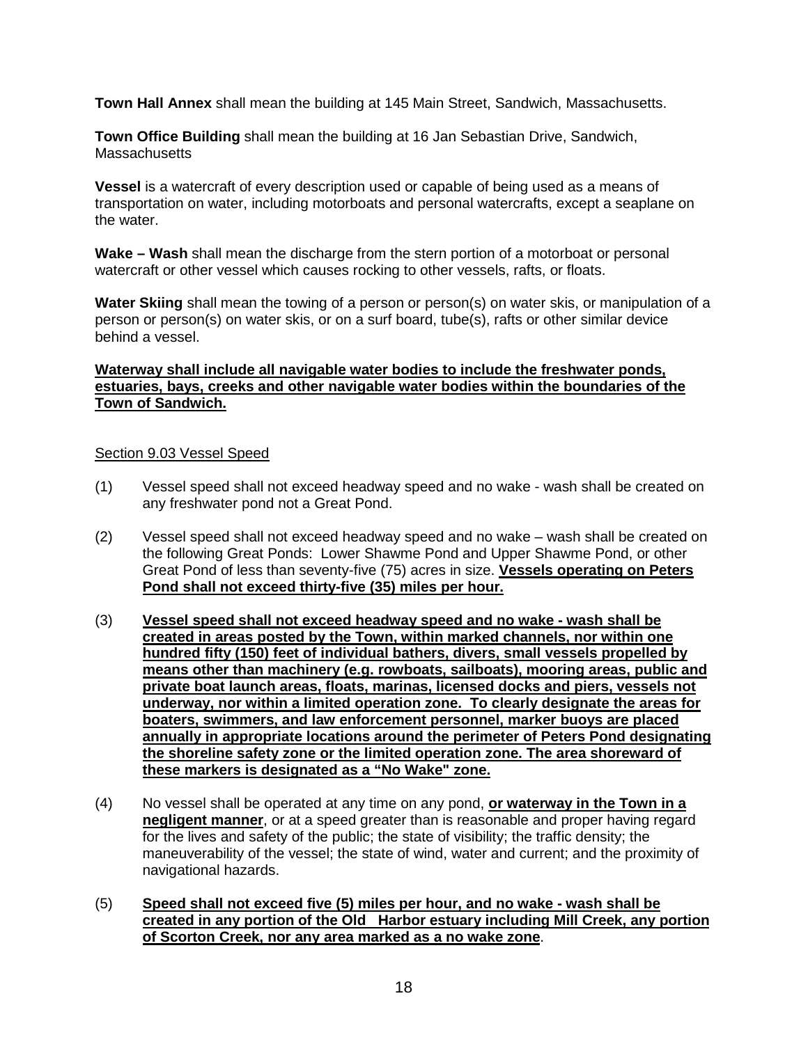**Town Hall Annex** shall mean the building at 145 Main Street, Sandwich, Massachusetts.

**Town Office Building** shall mean the building at 16 Jan Sebastian Drive, Sandwich, **Massachusetts** 

**Vessel** is a watercraft of every description used or capable of being used as a means of transportation on water, including motorboats and personal watercrafts, except a seaplane on the water.

**Wake – Wash** shall mean the discharge from the stern portion of a motorboat or personal watercraft or other vessel which causes rocking to other vessels, rafts, or floats.

**Water Skiing** shall mean the towing of a person or person(s) on water skis, or manipulation of a person or person(s) on water skis, or on a surf board, tube(s), rafts or other similar device behind a vessel.

## **Waterway shall include all navigable water bodies to include the freshwater ponds, estuaries, bays, creeks and other navigable water bodies within the boundaries of the Town of Sandwich.**

#### Section 9.03 Vessel Speed

- (1) Vessel speed shall not exceed headway speed and no wake wash shall be created on any freshwater pond not a Great Pond.
- (2) Vessel speed shall not exceed headway speed and no wake wash shall be created on the following Great Ponds: Lower Shawme Pond and Upper Shawme Pond, or other Great Pond of less than seventy-five (75) acres in size. **Vessels operating on Peters Pond shall not exceed thirty-five (35) miles per hour.**
- (3) **Vessel speed shall not exceed headway speed and no wake - wash shall be created in areas posted by the Town, within marked channels, nor within one hundred fifty (150) feet of individual bathers, divers, small vessels propelled by means other than machinery (e.g. rowboats, sailboats), mooring areas, public and private boat launch areas, floats, marinas, licensed docks and piers, vessels not underway, nor within a limited operation zone. To clearly designate the areas for boaters, swimmers, and law enforcement personnel, marker buoys are placed annually in appropriate locations around the perimeter of Peters Pond designating the shoreline safety zone or the limited operation zone. The area shoreward of these markers is designated as a "No Wake" zone.**
- (4) No vessel shall be operated at any time on any pond, **or waterway in the Town in a negligent manner**, or at a speed greater than is reasonable and proper having regard for the lives and safety of the public; the state of visibility; the traffic density; the maneuverability of the vessel; the state of wind, water and current; and the proximity of navigational hazards.
- (5) **Speed shall not exceed five (5) miles per hour, and no wake - wash shall be created in any portion of the Old Harbor estuary including Mill Creek, any portion of Scorton Creek, nor any area marked as a no wake zone**.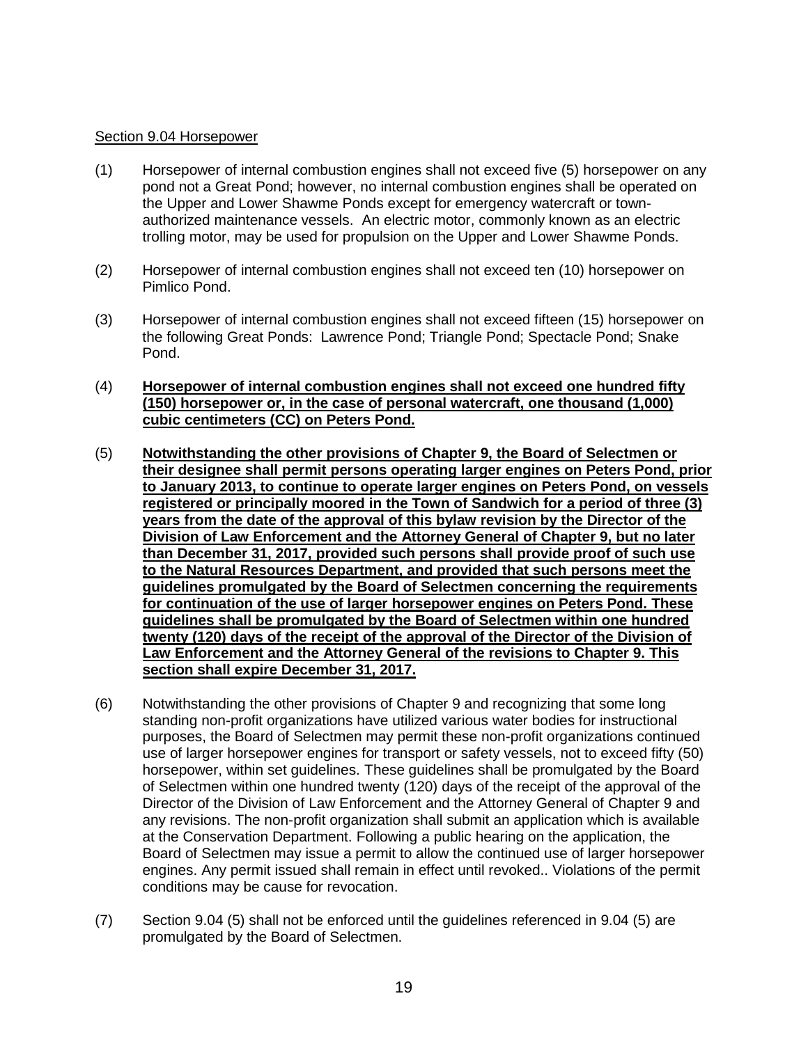#### Section 9.04 Horsepower

- (1) Horsepower of internal combustion engines shall not exceed five (5) horsepower on any pond not a Great Pond; however, no internal combustion engines shall be operated on the Upper and Lower Shawme Ponds except for emergency watercraft or townauthorized maintenance vessels. An electric motor, commonly known as an electric trolling motor, may be used for propulsion on the Upper and Lower Shawme Ponds.
- (2) Horsepower of internal combustion engines shall not exceed ten (10) horsepower on Pimlico Pond.
- (3) Horsepower of internal combustion engines shall not exceed fifteen (15) horsepower on the following Great Ponds: Lawrence Pond; Triangle Pond; Spectacle Pond; Snake Pond.
- (4) **Horsepower of internal combustion engines shall not exceed one hundred fifty (150) horsepower or, in the case of personal watercraft, one thousand (1,000) cubic centimeters (CC) on Peters Pond.**
- (5) **Notwithstanding the other provisions of Chapter 9, the Board of Selectmen or their designee shall permit persons operating larger engines on Peters Pond, prior to January 2013, to continue to operate larger engines on Peters Pond, on vessels registered or principally moored in the Town of Sandwich for a period of three (3) years from the date of the approval of this bylaw revision by the Director of the Division of Law Enforcement and the Attorney General of Chapter 9, but no later than December 31, 2017, provided such persons shall provide proof of such use to the Natural Resources Department, and provided that such persons meet the guidelines promulgated by the Board of Selectmen concerning the requirements for continuation of the use of larger horsepower engines on Peters Pond. These guidelines shall be promulgated by the Board of Selectmen within one hundred twenty (120) days of the receipt of the approval of the Director of the Division of Law Enforcement and the Attorney General of the revisions to Chapter 9. This section shall expire December 31, 2017.**
- (6) Notwithstanding the other provisions of Chapter 9 and recognizing that some long standing non-profit organizations have utilized various water bodies for instructional purposes, the Board of Selectmen may permit these non-profit organizations continued use of larger horsepower engines for transport or safety vessels, not to exceed fifty (50) horsepower, within set guidelines. These guidelines shall be promulgated by the Board of Selectmen within one hundred twenty (120) days of the receipt of the approval of the Director of the Division of Law Enforcement and the Attorney General of Chapter 9 and any revisions. The non-profit organization shall submit an application which is available at the Conservation Department. Following a public hearing on the application, the Board of Selectmen may issue a permit to allow the continued use of larger horsepower engines. Any permit issued shall remain in effect until revoked.. Violations of the permit conditions may be cause for revocation.
- (7) Section 9.04 (5) shall not be enforced until the guidelines referenced in 9.04 (5) are promulgated by the Board of Selectmen.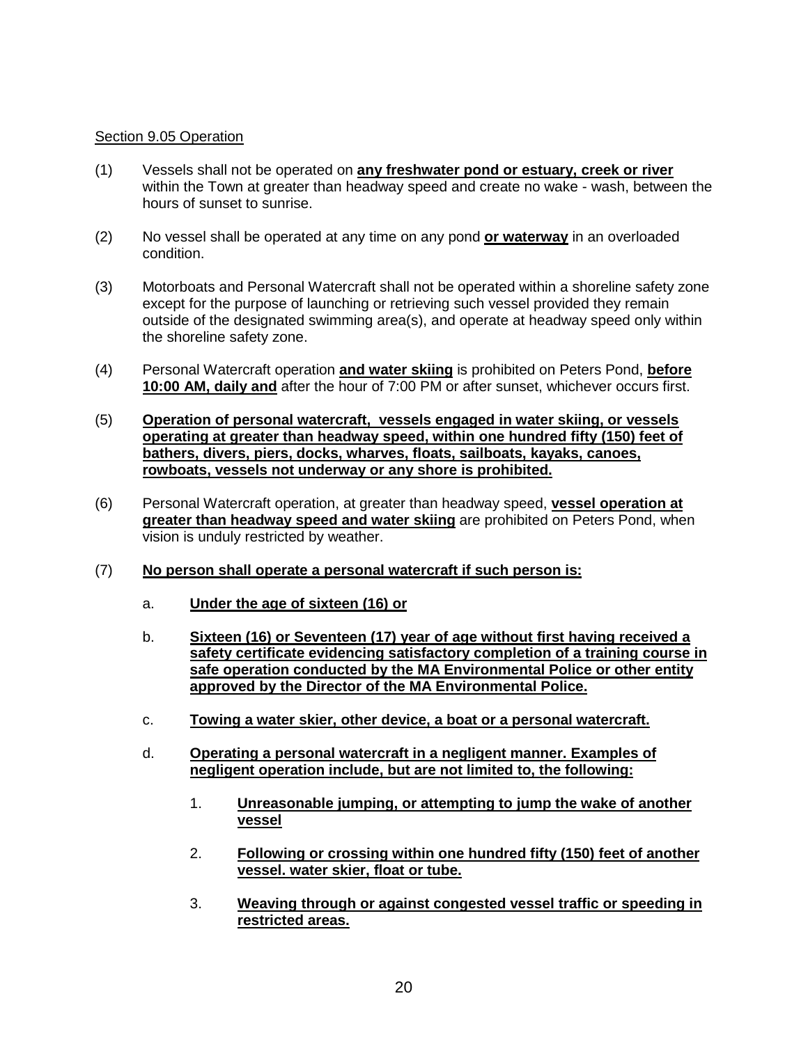## Section 9.05 Operation

- (1) Vessels shall not be operated on **any freshwater pond or estuary, creek or river** within the Town at greater than headway speed and create no wake - wash, between the hours of sunset to sunrise.
- (2) No vessel shall be operated at any time on any pond **or waterway** in an overloaded condition.
- (3) Motorboats and Personal Watercraft shall not be operated within a shoreline safety zone except for the purpose of launching or retrieving such vessel provided they remain outside of the designated swimming area(s), and operate at headway speed only within the shoreline safety zone.
- (4) Personal Watercraft operation **and water skiing** is prohibited on Peters Pond, **before 10:00 AM, daily and** after the hour of 7:00 PM or after sunset, whichever occurs first.
- (5) **Operation of personal watercraft, vessels engaged in water skiing, or vessels operating at greater than headway speed, within one hundred fifty (150) feet of bathers, divers, piers, docks, wharves, floats, sailboats, kayaks, canoes, rowboats, vessels not underway or any shore is prohibited.**
- (6) Personal Watercraft operation, at greater than headway speed, **vessel operation at greater than headway speed and water skiing** are prohibited on Peters Pond, when vision is unduly restricted by weather.
- (7) **No person shall operate a personal watercraft if such person is:**
	- a. **Under the age of sixteen (16) or**
	- b. **Sixteen (16) or Seventeen (17) year of age without first having received a safety certificate evidencing satisfactory completion of a training course in safe operation conducted by the MA Environmental Police or other entity approved by the Director of the MA Environmental Police.**
	- c. **Towing a water skier, other device, a boat or a personal watercraft.**
	- d. **Operating a personal watercraft in a negligent manner. Examples of negligent operation include, but are not limited to, the following:**
		- 1. **Unreasonable jumping, or attempting to jump the wake of another vessel**
		- 2. **Following or crossing within one hundred fifty (150) feet of another vessel. water skier, float or tube.**
		- 3. **Weaving through or against congested vessel traffic or speeding in restricted areas.**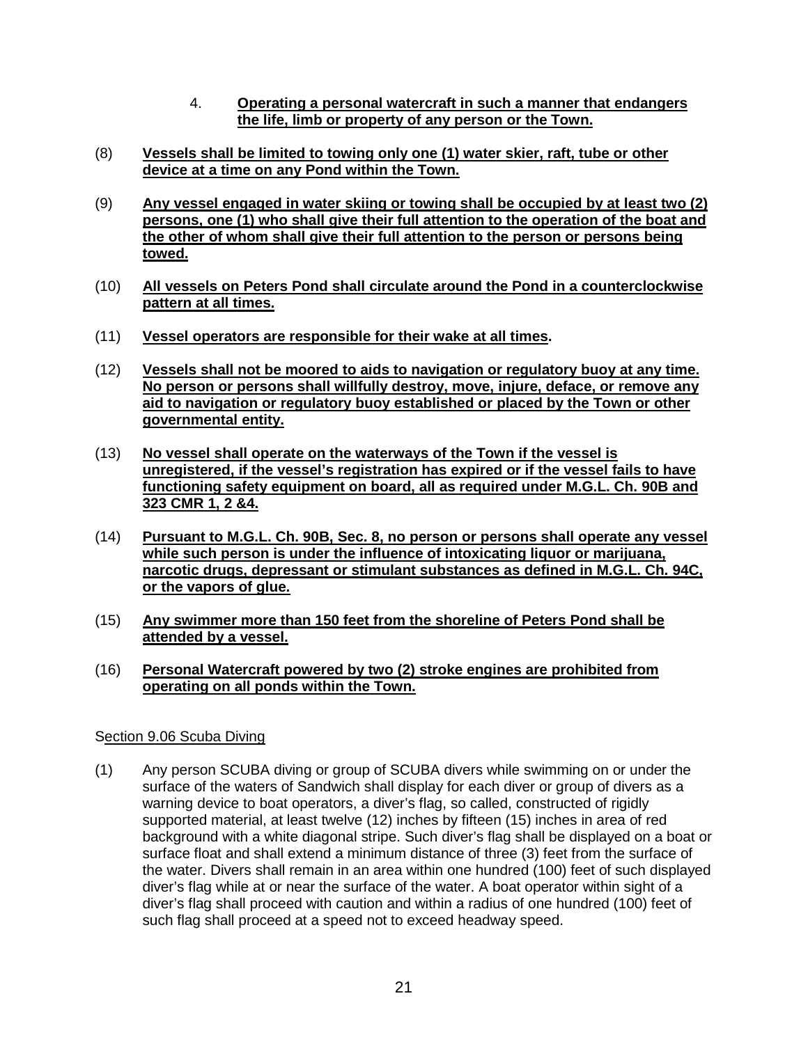- 4. **Operating a personal watercraft in such a manner that endangers the life, limb or property of any person or the Town.**
- (8) **Vessels shall be limited to towing only one (1) water skier, raft, tube or other device at a time on any Pond within the Town.**
- (9) **Any vessel engaged in water skiing or towing shall be occupied by at least two (2) persons, one (1) who shall give their full attention to the operation of the boat and the other of whom shall give their full attention to the person or persons being towed.**
- (10) **All vessels on Peters Pond shall circulate around the Pond in a counterclockwise pattern at all times.**
- (11) **Vessel operators are responsible for their wake at all times.**
- (12) **Vessels shall not be moored to aids to navigation or regulatory buoy at any time. No person or persons shall willfully destroy, move, injure, deface, or remove any aid to navigation or regulatory buoy established or placed by the Town or other governmental entity.**
- (13) **No vessel shall operate on the waterways of the Town if the vessel is unregistered, if the vessel's registration has expired or if the vessel fails to have functioning safety equipment on board, all as required under M.G.L. Ch. 90B and 323 CMR 1, 2 &4.**
- (14) **Pursuant to M.G.L. Ch. 90B, Sec. 8, no person or persons shall operate any vessel while such person is under the influence of intoxicating liquor or marijuana, narcotic drugs, depressant or stimulant substances as defined in M.G.L. Ch. 94C, or the vapors of glue.**
- (15) **Any swimmer more than 150 feet from the shoreline of Peters Pond shall be attended by a vessel.**
- (16) **Personal Watercraft powered by two (2) stroke engines are prohibited from operating on all ponds within the Town.**

# Section 9.06 Scuba Diving

(1) Any person SCUBA diving or group of SCUBA divers while swimming on or under the surface of the waters of Sandwich shall display for each diver or group of divers as a warning device to boat operators, a diver's flag, so called, constructed of rigidly supported material, at least twelve (12) inches by fifteen (15) inches in area of red background with a white diagonal stripe. Such diver's flag shall be displayed on a boat or surface float and shall extend a minimum distance of three (3) feet from the surface of the water. Divers shall remain in an area within one hundred (100) feet of such displayed diver's flag while at or near the surface of the water. A boat operator within sight of a diver's flag shall proceed with caution and within a radius of one hundred (100) feet of such flag shall proceed at a speed not to exceed headway speed.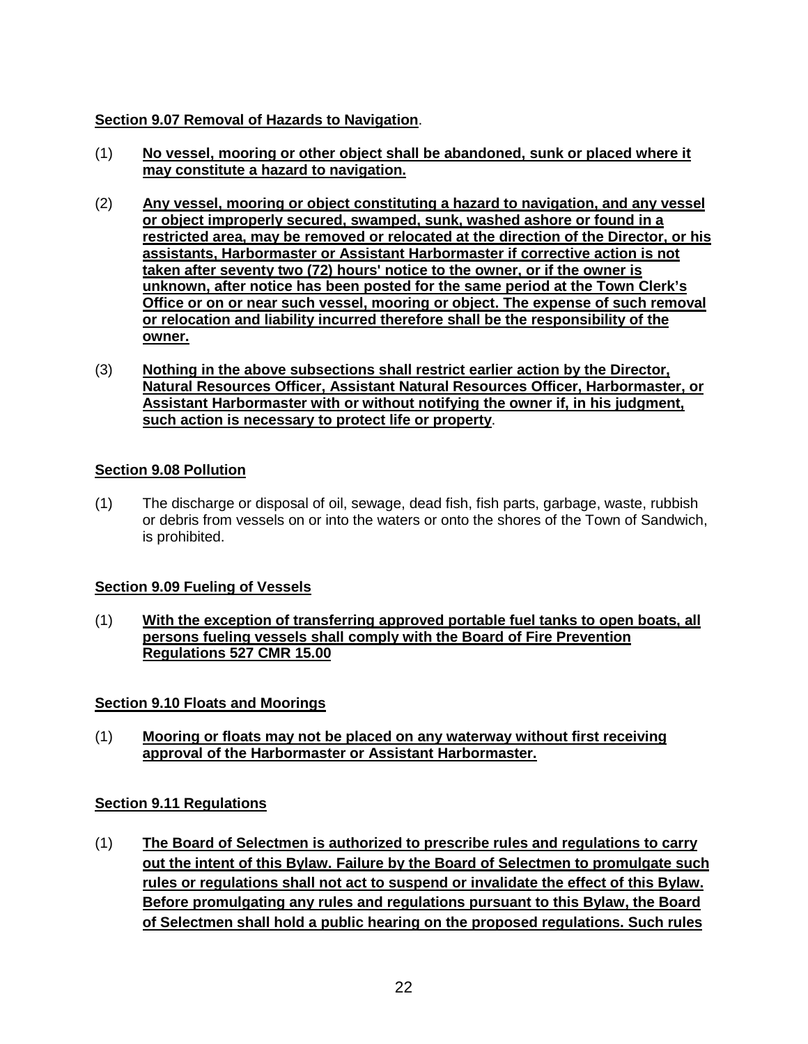# **Section 9.07 Removal of Hazards to Navigation**.

- (1) **No vessel, mooring or other object shall be abandoned, sunk or placed where it may constitute a hazard to navigation.**
- (2) **Any vessel, mooring or object constituting a hazard to navigation, and any vessel or object improperly secured, swamped, sunk, washed ashore or found in a restricted area, may be removed or relocated at the direction of the Director, or his assistants, Harbormaster or Assistant Harbormaster if corrective action is not taken after seventy two (72) hours' notice to the owner, or if the owner is unknown, after notice has been posted for the same period at the Town Clerk's Office or on or near such vessel, mooring or object. The expense of such removal or relocation and liability incurred therefore shall be the responsibility of the owner.**
- (3) **Nothing in the above subsections shall restrict earlier action by the Director, Natural Resources Officer, Assistant Natural Resources Officer, Harbormaster, or Assistant Harbormaster with or without notifying the owner if, in his judgment, such action is necessary to protect life or property**.

# **Section 9.08 Pollution**

(1) The discharge or disposal of oil, sewage, dead fish, fish parts, garbage, waste, rubbish or debris from vessels on or into the waters or onto the shores of the Town of Sandwich, is prohibited.

# **Section 9.09 Fueling of Vessels**

(1) **With the exception of transferring approved portable fuel tanks to open boats, all persons fueling vessels shall comply with the Board of Fire Prevention Regulations 527 CMR 15.00**

# **Section 9.10 Floats and Moorings**

(1) **Mooring or floats may not be placed on any waterway without first receiving approval of the Harbormaster or Assistant Harbormaster.**

# **Section 9.11 Regulations**

(1) **The Board of Selectmen is authorized to prescribe rules and regulations to carry out the intent of this Bylaw. Failure by the Board of Selectmen to promulgate such rules or regulations shall not act to suspend or invalidate the effect of this Bylaw. Before promulgating any rules and regulations pursuant to this Bylaw, the Board of Selectmen shall hold a public hearing on the proposed regulations. Such rules**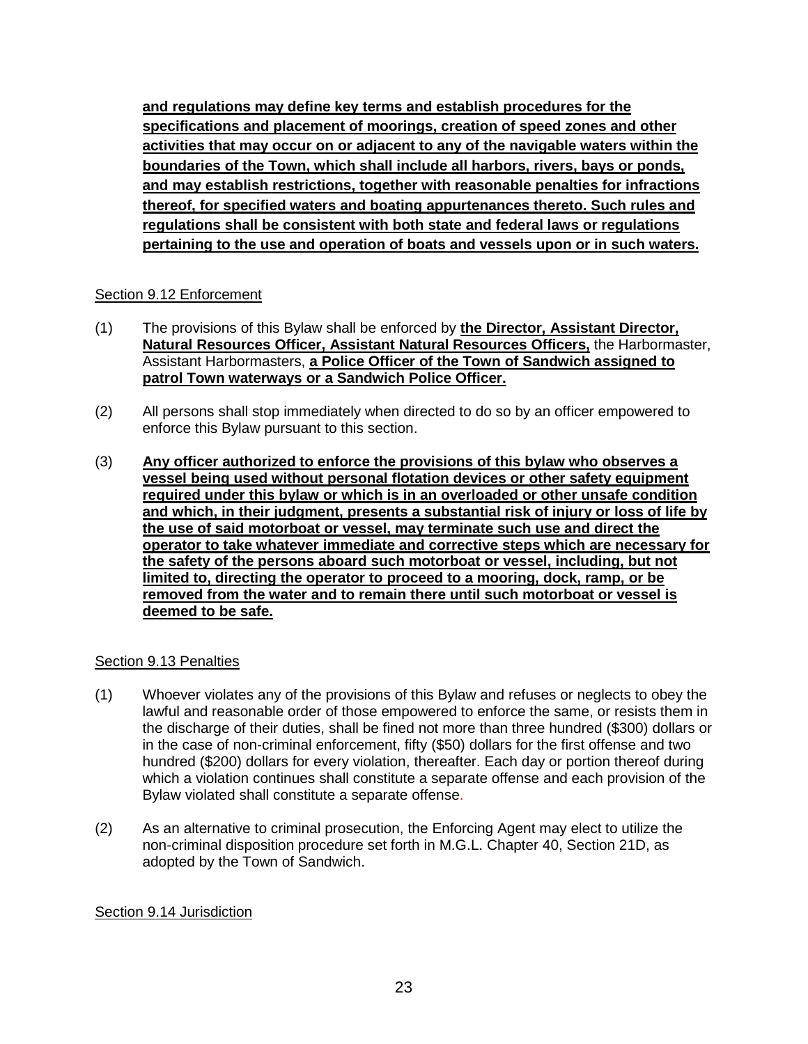**and regulations may define key terms and establish procedures for the specifications and placement of moorings, creation of speed zones and other activities that may occur on or adjacent to any of the navigable waters within the boundaries of the Town, which shall include all harbors, rivers, bays or ponds, and may establish restrictions, together with reasonable penalties for infractions thereof, for specified waters and boating appurtenances thereto. Such rules and regulations shall be consistent with both state and federal laws or regulations pertaining to the use and operation of boats and vessels upon or in such waters.**

## Section 9.12 Enforcement

- (1) The provisions of this Bylaw shall be enforced by **the Director, Assistant Director, Natural Resources Officer, Assistant Natural Resources Officers,** the Harbormaster, Assistant Harbormasters, **a Police Officer of the Town of Sandwich assigned to patrol Town waterways or a Sandwich Police Officer.**
- (2) All persons shall stop immediately when directed to do so by an officer empowered to enforce this Bylaw pursuant to this section.
- (3) **Any officer authorized to enforce the provisions of this bylaw who observes a vessel being used without personal flotation devices or other safety equipment required under this bylaw or which is in an overloaded or other unsafe condition and which, in their judgment, presents a substantial risk of injury or loss of life by the use of said motorboat or vessel, may terminate such use and direct the operator to take whatever immediate and corrective steps which are necessary for the safety of the persons aboard such motorboat or vessel, including, but not limited to, directing the operator to proceed to a mooring, dock, ramp, or be removed from the water and to remain there until such motorboat or vessel is deemed to be safe.**

## Section 9.13 Penalties

- (1) Whoever violates any of the provisions of this Bylaw and refuses or neglects to obey the lawful and reasonable order of those empowered to enforce the same, or resists them in the discharge of their duties, shall be fined not more than three hundred (\$300) dollars or in the case of non-criminal enforcement, fifty (\$50) dollars for the first offense and two hundred (\$200) dollars for every violation, thereafter. Each day or portion thereof during which a violation continues shall constitute a separate offense and each provision of the Bylaw violated shall constitute a separate offense.
- (2) As an alternative to criminal prosecution, the Enforcing Agent may elect to utilize the non-criminal disposition procedure set forth in M.G.L. Chapter 40, Section 21D, as adopted by the Town of Sandwich.

## Section 9.14 Jurisdiction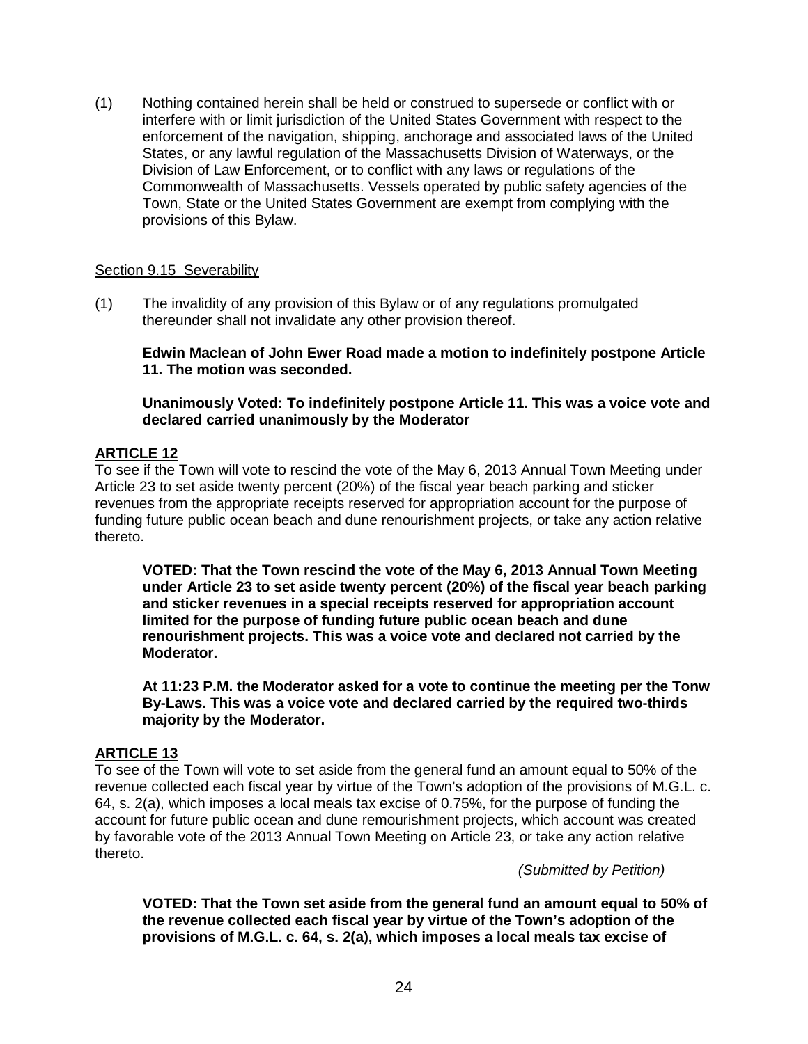(1) Nothing contained herein shall be held or construed to supersede or conflict with or interfere with or limit jurisdiction of the United States Government with respect to the enforcement of the navigation, shipping, anchorage and associated laws of the United States, or any lawful regulation of the Massachusetts Division of Waterways, or the Division of Law Enforcement, or to conflict with any laws or regulations of the Commonwealth of Massachusetts. Vessels operated by public safety agencies of the Town, State or the United States Government are exempt from complying with the provisions of this Bylaw.

## Section 9.15 Severability

(1) The invalidity of any provision of this Bylaw or of any regulations promulgated thereunder shall not invalidate any other provision thereof.

**Edwin Maclean of John Ewer Road made a motion to indefinitely postpone Article 11. The motion was seconded.** 

**Unanimously Voted: To indefinitely postpone Article 11. This was a voice vote and declared carried unanimously by the Moderator**

## **ARTICLE 12**

To see if the Town will vote to rescind the vote of the May 6, 2013 Annual Town Meeting under Article 23 to set aside twenty percent (20%) of the fiscal year beach parking and sticker revenues from the appropriate receipts reserved for appropriation account for the purpose of funding future public ocean beach and dune renourishment projects, or take any action relative thereto.

**VOTED: That the Town rescind the vote of the May 6, 2013 Annual Town Meeting under Article 23 to set aside twenty percent (20%) of the fiscal year beach parking and sticker revenues in a special receipts reserved for appropriation account limited for the purpose of funding future public ocean beach and dune renourishment projects. This was a voice vote and declared not carried by the Moderator.**

**At 11:23 P.M. the Moderator asked for a vote to continue the meeting per the Tonw By-Laws. This was a voice vote and declared carried by the required two-thirds majority by the Moderator.**

## **ARTICLE 13**

To see of the Town will vote to set aside from the general fund an amount equal to 50% of the revenue collected each fiscal year by virtue of the Town's adoption of the provisions of M.G.L. c. 64, s. 2(a), which imposes a local meals tax excise of 0.75%, for the purpose of funding the account for future public ocean and dune remourishment projects, which account was created by favorable vote of the 2013 Annual Town Meeting on Article 23, or take any action relative thereto.

*(Submitted by Petition)*

**VOTED: That the Town set aside from the general fund an amount equal to 50% of the revenue collected each fiscal year by virtue of the Town's adoption of the provisions of M.G.L. c. 64, s. 2(a), which imposes a local meals tax excise of**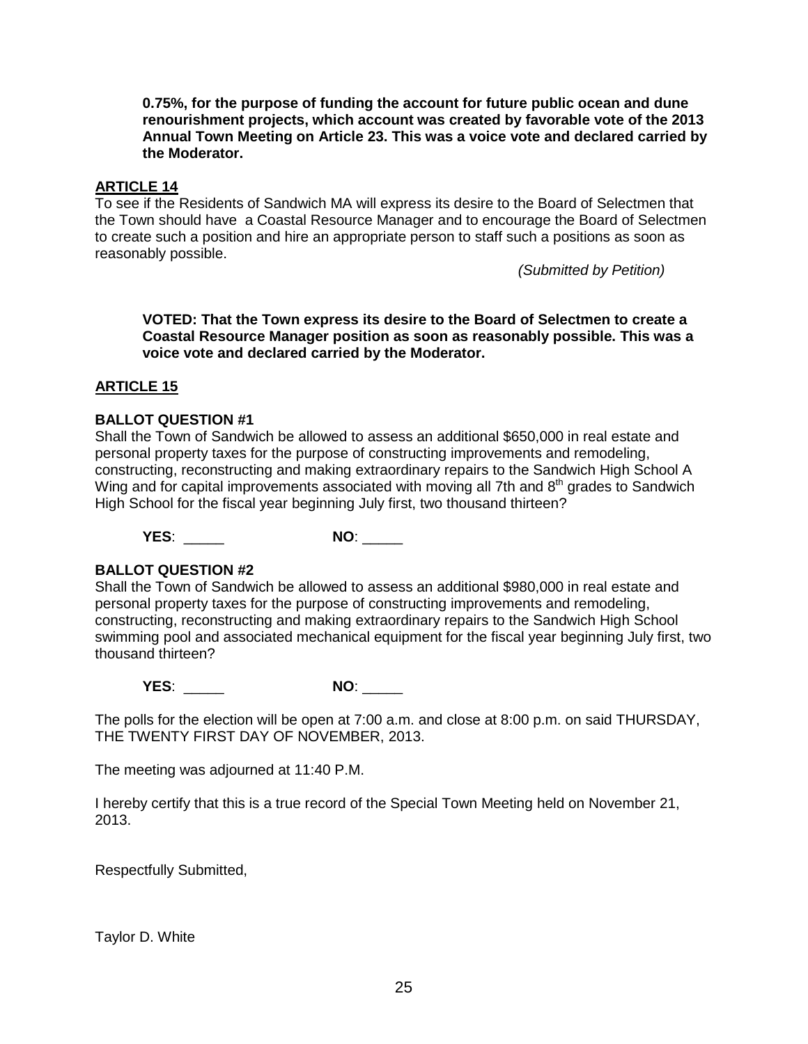**0.75%, for the purpose of funding the account for future public ocean and dune renourishment projects, which account was created by favorable vote of the 2013 Annual Town Meeting on Article 23. This was a voice vote and declared carried by the Moderator.**

## **ARTICLE 14**

To see if the Residents of Sandwich MA will express its desire to the Board of Selectmen that the Town should have a Coastal Resource Manager and to encourage the Board of Selectmen to create such a position and hire an appropriate person to staff such a positions as soon as reasonably possible.

*(Submitted by Petition)*

**VOTED: That the Town express its desire to the Board of Selectmen to create a Coastal Resource Manager position as soon as reasonably possible. This was a voice vote and declared carried by the Moderator.**

## **ARTICLE 15**

## **BALLOT QUESTION #1**

Shall the Town of Sandwich be allowed to assess an additional \$650,000 in real estate and personal property taxes for the purpose of constructing improvements and remodeling, constructing, reconstructing and making extraordinary repairs to the Sandwich High School A Wing and for capital improvements associated with moving all 7th and  $8<sup>th</sup>$  grades to Sandwich High School for the fiscal year beginning July first, two thousand thirteen?

**YES**: \_\_\_\_\_ **NO**: \_\_\_\_\_

## **BALLOT QUESTION #2**

Shall the Town of Sandwich be allowed to assess an additional \$980,000 in real estate and personal property taxes for the purpose of constructing improvements and remodeling, constructing, reconstructing and making extraordinary repairs to the Sandwich High School swimming pool and associated mechanical equipment for the fiscal year beginning July first, two thousand thirteen?

**YES**: \_\_\_\_\_ **NO**: \_\_\_\_\_

The polls for the election will be open at 7:00 a.m. and close at 8:00 p.m. on said THURSDAY, THE TWENTY FIRST DAY OF NOVEMBER, 2013.

The meeting was adjourned at 11:40 P.M.

I hereby certify that this is a true record of the Special Town Meeting held on November 21, 2013.

Respectfully Submitted,

Taylor D. White